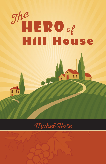

青黄

## Mabel Hale

Ħ H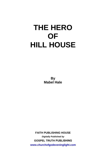**By Mabel Hale** 

**FAITH PUBLISHING HOUSE** *Digitally Published by*  **GOSPEL TRUTH PUBLISHING www.churchofgodeveninglight.com**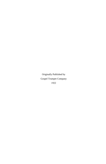Originally Published by Gospel Trumpet Company 1922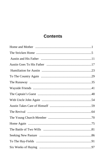## **Contents**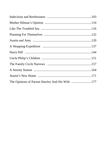| The Opinions of Parson Hawley And His Wife 177 |  |
|------------------------------------------------|--|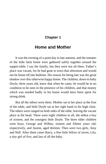#### **Chapter 1**

## <span id="page-6-0"></span>**Home and Mother**

It was the evening of a quiet day in late autumn, and the inmates of the little farm home were gathered safely together around the supper-table. I say the family, but they were not all there. Father's place was vacant, for he had gone to town that afternoon and would not be home till late bedtime. His reason for being late was the great shadow over this otherwise happy home. The children, down to baby Doyle, three years old, knew that when he came, he would be in no condition to be seen in the presence of his children, and that money which was needed badly in his home would have been spent for strong drink.

But all the others were there. Mother sat in her place at the foot of the table, and little Doyle sat at her right hand in his high chair. The others were ranged on both sides of the table, leaving the vacant place at the head. There were eight children in all, the eldest a boy of sixteen, and the youngest little Doyle. The three older children were boys, George and Wilbur, sixteen and fifteen years old, respectively, and Austin, aged thirteen. Then were two girls, Amy and Nell. After them came Harry, a fine little fellow of seven, Lila, a tiny girl of five, and last of all the baby.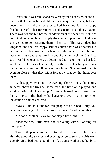Every child was robust and rosy, ready for a hearty meal and all the fun that was to be had. Mother sat as queen, a dear, beloved queen, and the children as they talked back and forth in happy freedom turned to her for reference and sanction in all that was said. There was not one but bowed in adoration at the beautiful mother's feet. And her eyes, how lovingly they rested upon them! And how she seemed to be treasuring them in her heart! This was indeed her kingdom, and she was happy. But of course there was a sadness in her happiness, because her husband and the father of her children was choosing a path that took him out of the family circle. But since such was his choice, she was determined to make it up to her lads and lassies to the best of her ability, and throw her teaching and daily instruction against the influence of their father. She was making this evening pleasant that they might forget the shadow that hung over them.

With supper over and the evening chores done, the family gathered about the fireside, some read, the little ones played, and Mother busied with her sewing. An atmosphere of peace rested upon them, in spite of the shadow that hangs over every home into which the demon drink has entered.

"Doyle, Lila, it is time for little people to be in bed. Harry, you have no lessons, you had better go to bed also," said the mother.

"So soon, Mother? May we not play a little longer?"

"Bedtime now, little man, and run along without waiting for more play."

Three little people trooped off to bed to be tucked in a little later after the good-night kisses and evening prayers. Soon the girls went sleepily off to bed with a good-night kiss. Just Mother and her boys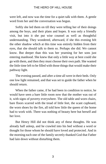were left, and now was the time for a quiet talk with them. A gentle word from her and the conversation was begun.

Softly she led them on till they were telling her of their doings among the boys, and their plans and hopes. It was only a friendly visit, but into it she put wise counsel as well as thoughtful understanding. They wondered, afterward, if she this evening felt the other shadow which at this time was entirely hidden from their eyes, that she should talk to them so. Perhaps she did. We cannot know. But deeper than this was her yearning for her sons just entering manhood. She knew that only a little way at best could she go with them, and then they must choose their own path. She wanted the little time left to be filled with those things that would make their pathway light.

The evening passed, and after a time all were in their beds. Only one low light remained, and that was set to guide the father when he should return.

When the father came, if he had been in condition to notice, he would have seen a bare little room now that the mother was out of it, with signs of poverty everywhere. The old table and worn chairs, bare floors scarred with the tread of little feet, the scant cupboard, the worn shoes by the fire, all told how little the queen of the home had to work with. There was nothing of beauty here but herself and her love.

But Henry Hill did not think any of these thoughts. He was already half asleep, and he crawled into his bed without a word or thought for those whom he should have loved and protected. And in the morning each one of the family secretly thanked God that Father had lain down without disturbing them.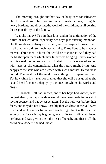The morning brought another day of busy care for Elizabeth Hill. Her hands were full from morning till night helping, lifting the heavy burdens, and directing the work of the children, in all bearing the responsibility of the family.

Was she happy? Yes, in their love, and in the anticipation of the future of her children, especially her boys just entering manhood. Her thoughts were always with them, and her prayers followed them in all that they did. So much was at stake. Three lives to be made or marred. Three men to bless the world or to curse it. And they had the blight upon them which their father was bringing. Every woman who is a real mother knows that Elizabeth Hill's face was often wet with tears as she contemplated what the future might bring. And happy are the sons who are blessed with such a mother. Her value is untold. The wealth of the world has nothing to compare with her. Yet how often it is taken for granted that she will be as good as she is, and her life made unhappy by the ones for whom she works and prays!

If Elizabeth Hall had known, and if her boys had known, what lay just ahead, perhaps the days would have been made fuller yet of loving counsel and happy association. But the veil was before their faces, and they did not know. Possibly that was best. If the veil were lifted and we knew our future, our hearts might faint within us. It is enough that for each day is given grace for its toils. Elizabeth loved her boys and was giving them the best of herself, and that is all she could have done if she had known.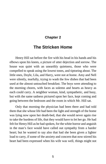#### **Chapter 2**

## <span id="page-10-0"></span>**The Stricken Home**

Henry Hill sat before the fire with his head in his hands and his elbows upon his knees, a picture of utter dejection and sorrow. The house was quiet with an unearthly quietness, those who were compelled to speak using the lowest tones, and tiptoeing about. The little ones, Doyle, Lila, and Harry, were not at home. Amy and Nell were silently, tearfully, trying to wash the few dishes that had been used at the almost untouched breakfast. The boys were attending to the morning chores, with faces as solemn and hearts as heavy as each could carry. A neighbor woman, kind, sympathetic, and busy, but with the same sadness pictured upon her face, kept coming and going between the bedroom and the room in which Mr. Hill sat.

Only that morning the physician had been there and had told them that she whose life had been the light and strength of the home was lying now upon her death-bed, that she would never again rise to take the burdens of life, that they would have to let her go. He had felt for Henry Hill as he had spoken, for the white horror and anguish in the man's face would have called out sympathy from a harder heart; but he wanted to say also that had she been given a lighter load to carry, if some of the anxiety and concern that now stirred his heart had been expressed when his wife was well, things might not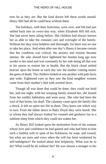now be as they are. But the kind doctor left these words unsaid. Henry Hill had all he could bear without them.

The holidays, with their festivities, were over, and life had just settled back into its every-day way, when Elizabeth Hill fell sick. She had never been ailing before. Her children had always known her as able to take the constant care and oversight of the family. Without her they were helpless and distraught, for there was no one to take her place. And when after one day's illness it became certain that her condition was critical, the anxiety and tension became intense. He who should have lightened her burden long ago now awoke to her need and was constantly by her side doing all that was in his power to restore her to health. But the black cloud settled heavier upon the home as each day saw the mother coming nearer the gates of death. The children looked at one another with pale faces and wide, frightened eyes as they saw the kind neighbor women come from their mother's bed with averted faces.

Though all was done that could be done, they could not hold her, and one night, with her weeping family around her, she loosed from her earthly habitation and went away. She who had been the soul of that home, lay dead. The calamity came upon the family like a shock. It left no spirit nor life in them. They knew not which way to turn. From the father down to Baby Doyle they were bereft. She to whom they had always looked for counsel and guidance lay in a sublime sleep from which they could not waken her.

As Henry Hill looked upon the motionless form of the woman whose love and confidence he had gained and who had been to him such a faithful wife in spite of his fickleness, he wept, and vowed; but what are tears and vows when the will has been weakened by self-indulgence? He looked about him helplessly. What was he to do? What could he do without her? He was almost a stranger to his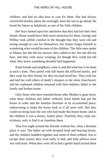children, and had no idea how to care for them. She had always carried the burden, taken the oversight, been the one to go ahead. He faced the future as helplessly as one of his little children.

Her boys looked upon her and knew that they had lost their best friend. Home would have little more attraction for them. George and Wilbur took selfish comfort in the thought that they were old and strong enough to care for themselves, but Austin forgot himself in wondering what would become of the children. The little ones spoke to Mama, but she did not answer, they called to her, but she did not hear, and they went away weeping; for though they could not tell what, they knew something dreadful had happened.

Kind friends and neighbors came in and did what has to be done at such a time. They pitied with full hearts the afflicted family, and they wept for their friend, for they too had loved her. They took her and laid her with others of death's sleepers in the silent churchyard, and her orphaned children returned with their helpless father to the lonely and broken home.

Only those who have returned home after Mother is gone know what these children and father suffered. Kind hands had put the house in order and the familiar furniture in its accustomed place, endeavoring to make the house look as if all were well. But they could not bring back the one who had made this house home, and to the children it was a dreary, lonely place. Fearfully they crept outof-doors, only to find it as cheerless there.

That first night around the fireside without her, what a desolate place it was! The father sat with drooped head and heaving breast, and the children huddled together and some of them sobbed. Just to escape their misery they went early to bed, and little pillows were wet with tears. When they were all in bed a gentle hand tucked them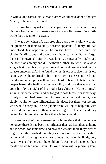in with a kind caress. "It is what Mother would have done," thought Austin, as he made the rounds.

In those first days of sorrow everyone seemed to remember only his own heartache: but hearts cannot always lie broken; in a little while they began to live again.

It was now, when life was dropping back into its old ways, that the greatness of their calamity became apparent. If Henry Hill had understood his opportunity, he might have stepped into his children's affections and been a true father to them. But he forgot them in his own self-pity. He was lonely, unspeakably lonely, and the house was dreary and dull without Mother. He who had always sought first of all his own pleasure and comfort now reached out for solace somewhere. And he found it with his old associates in his old haunts. When he returned to his home after these seasons he found the gloom and emptiness there more hard to bear. He hated with a deeper hatred the feeling of responsibility and care that was thrust upon him by the sight of his motherless children. He felt himself sinking under the strain, and he longed to ease himself in some way. If only a friend had been found to take the burden and bear it, how gladly would he have relinquished his place; but there was no one who would accept it. The neighbors were willing to help him with the children, but none of them were willing to do his part, and they waited for him to take the place that a father should.

George and Wilbur were restless at home since their mother was no longer there. It had been her influence that had kept them at home and in school for some time, and now she was not there they felt free to go when they wished, and they were out of the home in a short while. Night after night when the shadows crept over the fields, only Austin was at home with the children. It was he who cooked their meals and waited upon them. He loved them with a yearning love,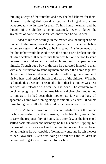thinking always of their mother and how she had labored for them. He was a boy thoughtful beyond his age, and, looking ahead, he saw what probably lay in store for them. To him home meant all, and the thought of the children's being scattered, never to know the sweetness of home association, was more than he could bear.

Added to his own feelings in the matter was the thought of his mother. If she knew, how it would grieve her to have her babies among strangers, and possibly to be ill-treated! Austin believed also that his father would be glad to see the home circle broken and the children scattered. It seemed that there was but one person to stand between the children and a broken home, and that person was himself. Though but a boy of thirteen he dedicated himself to them with a determination to stand by them and keep the home together. He put out of his mind every thought of following the example of his brothers, and settled himself to the care of the children. When he had made this decision, it seemed to him that his mother was near and was well pleased with what he had done. The children were quick to recognize in him their true friend and champion, and turned to him as if he had been their mother. So it was not long till apparently home was running along as smoothly as ever. Of course those living there felt a terrible void, which never could be filled.

Austin's father looked on with secret satisfaction at the course the boy was taking, glad that someone, if only this child, was willing to carry the responsibility of home. Day after day, as the household settled back into order and harmony, he felt his burden slipping; but the loss of his wife was as keenly before him as ever. He had loved her as much as he was capable of loving any one, and he felt the loss of her. Now that Austin was doing so well with the children he determined to get away from it all for a while.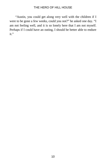"Austin, you could get along very well with the children if I were to be gone a few weeks, could you not?" he asked one day. "I am not feeling well, and it is so lonely here that I am not myself. Perhaps if I could have an outing, I should be better able to endure it."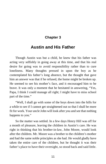#### **Chapter 3**

### <span id="page-16-0"></span>**Austin and His Father**

Though Austin was but a child, he knew that his father was acting very selfishly in going away at this time, and that his real desire for going was to avoid responsibility rather than to cure loneliness. Many thoughts pressed in upon the boy as he contemplated his father's long absence, but the thought that gave him an answer was that if he refused, the home might be broken up. He seemed to see his mother's face, and it encouraged him to be brave. It was only a moment that he hesitated in answering, "Yes, Papa, I think I could manage all right; I might have to miss school part of the time."

"Well, I shall go with some of the boys down into the hills for a while to see if I cannot get straightened out so that I shall be more fit for work. Your uncle John will look after you and see that nothing happens to you."

So the matter was settled. In a few days Henry Hill was off for a month of pleasure, leaving the children in Austin's care. He was right in thinking that his brother-in-law, John Moore, would look after the children. Mr. Moore was a brother to the children's mother and had the same noble principles as she had. He would gladly have taken the entire care of the children, but he thought it was their father's place to have their oversight, so stood back and said little.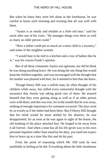But when he knew they were left alone in the farmhouse, he was careful to know each morning and evening that all was well with them.

"Austin is as steady and reliable as a little old man," said his uncle after one of his visits. "He manages things over there as well as many an older person could."

"How a father could put so much on a mere child is a mystery," said some of the neighbor women.

"I would hate to be tied to a kitchen and a row of babies like he is," was his cousin Frank's opinion.

But of all these comments Austin was ignorant, nor did he think he was doing anything brave. He was doing the one thing that would keep the children together, and was encouraged with the thought that his mother was pleased with him, for it seemed to him that she knew.

Though Henry Hill was a selfish man, he often thought of his children while away, but stifled every remorseful thought with the assurance that Austin was taking good care of them. He assured himself that they were getting along as well as if an older person were with them; and this was true, for in the month that he was away, nothing of enough importance for comment occurred. The days went by as evenly as if the father had been there. But if Henry Hill thought that his mind would be more settled by his absence, he was disappointed; for as soon as he was again in sight of the house, the old loathing of the place attacked him. He longed to be away from it all forever. And when a man has all his life given way to his own personal impulses rather than stand by his duty, you need not expect him to brace up at a time like this and do his part.

From the point of reasoning which Mr. Hill took he was justifiable in feeling as he did. Everything about the little farmhouse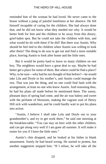reminded him of the woman he had loved. He never came to the house without a pang of painful loneliness at her absence. He felt himself incapable of caring for the children. She had always done that, and he did not know what they needed nor why. It would be better both for him and the children to be away from this dreary, grief-laden spot. But he could not take the children with him, and what would he do with them if he did? But there was Austin. Why should he feel tied to the children when Austin was willing to look after them? The thing to do was to get out and find a more suitable place, leaving Austin to look after home and the little ones.

But it would be pretty hard to leave so many children on one boy. The neighbors would have a great deal to say. Maybe he had better get a place for some of them. But where could he find a place? Why, to be sure—why had he not thought of that before?—he would take Lila and Doyle to his mother's, and Austin could manage the rest. That was just the thing, and no one could find fault with the arrangement, at least no one who knew Austin. And reasoning thus, he had his plans all made before he mentioned them. The sunny, pleasant days of spring had come, and the air was balmy and sweet with the perfume of blossoms, making the vagrant soul of Henry Hill sick with wanderlust, and he could hardly wait to put his plans into action.

"Austin, I believe I shall take Lola and Doyle out to your grandmother's, and try to get work there," he said one morning at the breakfast-table. "You can stay on here with the other children, and can get along very well if I am gone all summer. It will make it easier for you if I have the little ones."

Austin's chin dropped, and he looked at his father in blank amazement. Surely he had heard wrong. He started to protest, but another suggestion stopped him. "If I refuse, he will take all the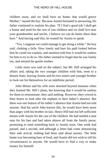children away, and we shall have no home; that would grieve Mother," mused the boy. Because Austin hesitated in answering, his father continued to explain his plan. "If I find a good job I shall get a house and send for the rest of you children and we shall live near your grandmother and uncles. I believe we can do better there than here." And having said this, he waited for Austin to speak.

"Yes, I suppose we could manage to get along a while," the boy said, choking a little. How lonely and bare his path looked before him he could not explain, and intuition told him it would be useless for him to try to do so. His father seemed to forget that he was lonely too, and missed the gentle mother.

Little more was said on the subject, but Mr. Hill arranged his affairs and, taking the two younger children with him, went to a distant State, leaving Austin and his two sisters and younger brother to look out for themselves for an indefinite period.

John Moore and his wife were shocked beyond measure when they learned Mr. Hill's plans, but knowing that it would be useless for them to remonstrate, they said nothing. However, they vowed in their hearts to look after the orphans in their father's absence. But there was one feature of his father's absence that Austin had not told anyone. Had his uncle John known this, he would have been more than angry with his brother-in-law. Henry Hill had not left sufficient means with Austin for the care of the children. He had needed a neat sum for his fare and had taken almost all from the family purse, promising to send something back to Austin soon. One week had passed, and a second, and although a letter had come announcing their safe arrival, nothing had been said about money. The little home was becoming bare of food, and Austin did not wish to tell his circumstances to anyone. He would have to find a way to make money for himself.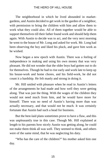The neighborhood in which he lived abounded in marketgardens, and Austin decided to get work in the garden of a neighbor, with permission to bring the children with him and allow them to work what they could also. All of them together would be able to support themselves till their father found work and should help them again. With Austin to decide was to act, and the very next morning he went to the house of Mr. Long and asked for work. Mr. Long had been observing the boy and liked his pluck, and gave him work as he wished.

Now began a new epoch with Austin. There was a feeling of independence in making and using his own money that was very pleasant. He did not wonder that the older boys had gotten out to do for themselves. Though he had to rise early and work late to keep up his house-work and home chores, and his field-work, he did not count it a hardship. He felt manly and strong in doing it.

Mr. Hill smiled with pleasure when he read in Austin's letters of the arrangements he had made and how well they were getting along. That was just the thing. With the wages of the children they would not need much from him, and he would have more for himself. There was no need of Austin's having more than was actually necessary, and that would not be much. It was certainly fortunate that Austin had such a head for business.

But the best-laid plans sometimes prove to have a flaw, and this was unpleasantly true in this case. Though Mr. Hill explained at length to his parents how nicely Austin was getting along, he could not make them think all was well. They seemed to think, and others were of the same mind, that he was neglecting his duty.

"Who has the care of the children?" his mother asked him one day.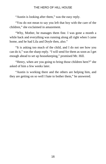"Austin is looking after them," was the easy reply.

"You do not mean to say you left that boy with the care of the children," she exclaimed in amazement.

"Why, Mother, he manages them fine. I was gone a month a while back and everything was running along all right when I came home, and he had Lila and Doyle then, also."

"It is asking too much of the child, and I do not see how you can do it," was the sharp reply. "I will send for them as soon as I get enough ahead to set up housekeeping," promised Mr. Hill.

"Henry, when are you going to bring those children here?" she asked of him a few weeks later.

"Austin is working there and the others are helping him, and they are getting on so well I hate to bother them," he answered.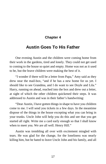#### **Chapter 4**

## <span id="page-22-0"></span>**Austin Goes To His Father**

One evening Austin and the children were coming home from their work in the gardens, tired and lonely. They could not get used to coming to the house so quiet and empty. Home was not as it used to be, but the brave children were making the best of it.

"I wonder if there will be a letter from Papa," Amy said as they drew near the mail-box, "and if he has a new home for us yet. I should like to see Grandma, and I do want to see Doyle and Lila." Harry, running on ahead, reached into the box and drew out a letter, at sight of which the other children quickened their steps. It was addressed to Austin and was in their father's handwriting:

"Dear Austin, I have gotten things in shape to have you children come to me. I will send you tickets in a few days. In the meantime dispose of the things in the house excepting what you can bring in your trunks. Uncle John will help you do this and see that you get started all right. Write me a card early enough so that I shall know when to meet you. We are all well. Henry Hill."

Austin was trembling all over with excitement mingled with tears. He was glad for the change, for the loneliness was nearly killing him, but he hated to leave Uncle John and his family, and all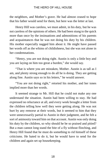the neighbors, and Mother's grave. He had almost ceased to hope that his father would send for them, but here was the letter at last.

Henry Hill was careless, we must admit, in his duty, but he was not careless of the opinions of others. He had been stung to the quick more than once by the insinuations and admonitions of his parents and acquaintances that he was not doing his duty by his children. His mother especially nagged him about it. He might have passed her words off as the whims of childishness, but she was not alone in her condemnations.

"Henry, you are not doing right. Austin is only a little boy and you are laying on him too great a burden," she would say.

"That is where you are mistaken, Mother. Austin is as tall as I am, and plenty strong enough to do all he is doing. They are getting along fine. Austin says so in his letters," he would answer.

"You are not doing right," retorted his mother, and her tones implied more than her words.

It seemed strange to Mr. Hill that he could not make any one understand the situation. Austin had been willing to stay. He had expressed no reluctance at all, and every week brought a letter from the children telling how well they were getting along. He was not hurt by any remorse at their words, but it seemed to him that they were unnecessarily partial to Austin in their judgment, and he felt a sort of animosity toward him on that account. Austin was only doing his duty by the children, so why should he be so praised and pitied? But a man cannot long stand the bite of a fly without flinching, and Henry Hill found that he must do something to rid himself of these criticisms. He hated to do it, but he would have to send for the children and again set up housekeeping.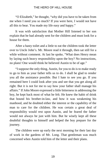"O Elizabeth," he thought, "why did you have to be taken from me when I need you so much? If you were here, I would not have all this to bear. You made my life easy and happy."

It was with satisfaction that Mother Hill listened to her son explain that he had already sent for the children and must look for a house for them.

After a hasty toilet and a little to eat the children took the letter over to Uncle John's. Mr. Moore read it through, then sat still for a while without comment. At last he spoke, "What does Henry mean by laying such heavy responsibility upon the boy? No instructions, no plans! One would think he believed Austin to be of age."

"I suppose the only thing, Austin, for you to do is to make ready to go to him as your father tells us to do. I shall be glad to render you all the assistance possible. But I hate to see you go. If you remained here I could look after you and see that you get along all right. But it is not for me to say how your father shall manage his affairs." If John Moore expressed a little bitterness in addressing the boy, he kept back most of what he felt. He knew the habit of drink that bound his brother-in-law, and how it was weakening his manhood, and he doubted either the interest or the capability of the man to care for the children. He was certain a great deal of responsibility would rest upon Austin, and he feared the father would not always be just with him. But he wisely kept all these doubtful thoughts to himself and helped the boy prepare for the journey.

The children were up early the next morning for their last day of work in the gardens of Mr. Long. That gentleman was much concerned when Austin told him of the letter and their plans.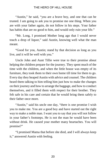"Austin," he said, "you are a brave boy, and one that can be trusted. I am going to ask you to promise me one thing. When you are with your father again, do not follow in his steps. Your father has habits that are no good to him, and would only ruin your life."

"Mr. Long, I promised Mother long ago that I would never touch a drop of liquor," said Austin, knowing well what the man meant.

"Good for you, Austin; stand by that decision as long as you live, and it will be well with you."

Uncle John and Aunt Tillie were true to their promise about helping the children prepare for the journey. They spent much of the time with the children, and when the little house was empty of its furniture, they took them to their own home till time for them to go. Every day they heaped Austin with advice and counsel. The children heard them talking to him telling him just how to make the changes on their journey and how to arrange the baggage, and how to conduct themselves, and it filled them with respect for their brother. They felt safe in his care and certain that he would bring them safely to their father once more.

"Austin," said his uncle one day, "there is one promise I wish you to make me. You are a good boy and have started out the right way to make a noble man. I want you to say that you will not follow in your father's footsteps. He is not the man he would have been without drink. He caused your mother many heartaches. You will promise?"

"I promised Mama that before she died, and I will always keep it," answered Austin with feeling.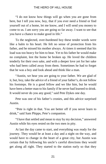"I do not know how things will go when you are gone from here, but I tell you now, boy, that if you ever need a friend or find yourself out of a home, let me know, and I will send you money to come to us. I am sorry you are going so far away. I want to see that you have a chance to make good in life."

To the neglected, over-burdened boy these tender words were like a balm to his heart. He felt no sense of protection from his father, and he missed his mother always. At times it seemed that his load was too heavy for him to bear. Yet to his father he would make no complaint, lest the home be broken up. He loved the children tenderly for their own sake, and with a deeper love yet for her sake who had been called away from them. Sometimes he had to forget that he was a boy and look ahead and think like a man.

"Austin, we hear you are going to your father. We are glad of it, but, boy, take the advice of a friend of your father's, do not follow his footsteps. He is a good fellow and we like him, but he would have been a better man to his family if he never had learned to drink. It would never do you any good," said Pete Dykes one day.

Pete was one of his father's cronies, and this advice surprised Austin.

"Pete is right in that. You are better off if you never learn to drink," said Sam Phipps, Pete's companion.

"I have that settled and mean to stay by my decision," answered Austin while his eyes rested on the two men in pity.

At last the day came to start, and everything was ready for the journey. They would be at least a day and a night on the way, and would have to change in the heart of a great city, but Austin was certain that by following his uncle's careful directions they would get along all right. They started to the station early so that they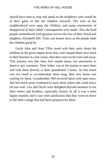should have time to stop and speak to the neighbors who would be at their gates to bid the children farewell. The eyes of the neighborhood were upon the children, and many expressions of disapproval of their father's management were made. Also the kind people remembered with genuine sorrow the loss of their friend and neighbor, Elizabeth Hill. Tears wet honest faces as the people bade the children good-by.

Uncle John and Aunt Tillie stood with their arms about the children as the great engine drew near, and clasped them once more to their bosoms in a last caress, then they were on the train and away. This journey was like their first month alone, too uneventful to deserve any comment. Their father was at the station to meet them and took them directly to their grandfather's home. As this home was too small to accommodate them long, their new home was waiting for them. Grandmother Hill received them with open arms. She felt much more contented to have them where she could know all was well. Lila and Doyle were delighted beyond measure to see their sisters and brothers, especially Austin. In all it was a most happy reunion, and it was with satisfaction that they went on down to the little cottage that had been prepared for them.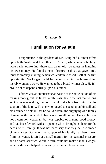#### **Chapter 5**

## **Humiliation for Austin**

His experience in the gardens of Mr. Long had a direct effect upon both Austin and his father. To Austin, whose manly feelings were early awakening, there was an untold sweetness in handling his own money. He found a keen pleasure in this that gave him a thirst for money-making, which was certain to assert itself at the first opportunity. No longer could he be satisfied in the house doing merely woman's work. He wanted to be a bread-winner also. He felt proud not to depend entirely upon his father.

His father was as enthusiastic as Austin at the anticipation of his making money, but the father's enthusiasm lay in the fact that so long as Austin was making money it would take less from him for the support of the family. To one who longed to spend upon himself and his accursed drink all that he could obtain, the supplying of a family of seven with food and clothes was no small burden. Henry Hill was not a common workman, but was capable of making good money, and had been favored with an opening which brought in plenty for the needs of his family. It was not necessary that they be in cramped circumstances But when the support of his family had been taken from his wages, it left but a small margin for his personal pleasure, and he hated sacrifice. While Austin could not make a man's wages, what he did earn helped remarkably in the family expenses.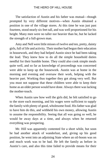The satisfaction of Austin and his father was mutual—though prompted by very different motives—when Austin obtained a position in one of the village stores. At this time he was just past fourteen, stood nearly six feet tall, and was well proportioned for his height. Many men were no taller nor heavier than he, but he lacked the strength of a full-grown man.

Amy and Nell were little misses of twelve and ten, pretty, dainty girls, full of life and activity. Their mother had begun their education in housework, and they had helped Austin since he had been taking the lead. They knew how to do all the simple household duties needful for their humble home. They could also cook simple meals quite well, and so far as knowledge of proceedings was concerned were able to keep up the housework. Austin was at home in the morning and evening and oversaw their work, helping with the heavier part. Working thus together they got along very well. But you must not suppose that these children were able to keep their home as an older person would have done. Always there was lacking the mother-touch.

When Austin saw how well the girls did, he felt satisfied to go to the store each morning, and his wages were sufficient to supply the family with plenty of good, wholesome food. His father was glad to have him do this, and withheld his own money, allowing Austin to assume the responsibility. Seeing that all was going so well, he would be away days at a time, and always when he returned everything was prospering.

Mr. Hill was apparently contented for a short while, but soon he had another attack of wanderlust, and, giving up his good position, he went into an adjoining State where an oil-boom was on and much work was to be had. He left the family as before in Austin's care, and also this time failed to provide means for their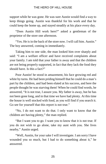support while he was gone. He was sure Austin would find a way to keep things going. Austin was thankful for his work and that he could keep the home up, and stayed steadily at his place every day.

"Does Austin Hill work here?" asked a gentleman of the proprietor of the store one afternoon.

"Yes. He is in the back of the store now. I will call him. Austin." The boy answered, coming in immediately.

Taking him to one side, the man looked him over sharply and said: "I am a welfare officer and have received complaints about your family. I am told that your father is away and that the children are not being properly supported, in fact that they lack the food they should have. Is this a fact?"

Poor Austin! he stood in amazement, his face growing red and white by turns. He had been priding himself that he could do a man's part by the children, and had been elated at his success, and here the people thought he was starving them! When he could find words, he answered, "It is not true, I assure you. My father is away, but he has not been gone long, and in that time we have had plenty. At this time the house is well stocked with food, as you will find if you search it. Go see for yourself that this report is not true."

"No, I do not want to do that. I only want to know that the children are having plenty," the man replied.

"But I want you to go. I want you to know that it is not true. If you do not wish to go alone, take my aunt with you. She lives nearby," Austin urged.

"Well, Austin, for your sake I will investigate. I am sorry I have wounded you so much, but I had to do something about it," he answered.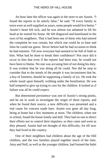An hour later the officer was again in the store to see Austin. "I found the reports to be utterly false," he said. "If every family in town were as well supplied as yours, some people would live better." Austin's heart felt sick, and he was almost too ashamed to lift his head as he started for home. He felt disgraced and humiliated in the eyes of his neighbors. That it had been one of them who had uttered the complaint he was certain, but which one could be so base and false he could not guess. Never before had he had occasion to think he had enemies. Till now everyone had seemed to be full of faith in him. What had he done to break their confidence? Not once did it occur to him that even if the reports had been true, he would not have been to blame. No one was accusing him of not doing his duty. It was evident that he was doing all he could. Nor did he stop to consider that to the minds of the people it was inconsistent that he, a boy of fourteen, should be supporting a family of six. He took the whole insult upon himself, writhing under the humiliation. He was half tempted to give up trying to care for the children. It looked as if failure was all he could expect.

But determined persistence was one of Austin's strong points, and he set to work to investigate the origin of these reports, and when he found their source, a new difficulty was presented and a real cause for concern made bare. Austin was gone all day long, being at home but a few moments at noon. The children, when not in school, found the house lonely and dull. They had no one to direct their efforts nor to control their impulses, so they came and went as they pleased. Austin had not thought of this difficulty, for till now they had lived in the country.

One of their neighbors had children about the age of the Hill children, and the two families played together much of the time. Amy and Nell, as well as the younger children, had formed the habit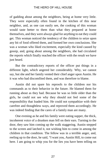of gadding about among the neighbors, being at home very little. They were especially often found in the kitchen of this near neighbor, and, as one can easily see, the cooking of this woman would taste better to them than what they prepared at home themselves, and they were always glad for anything to eat they could get. This woman noticed the tendency of the children to seize upon any bit of food offered them, and formed her own conclusions. She was a woman who liked excitement, especially the kind caused by gossip, and, going about among the neighbors, she had circulated the reports which finally reached the officer with the result we have just heard.

But the contradictory reports of the officer put things in a different light, which angered her considerably. Why, we cannot say, but she and her family vented their chief anger upon Austin. He it was who had discomfited them, and was therefore to blame.

Austin did not spare his reproofs to the children nor his commands as to their behavior in the future. He blamed them for running about as they had. Because he was so little older than the girls, he could not see why they should not feel some of the responsibility that loaded him. He could not sympathize with their carefree and thoughtless ways, and reproved them accordingly. He was indeed finding that the cares of a family man are many.

One evening as he and his family were eating supper, the thick, incoherent voice of a drunken man fell on their ears. Turning to the door, they saw him coming up the walk staggering. Austin stepped to the screen and latched it, not wishing him to come in among the children in that condition. The fellow was in a terrible anger, and, reeling up to the door, he said, "I want you, Austin Hill, to come out here. I am going to whip you for the lies you have been telling on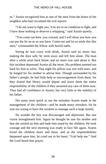us." Austin recognized him as one of the men from the home of the neighbor who had circulated the evil reports.

"I do not want to fight you. You are in no condition to fight, and I have done nothing to deserve a whipping," said Austin quietly.

"You come out here, you coward, and I will show you how you can put the lie on us as you have. Come out and let us settle this like men," commanded the fellow with horrid oaths.

Seeing he was crazy with drink, Austin said no more; but, making the door safe, he went away and left him alone. The man after a while went back home, and no more was said about it. But this incident depressed Austin all the more. His problem seemed too hard for him to solve. That night his pillow was wet with tears, and he longed for his mother to advise him. Though surrounded by his father's people, he had little help or encouragement from them, for they feared that Henry would depart and leave them the entire responsibility of the children if they assumed any care of them now. They had all confidence in Austin, but very little in the stability of his father.

His aunts were quick to see the mistakes Austin made in the management of the children—and he made many mistakes, for he was too young to have the wisdom to manage such a large family.

No wonder the boy was discouraged and depressed. But one vision strengthened him. Again he thought he saw his mother and that she smiled on him and bade him stand by the children. He took courage and the next morning was ready to face life again. Austin loved the children more and more, and as the responsibilities deepened upon him, he cried out in his heart, "God help me." And the Lord heard that prayer.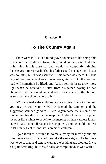#### **Chapter 6**

## <span id="page-34-0"></span>**To The Country Again**

There were in Austin's mind grave doubts as to his being able to manage the children in town. They could not be trusted to do the right thing in his absence, and would be constantly bringing themselves into reproach. That his father could manage them better was doubtful, but it was easier when his father was there. In those days of discouragement Austin was near giving up. But the heaviest load will sometime be lifted, and Austin felt his heart grow more light when he received a letter from his father, saying he had obtained work that suited him and had a house ready for the children as soon as they should come to him.

"Why not make the children ready and send them to him and you stay on with your work?" whispered the tempter, and the suggestion sounded good to Austin. Again came the vision of his mother and her desire that he keep the children together. He pitied the poor little things to be left to the mercies of their careless father. He was fast losing all respect for his parent, and he could not bear to let him neglect his mother's precious children.

Again it fell to Austin's lot to make ready for moving; but this time there was no Uncle John to take the oversight. The furniture was to be packed and sent as well as the bedding and clothes. It was a big undertaking, but was finally accomplished. It was with a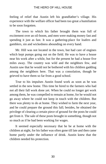feeling of relief that Austin left his grandfather's village. His experience with the welfare officer had been too great a humiliation to be soon forgotten.

The town to which his father brought them was full of excitement over an oil-boom, and men were making money fast and spending it just as fast. It was a gathering-place for loafers and gamblers, sin and wickedness abounding on every hand.

Mr. Hill was not located in the town, but had care of engines which kept pumps going out on the field. He was to have a house near his work after a while, but for the present he had a house five miles away. The country was wild and the neighbors few, and Austin saw that he would not be bothered with his children gadding among the neighbors here. That was a consolation, though he grieved to have them so far from a good school.

True to his impulses Austin found work as soon as he was settled in the new home. This time he hired to the farmers who had not all their fall work done yet. When he could no longer get work among them, he was compelled to remain at home, for he would not go away where he could not keep in touch with the children. But there was plenty to do at home. They wished to farm the next year, and he could prepare the ground this fall; besides, he obtained the privilege of clearing a certain piece of ground for the posts he could get from it. The sale of these posts brought in something, though not so much as if he had been working for wages.

It seemed especially necessary that he be at home with the children at night, for his father was often gone till late and then came home partly under the influence of drink. Austin knew that the children needed his protection.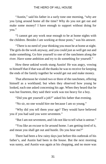"Austin," said his father in a surly tone one morning, "why are you lying around home all the time? Why do you not get out and make some money? I have enough to support without doing for you."

"I cannot get any work near enough to be at home nights with the children. Besides I am working at those posts," was his answer.

"There is no need of your thinking you must be at home at night. The girls do the work anyway, and you could just as well get out and make something. Go hire yourself to one of the ranchmen along the river. Have some ambition and try to do something for yourself."

How these unkind words stung Austin! He was angry, vowing to himself that if that was all the thanks he was to receive for keeping the ends of the family together he would get out and make money.

That afternoon he visited two or three of the ranchmen, offering himself as a workhand; but when they observed how young he looked, each one asked concerning his age. When they heard that he was but fourteen, they said their work was too heavy for a boy.

"Did you get yourself a job?" asked his father that evening.

"No sir, no one would hire me because I am so young."

"Why did you tell them your age? They would have believed you if you had said you were seventeen."

"But I am not seventeen, and I do not like to tell what is untrue."

"You like an excuse to lie around home. I am getting tired of it, and mean you shall get out and hustle. Do you hear me?"

There had been a few rainy days just before this outbreak of his father's, and Austin had been in the house. But the next morning was sunny, and Austin was again at his chopping, and no more was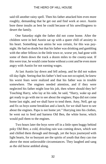said till another rainy spell. Then his father attacked him even more roughly, demanding that he get out and find work at once. Austin bore these insults as best he could because of his unwillingness to desert the family.

One Saturday night the father did not come home. After the children were in bed Austin sat up with a queer chill of anxiety in his heart. Something was amiss he was certain, for this was paynight. He had no doubt but that his father was drinking and gambling with the other fellows in the little town or, worse yet, had gone with some of them down the track a dozen miles to the county-seat. If this were true, he would come home without a cent and be even more angry with Austin for not earning wages.

At last Austin lay down and fell asleep, and he did not waken till day-light. Seeing that his father's bed was not occupied, he knew his worst fears were realized and that his father was in trouble somewhere. The engines needed attention, and if they were neglected his father might lose his job, then where should they be? Touching Harry, who lay at his side, he said, "Harry, wake up and get ready to go with me to see about the engines; Papa did not come home last night, and we shall have to tend them. Amy, Nell, get up and fix us boys some breakfast and a lunch, for we shall have to see about the engines. Papa is not home yet." Hurrying into his clothes, he went out to feed and harness Old Ben, the white horse, which would pull them to the engines.

Two hours later the boys were off in a little open buggy behind poky Old Ben; a cold, drizzling rain was coming down, which wet and chilled them through and through, yet the boys journeyed with light hearts, for so buoyant are the spirits of youth that they can rise above the most unfavorable circumstances. They laughed and sang as the old horse ambled along.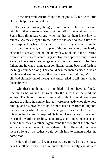At the first well Austin found the engine still, but with little Harry's help it was soon started.

The second engine, though, would not go. The boys worked with it till they were exhausted, but their efforts were without avail. Some little thing was wrong which neither of them knew how to remedy. As they stepped to the door of the shed to rest a little, to their surprise they heard the sound of voices. They were off from the main road a long way, and in a part of the country where they hardly expected to see any one on this rainy day. Looking in the direction from which the voices came, they saw two men approaching, driving a single horse. At closer range one of the men proved to be their father, and he was in a maudlin condition, reeling back and forth as the buggy bumped along. They could hear the men's voices in ribald laughter and singing. When they were near the building, Mr. Hill climbed clumsily out of the rig, and Austin tried to tell him what the difficulty was.

"Oh, that's nothing," he mumbled, "shoon have it fixed." Reeling as he walked, he went into the shed that sheltered the engine. The boys followed him, and while his mind was clear enough to adjust the engine, his legs were not steady enough to hold him up, and his boys had to hold him to keep him from falling into the machinery while he repaired the engine. It seemed to Austin at this time that he utterly despised his father. He wondered if he could ever feel toward this reeling, staggering, evil-minded man as a son should feel toward a father. Again came the thought of the children and what it would mean to leave them to him. He would not leave them so long as his father would permit him to remain under the home roof.

Before the hard, cold winter came, they moved into the house near his father's work. It was a lonely place with only a small yard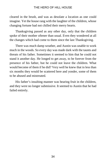cleared in the brush, and was as desolate a location as one could imagine. Yet the house rang with the laughter of the children, whose changing fortune had not chilled their merry hearts.

Thanksgiving passed as any other day, only that the children spoke of their mother oftener than usual. Even they wondered at all the changes which had come to them since the last Thanksgiving.

There was much damp weather, and Austin was unable to work much in the woods. So every day was made dark with the taunts and threats of his father. Sometimes it seemed to him that he could not stand it another day. He longed to get away, to be forever from the presence of his father, but he could not leave the children. What would become of them if he did? Very well he knew that in less than six months they would be scattered here and yonder, some of them to be abused and mistreated.

His father's insulting manner was bearing fruit in the children, and they were no longer submissive. It seemed to Austin that he had failed entirely.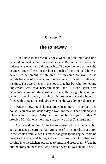# **Chapter 7**

# **The Runaway**

It had now rained steadily for a week, and the mud and drip everywhere made all outdoors unpleasant. But in the Hill home the indoors was even more disagreeable. The new home was near the engines. Mr. Hill was in the house much of the time, and he was never pleasant among his children. Austin could not work in the woods because of the rain, and his presence irritated his father all the time. They were never in the house together but what something unpleasant was said between them, and Austin's spirit was becoming worn with the constant rasping. He thought he could not endure it much longer, and since his presence made the home so filled with contention he doubted whether he was doing right to stay.

"Austin, how much longer are you going to lie around this house? You have not done a day's work in weeks. I can't stand your idleness much longer. Why can you not be like your brothers?" growled Mr. Hill one morning a day or two after Thanksgiving.

Austin said nothing, for he had exhausted all his arguments; but at that instant a determination formed itself in his mind to put a stop to the whole affair. When his father had gone to the engine-room he went to the attic and brought down his best suit of clothes and, coming into the kitchen, prepared to brush and press them. When he put the irons on the stove, Amy noticed what he was about to do.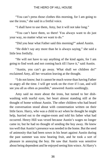"You can't press those clothes this morning, for I am going to use the irons," she said in a fretful voice.

"I shall have to use them, Amy, but it will not take long."

"You can't have them, so there! You always want to do just your way, no matter what we want to do."

"Did you hear what Father said this morning?" asked Austin.

"He didn't say any more than he is always saying," she said a little less fretfully.

"He will not have to say anything of the kind again, for I am going to find work and not coming back till I have it," said Austin.

"Austin, you can't go away. What shall we children do!" exclaimed Amy, all her vexation leaving at the thought.

"I do not know; but it cannot be much worse than having Father so angry all the time. I will get work on the river if I can, and will see you all as often as possible," answered Austin soothingly.

Amy said no more about the irons, but turned to her dishwashing with tearful eyes, her heart almost standing still at the thought of home without Austin. The other children who had heard the conversation stood about with consternation written on their little faces. Harry, who was a child to act when he thought he might help, hurried out to the engine-room and told his father what had occurred. Henry Hill was vexed because Austin's wages no longer came in; but he had no thought of sending the boy away. He knew too well that Austin's presence was needed in the home. But the seed of animosity that had been sown in his heart against Austin during the past summer was now bearing fruit, and he took a sort of pleasure in annoying the boy. He saw that Austin was sensitive about being dependent and he enjoyed seeing him wince. At Harry's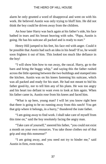alarm he only grunted a word of disapproval and went on with his work. He believed Austin was only trying to bluff him. He did not think the boy could be driven away from the children.

An hour later Harry was back again at his father's side, his face bathed in tears and his breast heaving with sobs. "Papa, Austin is going. He has his suitcase all packed and is ready to start."

Henry Hill jumped to his feet, his face red with anger. Could it be possible that Austin had such an idea in his head? If so, he would soon frighten it out of him. This looked too much like defiance in the boy!

"I will show him how to run away, the rascal. Harry, go to the barn and bring the buggy whip," and saying this the father rushed across the little opening between the two buildings and stamped into the kitchen. Austin was on his knees fastening his suitcase, which was all packed and ready for his start. He had not meant to bid his father good-by, nor to tell him any of his plans. He was too angry and his heart too defiant to want even to look at him again. When his father came in, Austin rose from his knees and faced him.

"What is up here, young man? I will let you know right here that there is going to be no running away from this ranch! You get that grip where it belongs, in a hurry," thundered the irate father.

"I am going away to find work. I shall take care of myself from this time on," said the boy resolutely facing the angry man.

"Take care of yourself," sneered his father, "you could not exist a month on your own resources. You take those clothes out of that grip and stop this nonsense!"

"I am going away, and you need not try to hinder me," said Austin in firm, even tones.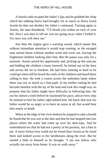A fearful oath escaped the father's lips and he grabbed the whip which the sobbing Harry had brought; for as much as Harry loved Austin he dare not disobey his father's command. Turning again to Austin, the man thundered, "I'll thrash you within an inch of your life. Don't you dare to tell me you are going away when I forbid it. For once you will obey me."

Just then the engine gave a warning sound, which meant that without immediate attention it would stop running, so the enraged man turned about without another word and went out, leaving the frightened children looking after him. But the pause was only for a moment. Austin seized his opportunity and, picking up the suitcase and bidding the children a hasty farewell, he bolted out of the door and across the lot to freedom. He had been running as hard as he could go when still he heard the wails of the children and heard them calling to him. He took a course across the unbroken lands where there was not so much as a foot-path. In his timber-cutting he had become familiar with the lay of the land and took this rough way on purpose that his father might have difficulty in following him. He ran for almost a mile before he slackened his pace, and at every step he seemed to feel his father right behind him. He knew that now his father would be so angry as to have no sense at all, but would beat him nearly to death.

When at the edge of the river-bottom he stopped to take a breath he found that he was wet to the skin and that he had stepped into low places where the water had come up over his shoe-tops. And he remembered too that he had not a penny in his pockets, nor a bite to eat. A more forlorn boy could not be found than Austin as he stood there and looked across to the farmhouses along the river. But he smiled a little to himself as he thought, "I am one fellow who actually ran away from home. It was no walk away."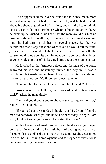As he approached the river he found the lowlands much more wet and marshy than it had been in the hills, and he had to wade above his shoes a good deal of the time, and still the heavy drizzle kept up. He made for a farmhouse where he hoped to get work. As he came up he wished in his heart that the man would ask him no questions about his condition; for he saw that besides the wet and mud, he had torn his clothes in several places. But he was determined that if any questions were asked he would tell the truth, just as it was. He would not shield either his father or himself. His cause should stand upon its own foundation. He believed that almost anyone would approve of his leaving home under the circumstances.

He knocked at the farmhouse door, and the man of the house answered his rap and hospitably invited the boy in. It was a temptation; but Austin remembered his soppy condition and did not like to soil the housewife's floors, so refused to enter.

"I am looking for work. Have you anything I can do?" he said.

"Are you not that Hill boy who wanted work a few weeks back?" asked the man kindly.

"Yes, and you thought you might have something for me later," replied Austin hopefully.

"If you had come yesterday I should have hired you; I found a man over at town last night, and he will be here today to begin. I am sorry I did not know you were still wanting the place."

With a heavy heart Austin turned from the door and journeyed on in the rain and mud. He had little hope of getting work at any of the other farms, and he did not know where to go. But he determined to do his best in seeking employment, and so stopped at every house he passed, asking the same question.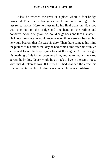At last he reached the river at a place where a foot-bridge crossed it. To cross this bridge seemed to him to be cutting off the last retreat home. Here he must make his final decision. He stood with one foot on the bridge and one hand on the railing and pondered. Should he go on, or should he go back and face his father? He knew the taunts he would receive even if he were not beaten; but he would bear all that if it was his duty. Then there came to his mind the picture of his father that day he had come home after his drunken spree and found the boys trying to start the engine. At the thought his loathing of his father overcame him, and he turned and walked across the bridge. Never would he go back to live in the same house with that drunken fellow. If Henry Hill had realized the effect his life was having on his children even he would have considered.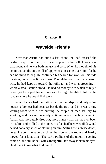# **Chapter 8**

# **Wayside Friends**

Now that Austin had cut his last shore-line, had crossed the bridge away from home, he began to plan for himself. It was now past noon, and he was both hungry and cold. When he thought of his penniless condition a chill of apprehension came over him, for he had no mind to beg. He continued his search for work on this side the river, but with as little success. Though he could hardly have told why, he had kept on toward the railroad, and was approaching it where a small station stood. He had no money with which to buy a ticket, yet he hoped that in some way he might be able to follow the road to where he could find work.

When he reached the station he found no depot and only a few houses; a box car had been set beside the track and in it was a tiny waiting-room with a fire burning. A couple of men sat idly by smoking and talking, scarcely noticing when the boy came in. Austin was thoroughly tired out, more hungry than he had ever been in his life, and chilled to the bone. His feet had been wet all day, and he had not a dry stitch of clothing on him. Setting the suitcase down, he sank upon the rude bench at the side of the room and hardly moved for a long time. The early twilight of the gloomy evening came on, and still he sat, with a thoughtful, far-away look in his eyes. He did not know what to do next.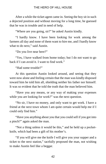After a while the ticket agent came in. Seeing the boy sit in such a dejected position and without moving for a long time, he guessed that he was in trouble and in need of help.

"Where are you going, sir?" he asked Austin kindly.

"I hardly know. I have been looking for work among the farmers all day and none of them want to hire me, and I hardly know what to do next," said Austin.

"Do you live near here?"

"Yes, I have walked from home today; but I do not want to go back if I can avoid it. I want to find work."

"Had some trouble?"

At this question Austin looked around, and seeing that they were now alone and feeling certain that the man was kindly disposed toward him he told him all, shielding neither his father nor himself. It was so evident that he told the truth that the man believed him.

"Have you any means, or any way of making your expenses while you are looking for work?" was the next question.

"No sir, I have no money, and only want to get work. I have a friend at the next town whom I am quite certain would help me if I could only find him."

"Have you anything about you that you could sell if you got into a pinch?" again asked the man.

"Not a thing unless it would be this," and he held up a pocketknife, which had been a gift of his mother's.

"If you will give me the knife I will give you your supper and a ticket to the next station," tactfully proposed the man, not wishing to make Austin feel like a beggar.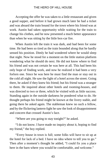Accepting the offer he was taken to a little restaurant and given a good supper, and before it had grown much later he had a ticket and was aboard the train bound for the town where his friend was at work. Austin had taken opportunity while waiting for the train to change his clothes, and he now presented a much better appearance than when he was sitting by the little box-car fire.

When Austin left the train it was dark, and had been for some time. He had been so tired as the train bounded along that he hardly sensed his position. Dimly he had wondered where he would sleep that night. Now he stood for a moment on the little station platform wondering what he should do next. He did not know where to find his friend and was not certain he was here at all. This had been his only hope of finding work, and now he realized it had been a very forlorn one. Since he was here he must find the man or stay out in the cold all night. He saw the light of a hotel across the street. Going there, he asked if they knew his friend; but his friend was a stranger to them. He inquired about other hotels and rooming-houses, and was directed to two or three, which he visited with as little success. Standing again in the outside darkness he pondered what to do. He thought perhaps his friend might be known at the livery stable, and going there he asked again. The stableman knew no such a fellow, and by the flickering lantern-light he saw the look of disappointment and concern that crossed Austin's face.

"Where are you going to stay tonight?" he asked.

"I do not know. I have made no inquiry about it, hoping to find my friend," the boy replied.

"Every house in town is full; some folks will have to sit up at the hotel for lack of a bed. I have no idea where to tell you to go." Then after a moment's thought he added, "I could fix you a place here in the barn where you would be comfortable, and welcome."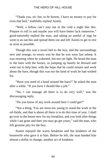"Thank you, sir; but, to be honest, I have no money to pay for even that bed," truthfully replied Austin.

"Well, a fellow can't stay out in the cold a night like this. Prepare to roll in and maybe you will have better luck tomorrow," good-naturedly replied the man, and taking an armful of rugs he went to an oat-bin and spread them out and left Austin to get to rest as soon as possible.

Though this was a novel bed to the boy, and the surroundings new and strange, so weary was he that he was soon fast asleep. It was morning when he wakened, but not yet light. He heard the man in the barn with the horses, so jumping up hastily he dressed and went out to help him, with the hope that he could remain and work about the barn, though this was not the kind of work he had wished for.

"Have you need of a hand around the barn?" he asked the man after a while. "If you have I should like a job."

"No, I can manage all there is to do very well," was the discouraging reply.

"Do you know of any work around here I could get?"

"Not a thing. You are most too young to stand the work in the oil-fields, and that is about all there is to do this time of year. I shall go over to the house now for my breakfast, and you look after things while I am gone and then you may go get yours," said the man, who felt genuine pity for the boy.

Austin enjoyed the warm breakfast and the kindness of the housewife who gave it to him. Before he left, the man handed him almost a dollar in change, another act of kindness.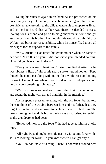Taking his suitcase again in his hand Austin proceeded on his uncertain journey. The money the stableman had given him would be sufficient to carry him to the village where his grandparents lived, and as he had heard that Wilbur was there, he decided to cease looking for his friend and go on to his grandparents' home and get assistance from his brother. He thought this would be only fair, for Wilbur had borne no responsibility, while he himself had given all his wages for the support of the family.

"Why, Austin!" exclaimed his grandmother when he came to her door. "Can this be you? I did not know you intended coming. How did you leave the children?"

"Everybody is well, thank you," primly replied Austin; for he was always a little afraid of his sharp-spoken grandmother. "Papa thought he could get along without me for a while, so I am looking for work. Do you know where I could find Wilbur? Perhaps he could help me get something right away."

"Will is in town somewhere; I see little of him. You come in and spend the night with us, and hunt him in the morning."

Austin spent a pleasant evening with the old folks; but he told them nothing of the trouble between him and his father, lest they might detain him and send word to his father where to find him. The next morning he found his brother, who was as surprised to see him as the grandparents had been.

"Hello, kid, how are the folks?" he had greeted him in a jolly tone.

"All right. Papa thought he could get on without me for a while, so I am looking for work. Do you know where I can get any?"

"No, I do not know of a thing. There is not much around here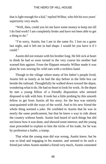that is light enough for a kid," replied Wilbur, who felt his two years' superiority very much.

"Well, then, could you let me have some money to keep me till I do find work? I am completely broke and have not been able to get a thing to do."

"I'm sorry, Austin, but I am in the same fix. I lost on a game last night, and it left me in bad shape. I would let you have it if I could."

Austin did not remain with his brother long. He felt sick at heart to think he had so soon turned to the very course his mother had warned him against. From the flippant remarks Wilbur made it was plain he was sowing his wild oats with a reckless hand.

Though in the village where many of his father's people lived, Austin felt as lonely as he had the day before in the little box car beside the railroad. Thoughtfully he walked down toward the depot, wondering what to do. He had no heart to look for work. At the depot he met a young fellow of a friendly disposition who seemed disposed to talk with him. It took but a little probing by this smooth fellow to get from Austin all his story; for the boy was entirely unacquainted with the ways of the world. And to his new friend the whole thing seemed a joke. He confided to Austin that he was in nearly the same predicament, but that he knew a way to ride about the country without funds. Austin had heard of such things but did not know how it was done, and showed some interest; and the young man proceeded to explain to him the tricks of his trade, for he was by profession a loafer, a tramp.

That what the young man did was wrong, Austin knew; but he was so kind and engaging in his manner, and seemed to be such a friend just when Austin needed a friend very much, Austin consented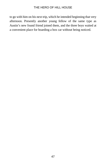to go with him on his next trip, which he intended beginning that very afternoon. Presently another young fellow of the same type as Austin's new found friend joined them, and the three boys waited at a convenient place for boarding a box car without being noticed.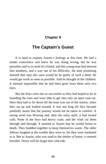# **Chapter 9**

# **The Captain's Guest**

It is hard to explain Austin's feelings at this time. He had a tender conscience and knew he was doing wrong; but he was penniless and so in need of a friend, and this young man had showed him kindness, and a way out of his difficulty. He kept promising himself that only this once would he be guilty of such a deed. He would get work as soon as possible. And he thought of the children. It seemed impossible that he had been gone from them only two days.

But the boys were not so successful as they had hoped to be in boarding the train and were able to get into only an open coal-car. Here they had to lie down till the train was out of the station, when they sat up and looked around. It was not long till they became painfully aware that the journey would not be taken in comfort. A strong wind was blowing and, after the rainy spell, it had turned cold. None of the boys had heavy coats, and the wind cut them through and through. It seemed to Austin that he would freeze to death. They huddled together to keep themselves warm. The older fellows laughed at the trouble they were in, for they were hardened to it. But to Austin, who was used to the shelter of home, it seemed horrible. Never will he forget that cold ride.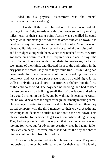Added to his physical discomforts was the mental consciousness of wrong-doing.

Just at nightfall the boys climbed out of their uncomfortable carriage in the freight-yards of a thriving town some fifty or sixty miles north of their starting-point. Austin was so chilled he could hardly walk, but managed to follow the other fellows up-town. It is needless to say that his initiation into the life of a "bum" was not pleasant. But his companions seemed not to mind their discomfort, and he trudged along with them. When they reached town, they first got something warm to eat, then inquired for a place to stay. The man of whom they asked understood their circumstances, for he had seen many of their kind, and directed them to the auditorium in the city park as the most likely place they would find. This building had been made for the convenience of public speaking, not for a dormitory, and was a very poor place to stay on a cold night. It had walls on only the east and north, but afforded a shelter from the force of the cold north wind. The boys had no bedding, and had to keep themselves warm by building small fires of the leaves and sticks they could pick up in the dark, and by walking. It seemed to Austin that he would never see the night through; but finally morning came. He was again treated to a warm meal by his friend, and then they parted company with the third member of their crowd. Austin and his companion decided to strike out on foot to the next town. This pleased Austin, for he hoped to get work somewhere along the way. They had not gone far until it was plain that his companion was not looking for work, but for adventure. Austin wished he had not fallen into such company. However, after the kindness the boy had shown him he could not turn from him coldly.

At noon the boys stopped at a farmhouse for dinner. They were not posing as tramps, but offered to pay for their meal. The family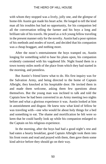with whom they stopped was a lively, jolly one, and the glimpse of home-life Austin got made his heart ache. He longed to tell the kind man all his troubles but had no opportunity, for his companion led all the conversation telling the farmer and his boys a long and brilliant tale of his travels. He posed as a rich young fellow traveling in the present manner only for the novelty. Austin had a poor opinion of his methods and modes of travel, and decided that his companion was a cheap braggart, and nothing more.

After the noon's entertainment the boys tramped on, Austin longing for something solid to base his plans upon, his companion evidently contented with his vagabond life. Night found them in a town twenty miles north of the place from which they had started in the morning, and penniless.

But Austin's friend knew what to do. His first inquiry was for the Salvation Army, and being directed to the home of Captain Albright, they knocked at his hospitable door. He invited them in and made them welcome, asking them few questions about themselves. But the young man was inclined to talk and told the Captain how he had been converted in an Army meeting two nights before and what a glorious experience it was. Austin looked at him in astonishment and disgust. He knew now what kind of fellow he was traveling with—one who would lie about holy things for a bed and something to eat. The shame and mortification he felt were so keen that he could hardly look up while his companion enlarged to the Captain on his religious experience.

In the morning, after the boys had had a good night's rest and had eaten a hearty breakfast, good Captain Albright took them into his front room and read and prayed with them, then gave them some kind advice before they should go on their way.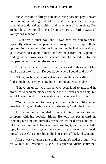"Boys, the kind of life you are now living does not pay. You are both young and strong and able to work, and you had better get something to do and stay with it and make men of yourselves. You are building now for all time and you can hardly afford to waste all your young manhood."

Austin was a quiet boy, and it was hard for him to speak, especially when his companion was so quick to occupy all the opportunity for conversation. All the morning he had been trying to get a chance to explain himself and get help from the Captain in finding work. Now was his chance, and he seized it, for his companion was silent on the subject of work.

"That is just what I want, sir. I am not used to this kind of life and I do not like it at all. Do you know where I could find work?"

"Right, my boy. You are welcome to remain with us till you can find something. Have you anything in mind you wish to do?"

"I have an uncle who has always been kind to me, and he promised to send me money and help me if I ever needed help, but as yet I have found no place to stay until I can hear from him."

"You are welcome to make your home with us until you can hear from him, and I advise you to write today," said the Captain.

Austin was only too glad to accept this offer and to part company with his doubtful friend. He took the postal card the captain gave him and hurriedly wrote his cry of distress and got it into the morning mail. His heart was now light, and he expected a reply in three or four days at the longest. In the meantime he made himself as useful as possible in the household of the kind Captain.

After a week a letter came to the Captain's address, but it was for Wilbur Hill instead of Austin. This puzzled Austin somewhat,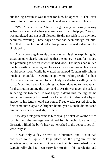but feeling certain it was meant for him, he opened it. The letter proved to be from his cousin Frank, and was in answer to his card.

"Will," the letter ran, "start east right away, working your way as best you can, and when you are nearer, I will help you." Austin was perplexed and not at all pleased. He did not wish to try anymore penniless traveling. Three days of that had been enough for him. And that his uncle should fail in his promise seemed indeed unlike Uncle John.

Austin wrote again to his uncle, a letter this time, explaining the situation more clearly, and asking that the money be sent for his fare and promising to return it when he had work. His hopes had rallied much in writing the letter, and he was sure a more favorable answer would come soon. While he waited, he helped Captain Albright as much as he could. The Army people were making ready for their Christmas celebration, and found plenty for Austin's willing hands to do. Much food and old clothing had been donated to the Captain for distribution among the poor, and to Austin was given the task of gathering this together. He was happy in doing this, feeling that he was at least earning his board. But he could not understand why an answer to his letter should not come. Three weeks passed since he first came into Captain Albright's home, yet his uncle did not send him money nor acknowledge his letter.

One day a telegram came to him saying a ticket was at the office for him, and the message was signed by his uncle. Joy almost to distraction filled the boy's heart as he rushed to the depot to see if it were truly so.

It was only a day or two till Christmas, and Austin had consented to fill quite a large place on the program for the entertainment, but he could not wait now that his message had come. Captain Albright had been sorry for Austin in his perplexity and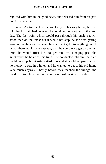rejoiced with him in the good news, and released him from his part on Christmas Eve.

When Austin reached the great city on his way home, he was told that his train had gone and he could not get another till the next day. The fast train, which would pass through his uncle's town, stood then on the track; but it would not stop. Austin was getting wise in traveling and believed he could not get into anything out of which there would be no escape; so if he could once get on the fast train, he would trust luck to get him off. Dodging past the gatekeeper, he boarded this train. The conductor told him the train could not stop, but Austin waited to see what would happen. He had no money to stay in a hotel, and he wanted to get to his old home very much anyway. Shortly before they reached the village, the conductor told him the train would stop just outside for water.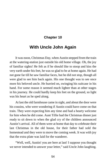# **Chapter 10**

# **With Uncle John Again**

It was noon, Christmas Day, when Austin stepped from the train at the watering-station just outside his old home village. Oh, the joy of familiar sights! He felt as if he should like to stoop and kiss the very earth under his feet, he was so glad to be at home again. He had not gone far till he saw familiar faces, but he did not stop, though all were glad to see him back again. His one thought was to see once more his beloved uncle. He hurried on, swinging his suitcase in his hand. For some reason it seemed much lighter than at other stages in his journey. He could hardly keep his feet on the ground, so light was his heart as he sped along.

At last the old farmhouse came in sight, and about the door were his cousins, who were wondering if Austin could have come on that train. They were expecting him any time and had a hearty welcome for him when he did come. Aunt Tillie had the Christmas dinner just ready to sit down to when the glad cry of the children announced Austin's arrival. All of them were at home that day to celebrate their last Christmas in the old house, for their father had sold the homestead and they were to move the coming week. It was with joy that the extra plate was laid for the wanderer.

"Well, well, Austin! you are here at last! I suppose you thought we never intended to answer your letter," said Uncle John laughing.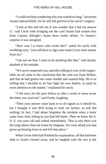"I could not help wondering why you waited so long," answered Austin reproachfully, for he still felt grieved at his uncle's neglect.

"Look at this and tell me if you wonder that I did not answer it," said Uncle John bringing out the card Austin had written him from Captain Albright's home three weeks before. To Austin's surprize it was unsigned.

"How was I to know who wrote this?" asked his uncle with twinkling eyes, "you will have to sign your name if you want money from me."

"I do not see how I came to do anything like that," said Austin, abashed at his mistake.

"We never suspected you, and after talking it over at the suppertable we all came to the conclusion that the card was from Wilbur, and that he had gotten into some trouble and wanted help. He is so trifling that I decided to let him fight his own battles, so paid no more attention to the matter," explained his uncle.

"I felt sorry for the poor fellow so after a week or more wrote the letter you received," said Frank, laughing.

"Then your answer came back to us all signed as it should be, but I thought it was Will trying to trick me further, so still did nothing. In fact, I had about forgotten the incident when a letter came from Amy telling us you had left home. Then we knew the S. O. S. was your call and waked immediately. That is why there was the long silence then the ticket by telegram. We were afraid you had given up hearing from us and left that place."

When Uncle John had finished his explanation, all that had been dark to Austin cleared away, and he laughed with the rest at the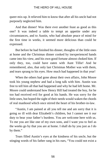queer mix-up. It relieved him to know that after all his uncle had not purposely neglected him.

And that dinner! Was there ever another feast as good as this one? It was indeed a table to tempt an appetite under any circumstances, and to Austin, who had absolute peace of mind for the first time in weeks, it seemed more delicious than could be expressed.

But before he had finished his dinner, thoughts of the little ones at home and the Christmas dinner cooked by inexperienced hands came into his view, and his own good fortune almost choked him. If only they, too, could have eaten with Aunt Tillie! And he remembered, also, that only last Christmas Mother was with them, and tears sprang to his eyes. How much had happened in that year!

When the others had gone about their own affairs, John Moore took his young nephew and had a long talk with him. Austin was free to tell him all that had happened and why he had left home. Mr. Moore could understand how Henry Hill had treated the boy, for he too had received evil for good at his hands. He was sorry for the little ones, but hoped the sight of their needs would waken the chords of real manhood which once stirred the heart of his brother-in-law.

"Austin, I am pained at all you tell me and am sorry that it is going so ill with dear Elizabeth's children, but I cannot see it our duty to bear your father's burdens. You are welcome here with us. To me you are like one of my own sons, and I want you to feel as the weeks go by that you are at home. I shall do by you just as I do by them."

Tears filled Austin's eyes at the kindness of his uncle, but the stinging words of his father rang in his ears, "You could not exist a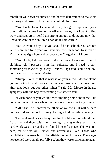month on your own resources," and he was determined to make his own way and prove to him that he could do for himself.

"No, Uncle John, I cannot do that, though I appreciate your offer. I did not come here to live off your money, but I want to find work and support myself. I am strong enough to do it, and now that I have no care of the children I can do it I am certain."

"But, Austin, a boy like you should be in school. You are not yet fifteen, and for a year you have not been in school to speak of. You can stay right here and go every day," urged Mr. Moore.

"No, Uncle, I do not want to do that now. I am almost out of clothing. All I possess is in that suitcase, and I need to earn something for myself right away. Besides, Papa said I could not look out for myself," persisted Austin.

"Humph! Well, if that is what is on your mind, I do not blame you for going to work. Prove that you can take care of yourself and after that look out for other things," said Mr. Moore in hearty sympathy with the boy for resenting his father's taunt.

"I wish none of you would write anything home about me. I do not want Papa to know where I am nor one thing about my affairs."

"All right; I will inform the others of your wish. It will be hard on the children, but as for Henry, he ought to do a little worrying."

The next week was a busy one for the Moore household, and Austin helped them with their moving, staying with them till the hard work was over, and then found himself a place. This was not hard, for he was well known and universally liked. Those who would hire him knew him to be reliable beyond his years. The wages he received were small, pitifully so, but they were sufficient to again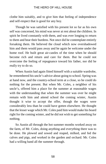clothe him suitably, and to give him that feeling of independence and self-respect that is good for any boy.

Though he was satisfied with his present lot so far as his own self was concerned, his mind was never at rest about the children. In spirit he lived constantly with them, and was ever longing to return to them and bear their burdens. Not once did he contemplate entirely forsaking them. He believed the cloud which now overshadowed him and them would pass away and he again be welcome under the home roof. He built great air-castles of the time when he should become rich and return and care for them. But he could not overcome the feeling of repugnance toward his father, nor did he really try to do so.

When Austin had again fitted himself with a suitable wardrobe, he remembered his uncle's advice about going to school. Spring was at hand now, and the country-school term at a close, so he could do nothing for the present. But when Mr. Coles, a neighbor of his uncle's, offered him a place for the summer at reasonable wages with the understanding that when the summer was over he might remain with him and attend school the coming winter, Austin thought it wise to accept the offer, though the wages were considerably less than he could have gotten elsewhere. He thought that the lesser wage which Mr. Coles paid him would make his board right for the coming winter, and he did not wish to get something for nothing.

So Austin all through the hot summer months worked away on the farm, of Mr. Coles, doing anything and everything there was to be done. He plowed and sowed and reaped, milked, and fed the calves and pigs, and worked in the garden and orchard. Mr. Coles had a willing hand all the summer through.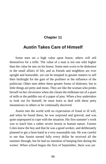# **Chapter 11**

# **Austin Takes Care of Himself**

Some men set a high value upon honor, others will sell themselves for a trifle. The value of a man is not one whit higher than the value he sets on his honor. Some men scorn to be dishonest in the small affairs of life, and as friends and neighbors are ever upright and honorable, yet can be tempted in greater matters to sell their birthright for the gain of the profiteer or the influence of the politician. Other men abhor these greater forms of dishonor, but in little things are petty and mean. They are like the woman who prides herself on her cleverness when she cheats the milkman out of a quart of milk or the peddler out of a paper of pins. When a boy undertakes to look out for himself, he must learn to deal with these petty meannesses in others or be continually deceived.

Austin met the world with no expectation of fraud or ill will, and when he found these, he was surprised and grieved, and was quite unprepared to cope with the situation. His first summer's work was to teach him a rather severe lesson in human nature. Farmer Coles knew the boy and that he was a good worker, and deliberately planned to get a farm-hand at a very reasonable rate. He was careful to see that Austin earned fully every dollar he received all the summer through, but he had no intention of keeping him during the winter. When school began the first of September, there was yet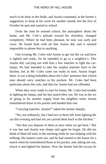much to be done in the fields, and Austin consented, at the farmer's suggestion, to keep at his work for another month, but the first of October he quit and started to school.

From the time he entered school, the atmosphere about the home, and Mr. Cole's attitude toward his choreboy, changed completely. Where he had been pleasant, he now was surly and cross. He found fault with all that Austin did, and it seemed impossible to please him in anything.

One evening Mr. Coles told Austin to get out the car and have it lighted and ready, for he intended to go to a neighbor's. This Austin did, carrying out with him a few matches to light the carlamps. He had intended to take the surplus matches back to the kitchen, but as Mr. Coles came out ready to start, Austin forgot them. It was a thing forbidden about the Coles' premises that a hired man should carry matches in his pockets. Mr. Coles had been particular about this rule, and thus far Austin had not offended.

When they were ready to start for home, Mr. Coles had trouble in lighting his lamps, and his last match blew out. He was in the act of going in for another supply from his neighbor when Austin remembered those in his pocket and handed him one.

"Carrying matches, Austin?" asked the farmer sharply.

"No, not ordinarily, but I had two or three left from lighting the car this evening and had not yet carried them back to the kitchen."

"See that you dispose of them at once when we get back." But it was late and Austin was sleepy and again he forgot. He did not think of them till early in the morning while he was helping with the milking. His lantern went out, and he had started to the house for a match when he remembered those in his pocket, and, taking one out, struck it and lighted his lantern. Now the farmer had the excuse he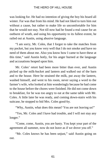was looking for. He had no intention of giving the boy his board all winter. Far was that from his mind. He had not liked to turn him out without a cause, but rather to make life so uncomfortable for him that he would not stay. Not till now had he found a real cause for an outburst of wrath, and using his opportunity to its fullest extent, he railed out at Austin, using abusive language.

"I am sorry, Mr. Coles, that I forgot to take the matches from my pocket, but you know very well that I do not smoke and have no need of them about me. Also you know how I came to have these at this time," said Austin hotly, for his anger burned at the language and accusations heaped upon him.

Mr. Coles' retort had been more bitter than ever, and Austin picked up the milk-bucket and lantern and walked out of the barn and to the house. Here he strained the milk, put away the lantern, washed himself, and went to his room, never saying a word to the farmer's wife, who looked at him wonderingly because he had come to the house before the chores were finished. He did not come down to breakfast, for he was too angry to eat at the same table with Mr. Coles. A little later he was ready, and coming down-stairs with his suitcase, he stopped to bid Mrs. Coles good-by.

"Why, Austin, what does this mean? You are not leaving us!"

"Yes, Mr. Coles and I have had trouble, and I will not stay any longer."

"Come, come, Austin, you are hasty. You kept your part of the agreement all summer, now do not leave as if we drove you off."

"Mr. Coles knows he has been unjust," said Austin going on out.

61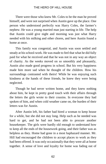There were those who knew Mr. Coles to be the man he proved himself, and were not surprised when Austin gave up the place. One person who understood perfectly was Harry Coles, the farmer's nephew. He was a young married man just starting in life. The help that Austin could give night and morning was just what Harry needed with his milking and other chores, and here Austin found a home at once.

This family was congenial, and Austin was soon settled and steady at his school-work. He was made to feel that what he did fully paid for what he received and that he was not in any way an object of charity. As the weeks moved on so smoothly and pleasantly, Austin also made good progress in school. But his very happiness made him more sad when he thought of the children. How his surroundings contrasted with theirs! While he was enjoying such kindness at the hands of these friends, he knew they were being neglected.

Though he had never written home, and they knew nothing about him, he kept in pretty good touch with their affairs through the letters the girls wrote to their cousins. In everyone they had spoken of him, and when cold weather came on, the burden of their letters was for Austin.

After Austin left, his father had hired a woman to keep house for a while, but she did not stay long. Help such as he needed was hard to get, and he had not been able to procure another housekeeper. The girls were hardly old enough to understand how to keep all the ends of the housework going, and their father was as helpless as they. Home had gone in a most haphazard manner. Mr. Hill had encouraged the children to accept places to work as they had been offered. It was only occasionally that they were all at home together. A sense of love and loyalty for home was fading out of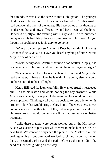their minds, as was also the sense of moral obligation. The younger children were becoming rebellious and evil-minded. All this Austin read between the lines of the letters. His heart ached as he thought of his dear mother and how different it would have been had she lived. He would be jolly all the evening with Harry and his wife, but when he lay upon his bed, his pillow was often wet with his tears. As yet, though, he could not see it his duty to go home.

"Where do you suppose Austin is? Does he ever think of home? I wonder if he is yet alive. Have you heard anything of him?" wrote Amy in one of her letters.

"Do not worry about Austin," her uncle had written in reply; "he is able to care for himself, and I am certain he is getting on all right."

"Listen to what Uncle John says about Austin," said Amy as she read the letter, "I have an idea he is with Uncle John, else he would not be so confident he is all right."

Henry Hill read the letter carefully. He wanted Austin, he needed him. He had his lesson and would not nag the boy anymore. While Austin was patient, it was plain to be seen that he would not stand to be trampled on. Thinking it all over, he decided to send a letter to his brother-in-law that would bring the boy home if he were there. It was not to be a harsh or authoritative letter, but an appeal for the children. He knew Austin would come home if he had assurance of better treatment.

While these matters were being worked out in the Hill home, Austin was tasting of pleasures which were to make him see life in a new light. We cannot always see the plan of the Master in all his dealings with us, but afterward we look back and know that when the way seemed darkest and the path before us the most dim, the hand of God was guiding all the way.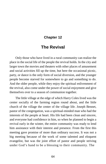# **Chapter 12**

# **The Revival**

Only those who have lived in a rural community can realize the place in the social life of the people the revival holds. In the city and larger town the movies and theaters with other places of amusement and social activities fill up the time, but here the occasional picnic, party, or dance is the only form of social diversion, and the younger people become starved for somewhere to go and something to do. And the older people, while they enjoy the spiritual enlivenment of the revival, also come under the power of social enjoyment and give themselves over to a season of communion together.

The little village at the edge of which Harry Coles lived was the center socially of the farming region round about, and the little church of the village the center of the village life. Joseph Bennet, pastor of the congregation, was a spiritual-minded man who had the interests of the people at heart. His life had been clean and sincere, and everyone had confidence in him, so when he planned to begin a revival early in the winter, the entire community was ready to lend him assistance with their interest and presence. From the first this meeting gave promise of more than ordinary success. It was not a big meeting because of the work of some talented and eloquent evangelist, but was the joint effort of pastor and people striving under God's hand to be a blessing to their community. The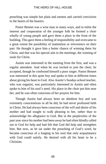preaching was simple but plain and earnest and carried conviction to the hearts of the hearers.

Pastor Bennet was a wise man in many ways, and to enlist the interest and cooperation of the younger folk he formed a choir wholly of young people and gave them a place in the front of the building. This gave them a feeling of responsibility and overcame to a great extent the possibility of inattention or irreverence on their part. He thought it gave him a better chance of winning them for Christ, and that was his special aim in the meetings, the winning of souls for Christ.

Austin was interested in the meeting from the first, and was a regular attendant. And when he was invited to join the choir, he accepted, though he confessed himself a poor singer. Pastor Bennet was interested in this quiet boy and spoke to him at different times about giving his heart to God. Also Austin's Sunday-school teacher, who was organist, was particularly interested in Austin and often spoke to him of his soul's need. His place in the choir put him near her, and he was often conscious of her prayers for him.

Though Austin had always been an obedient boy and was extremely conscientious in all he did, he had never professed faith in Christ. He had always been conscious of the will and desire of his mother and had sought to walk pleasing to her, rather than to acknowledge his allegiance to God. But in the perplexities of the past year since his mother had been away he had often blindly called out to God for help and had felt that God did help and strengthen him. But now, as he sat under the preaching of God's word, he became conscious of a longing in his soul that only acquaintance with God could satisfy. He desired with all his heart to be a Christian.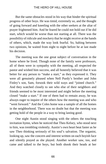But the same obstacles stood in his way that hinder the spiritual progress of other boys. He was timid, extremely so, and the thought of going forward and kneeling with the other seekers at the altar of prayer frightened him. And he feared he could not hold out if he did start, which would be worse than not starting at all. There was the possibility of ridicule and mockery that he might receive at the hands of others, which, made the way look fearful. So, halting between two opinions, he waited from night to night before he at last made his decision.

The meeting was the one great subject of conversation in the home where he lived. Though none of the family were professors, all of them were in sympathy with the meeting, all respected the pastor and wished him success, and all honestly believed that it was better for any person to "make a start," as they expressed it. They were all genuinely pleased when Nell Purdy's brother and John Finley's son, Sam, forsook their wild ways and "joined church." And they watched closely to see who else of their neighbors and friends seemed to be most interested and might before the meeting closed "make a start." If one of them had to remain away, he was always eager to inquire of the others how the meeting was and who "went forward." And the Coles home was a sample of all the homes in the neighborhood. There was no doubt but that the meeting was getting hold of the people in a way to bring lasting good.

One night Austin stood singing with the others the touching invitation hymn, when he noticed that Theo Kelsey, who stood next to him, was trembling violently. Austin's own heart beat faster as he saw Theo thinking seriously of his soul's salvation. The organist, looking up, saw the concern and interest written on each boyish face and silently prayed as she played. Another worker saw, too, and came and talked to the boys, but both shook their heads at her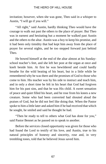invitation; however, when she was gone, Theo said in a whisper to Austin, "I will go if you will."

"All right," said Austin, hardly thinking Theo would have the courage to walk out past the others to the place of prayer. But Theo was in earnest and hesitating but a moment he walked past Austin and the others to the altar. Austin was a boy to keep his promise, and it had been only timidity that had kept him away from the place of prayer for several nights, and he too stepped forward just behind Theo.

He bowed himself at the end of the altar almost at his Sundayschool teacher's feet, and she left her post at the organ at once and knelt beside him. At first he was bewildered and could hardly breathe for the wild beating of his heart, but in a little while he remembered why he was there and the promises of God to those who come to him. His teacher was by his side to instruct and teach him, and in only a short time he felt in his heart that God had forgiven him for his past sins, and that he was His child. A sweet sensation of peace and quiet filled his heart, and he rose from his knees a new creature. Some who had been converted had shouted aloud the praises of God, but he did not feel like doing that. When the Pastor spoke to him a little later and asked him if he had received that which he sought, he smiled and said he thought he had.

"Then be ready to tell to others what God has done for you," said Pastor Bennet as he passed on to speak to another.

Before the services closed opportunity was given for those who had found the Lord to testify of his love, and Austin, true to his natural principles of honesty and sincerity, rose and, in very trembling tones, told that he believed Jesus saved him.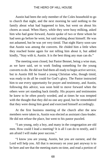Austin had been the only member of the Coles household to go to church that night, and the next morning he said nothing to the family about what had happened to him, but went on about his chores as usual. When Harry, while they were busy milking, asked him who had gone forward, Austin spoke of two or three whom he had seen go before he went, but said nothing about himself. He was not ashamed, but he was yet very timid. That night Harry soon saw that Austin was among the converts. He chided him a little when they reached home again for not telling him about it, but added kindly, "Stay with it, Austin. It is the best thing any man can do."

The meeting soon closed, but Pastor Bennet, being a wise man, as we have said, set to work finding something for the young converts to do. He did not find them all ready to begin active service, but in Austin Hill he found a young Christian who, though timid, was ready to do all he could for God's glory. The Pastor instructed him to use every opportunity for prayer and testimony, and Austin, following this advice, was soon bold to move forward when the others were yet standing back timidly. His prayers and testimonies he knew to be often poorly worded, and at times he was tempted with the thought that they did no one any good, but he remembered that they were doing him good and exercised himself accordingly.

At the first business meeting of the church after the new members were taken in, Austin was elected as assistant class-leader. He did not refuse the place, but went to his pastor puzzled.

"I am young, only a boy, and many in the congregation are old men. How could I lead a meeting? It is all I can do to testify, and I am afraid I will make poor success."

"I know you are young, Austin, but you are earnest, and the Lord will help you. All that is necessary on your part anyway is to be here and see that the meeting starts on time, and read a portion of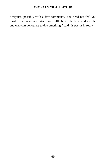Scripture, possibly with a few comments. You need not feel you must preach a sermon. And, for a little hint—the best leader is the one who can get others to do something," said his pastor in reply.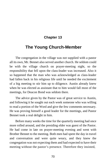# **Chapter 13**

# **The Young Church-Member**

The congregation in the village was not supplied with a pastor all its own, Mr. Bennet also served another church. He seldom could be with the village church on prayer-meeting night, so the responsibility that fell upon the class-leader was increased. Also it so happened that the man who was acknowledged as class-leader had fallen back in his religious life until he needed the excitement of a big meeting to stir him up to diligence. Austin already knew when he was elected as assistant that to him would fall most of the meetings, for Deacon Bond was seldom there.

The advice given by the Pastor was of great service to Austin, and following it he sought out each week someone who was willing to read a portion of the Word and give the few comments necessary. He was proving himself a good leader for the meetings, and Pastor Bennet took a real delight in him.

Before many weeks the time for the quarterly meeting had once more rolled around, and the presiding elder was guest of the Pastor. He had come in late on prayer-meeting evening and went with Brother Bennet to the meeting. Both men had spent the day in travel and conversation and were quite weary, and they knew the congregation was not expecting them and had expected to have their meeting without the pastor's presence. Therefore they insisted,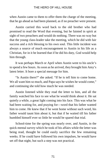when Austin came to them to offer them the charge of the meeting, that he go ahead as had been planned, as if no preacher were present.

Austin carried this word back to the old brother who had promised to read the Word that evening, but he fainted in spirit at sight of two preachers and would do nothing. There was no way but that the young class-leader take the meeting, which he did with fair success and a rich blessing to his own soul. This little incident was always a source of much encouragement to Austin in his life as a Christian, for in it he learned that if he did his duty, God would help him through.

It was perhaps March or April when Austin went to his uncle's to spend a few hours. As soon as he arrived, they brought him Amy's latest letter. It bore a special message for him.

"Is Austin there?" she asked. "If he is tell him to come home. We all want him so much, and Papa says he wishes he would come," and continuing she told how much he was needed.

Austin listened while they read the letter to him, and all the family watched his face to see what he would think about it. He sat quietly a while, a great light coming into his face. This was what he had been waiting for, and praying for—word that his father wanted him to come. He knew that if he went home without such word, his father would taunt him about it, but that if he waited till his father humbled himself ever so little he would be spared that trial.

School-time for the spring was nearly over, and Austin, in the quick mental survey which he took of his affairs while the letter was being read, thought he could easily sacrifice the few remaining weeks. If he could have followed his own impulses, he would have set off that night, but such a step was not practical.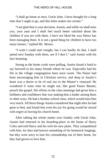"I shall go home at once, Uncle John. I have thought for a long time that I ought to go, and this letter makes me certain."

"I am glad that is your decision, Austin, and while we shall miss you, your aunt and I shall feel much better satisfied about the children if you are with them. I have not liked the way Henry has been managing them. It is not a good thing for children to have too many homes," replied Mr. Moore.

"I wish I could start tonight, but I can hardly do that. I shall spend next Sunday with them, see if I don't," said Austin with his face beaming.

Strong as the home cords were pulling, Austin found it hard to say farewell to his many friends where he was. Especially had his life in the village congregation been most sweet. The Pastor had been encouraging him in Christian service, and deep in Austin's heart was a desire to be of real use in the Master's vineyard. He wondered if some time he might not, like good Pastor Bennet, preach the gospel. His efforts in the class meetings had given him a boldness and confidence that was making him a leader among them in other ways. He had a Sunday-school class, which would miss him very much. All these things Austin considered that night after he had gone to bed, and found that even his joy for going would be mixed with regret at leaving his church home.

After talking the whole matter over frankly with Uncle John, Austin had returned to his boarding-place in the home of Harry Coles and told Harry and his wife his new plans. They sympathized with him, for they had known something of his homesick longings, but they were sorry to lose his comradeship out of their home, for they had grown to love him.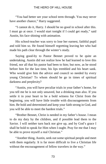"You had better see your school term through. You may never have another chance," Harry suggested.

"I cannot do it, Harry. I should be no good in school after this. I must go at once. I would start tonight if I could get ready," said Austin, his face shining with animation.

His school-teacher was sorry to lose her earnest, faithful pupil and told him so. He found himself regretting leaving her who had made his path clear through the winter's study.

Saying good-by to Pastor Bennet proved to be quite an undertaking. Austin did not realize how he had learned to love this friend, nor all that his pastor had been to him; but now, as he stood before him for the last time, his lips trembled and his heart sank. Who would give him the advice and council so needed by every young Christian? To whom should he go in times of spiritual darkness and perplexity?

"Austin, you will have peculiar trials in your father's home, for you tell me he is not only unsaved, but a drinking man also. If you settle it in your heart to be a bold witness for Christ from the beginning, you will have little trouble with discouragements from him. Be bold and determined and keep your faith strong in God, and you will be able to meet the hardest trials."

"Brother Bennet, Christ is needed in my father's house. I mean to do my duty by the children, and if possible lead them to the Savior. I will neither turn back nor give up, and by God's grace I shall be bold to speak for Him when I ought. Pray for me that I may be able to prove myself a real Christian."

"Another thing, Austin, seek out some spiritual people and meet with them regularly. It is far more difficult to live a Christian life without the encouragement of fellow travelers in the way."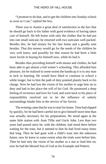"I promise to do that, and to get the children into Sunday-school as soon as I can," replied the boy.

There was to Austin a great deal of satisfaction in the fact that he should go back to his father with good evidence of having taken care of himself. He left home with only the clothes that he had put into one small suitcase; he returned with two suitcases well packed. Besides this, he had money for his fare home and a goodly sum besides. That this money would go for the needs of the children he very well knew, and possibly for that reason he had been a little more lavish in buying for himself now, while he had it.

Besides thus providing himself with means and clothes, he had been able to get almost a full winter's schooling. This afforded him pleasure, for he realized to some extent the handicap it is to any man to lack in learning. He would have liked to continue in school a while longer, but to him the path of duty pointed plainly back to his charge. Now he had lost the vision of his mother to urge him on to duty and had in her place the will of his God. He possessed a deep feeling of reverence and love for God, and went back to his place of responsibility resolved not to let the influence of unholy surroundings hinder him in the service of his Savior.

The evening came that he was to start for home. Time had slipped by quickly, for he had been careful not to give himself more time than was actually necessary for his preparations. He stood again at the same little station with Aunt Tillie and Uncle John. Less than two years had passed since he, with the children, had stood there before waiting for the train, but it seemed to him he had lived many times that long. Then he had gone with a child's trust into the unknown future, now he knew to some extent what the trials were before him. Then he had only the vision of his mother as a star to lead him on, now he had the blessed Son of God as his Example and Pattern.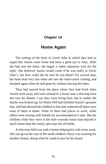## **Chapter 14**

# **Home Again**

The writing of the letter to Uncle John in which they had so urged that Austin come home had been a great joy to Amy. After she had sent the letter, she began a rather impatient wait for the reply. She believed Austin would come if he was really at Uncle John's, but how could she be sure he was there? For several days her heart beat very fast when she saw the mail-carrier coming, and drooped again when he had gone by without leaving the letter.

They had moved from the place where they had lived when Austin went away and were instead in a house near a thriving town not very far distant. I say they were living here, but in reality the family was broken up, for Henry Hill had fulfilled Austin's greatest fear, and had allowed the children to become scattered till there were none of them at home. Some of them had places to work, while others were staying with friends for accommodation's sake. But the children while they were in the little wayside house had enjoyed it much better than the lonely spot near the oil-fields.

At this time Nell was with a farmer helping his wife in her work. She was given the care of the small children. Harry was working for another farmer, doing what he could to pay for his board.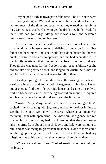Amy helped a lady in town part of the time. The little ones were cared for by strangers. Will had come to his father, and the two men worked most of the time, but spent what they earned as rapidly as they earned it. It was hard now to get the drink they both loved, for their State had gone dry. Altogether it was a torn and scattered family Austin was to find on his return.

Amy had not made the best of a success as housekeeper. She hated work in the house, cooking and dish-washing especially. If her father had been more kind, she would have done better, but he was quick to criticize and slow to approve, and she had been glad to see the family scattered that she might be free from the drudgery. Though she was glad for the freedom from responsibility, yet she did not like being drifted about, and longed for Austin. She knew he would lift the load and make it easier for all of them.

One day a young fellow alighted from the passenger-coach with a suitcase in each hand and a look of eagerness in his face. He set out at once to find the little wayside house, and came to it only to find it a bachelor's camp, there being no children about. He inquired and learned where he could find Amy and the little ones.

"Austin! Amy, Amy, look! Isn't that Austin coming?" Lila's excited little voice rang with joy. Amy rushed to the door in time to see the little ones well down the street where a tall man was receiving them with open arms. She knew him at a glance and ran to meet him as fast as they had run. It seemed that she could never take her arms from about his neck. Doyle and Lila were clinging to him, and he was trying to greet them all at once. None of them could get through pressing their rosy lips to his cheeks. If he had had any misgivings as to his welcome, they were quick to dispel them.

"Where are Nell and Harry?" asked Austin when he could get his breath.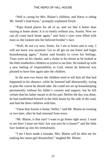"Nell is caring for Mrs. Blaine's children, and Harry is riding Mr. Smith's lead horse," promptly explained Doyle.

"Papa found places for all of us, and we like it better than staying at home alone. It is so lonely without you, Austin. Now we can all come back home again," and Amy's eyes were filled with tears as she looked into her beloved brother's face.

"Well, do not cry now, Sister, for I am at home and to stay. I will not leave you anymore. Let us all get on out home and begin housekeeping again," Austin said bruskly to cover his feelings. Tears were on his cheeks, and a choke in his throat as he looked at the little motherless children so joyful to see him. He looked up with a new feeling of responsibility to God, whom he believed was pleased to have him again take the children.

In the next two hours the children tried to tell him all that had happened in his absence, while he listened half abstractedly, trying to plan the course he should take. He could not set up housekeeping permanently without his father's consent and support, but he felt certain that his father meant to do his part. Before the day was done, he had established himself in the little house by the side of the road, and had the three children with him.

"I hear that Austin is home, Nellie," said Mr. Blaine an evening or two later, after he had returned from town.

"Mr. Blaine, is that true? I want to go home right away. I want to see him! I must see him! Are you sure he is home?" and the little face looked up into his tremulously.

"I see I have made a mistake. Mrs. Blaine will be after me for making her nurse-girl dissatisfied," laughed Mr. Blaine.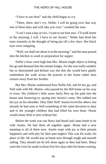"I have to see him!" and the child began to cry.

"There, there, don't cry, Nellie. I will be going over that way one of these days and will take you over," soothed the man.

"I can't wait a day or two. I want to see him now. I'll walk home in the morning, I will. I have to see Austin." Nellie had dried her tears instantly at the thought of being put off a few days. Her black eyes were snapping.

"Well, we shall see about it in the morning," and the man passed into the kitchen to wash in preparation for supper.

Nellie's fears were high that Mrs. Blaine might object to letting her go and demand that she remain longer, for she was really needed; but so determined and defiant was she that she would have gladly undertaken the walk across the prairies to her home rather than remain away from her brother.

But Mrs. Blaine understood how Nellie felt, and let her go, and Nell rode with Mr. Blaine, who passed by the Hill home on his way to town. His children's little nurse fairly flew up the path into the house and, bouncing in, sprang into Austin's arms. She sobbed out her joy on his shoulder. Dear little Nell! Austin loved the others, but already he had seen in Nell something of the same devotion to duty and to the younger children that had filled his own heart. Home would mean little to him without her.

Before the week was out Harry had heard and came home to be with Austin. He had them all together again. Home had a new meaning to all of them now. Austin wept with joy at their present happiness and with pity for their past neglect This was his work, his place in life. He would stay at home now through rough and smooth sailing. They should not be left alone again as they had been. Many were the vows he made in those first few days after his home-coming.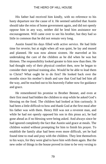His father had received him kindly, with no reference to his hasty departure nor the cause of it. He seemed satisfied that Austin should take the reins of home government again, and did not openly oppose him in any way, neither did he lend him assistance nor encouragement. Will came over to see his brother, but they had so little in common that he did not remain very long.

Austin found his days filled with active service. He had little time for reverie; but at night when all was quiet, he lay and mused and planned. He was now almost sixteen. He marveled at his undertaking the care of the children as he did when he was but thirteen. The responsibility looked greater to him now than then. He had thought only of their physical comfort then, now he began to consider their spiritual training also. Would he be able to lead them to Christ? What ought he to do first? He looked back over the months since his mother's death and saw that God had led him all the way, and he reached out to his heavenly Father now for guidance and grace.

He remembered his promise to Brother Bennet, and even at their first meal had bidden the children to stop while he asked God's blessing on the food. The children had looked at him curiously. It had been a little difficult to bow and thank God at the first meal after his father was with them. Henry Hill was not a reverent man, and while he had not openly opposed his son in this pious act, he had gone ahead as if no blessing were being asked. And always since he had ignored completely the fact that Austin said grace at meals. The children waited without prompting for him to finish his prayer. To establish the family altar had been even more difficult, yet he had found time to read and pray with the children. They lent themselves to his ways, for they were glad to have him with them again. But the new order of things in the house proved in time to be very vexing to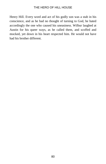Henry Hill. Every word and act of his godly son was a stab in his conscience, and as he had no thought of turning to God, he hated accordingly the one who caused his uneasiness. Wilbur laughed at Austin for his queer ways, as he called them, and scoffed and mocked, yet down in his heart respected him. He would not have had his brother different.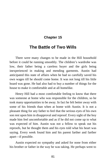# **Chapter 15**

# **The Battle of Two Wills**

There were many changes to be made in the Hill household before it could be running smoothly. The children's wardrobe was low, their father being a careless buyer and the girls being inexperienced in making and mending garments. Austin had anticipated this state of affairs when he had so carefully saved his own wages till he should come home. It was not long till his little hoard was gone. He had also had to buy a number of things for the house to make it comfortable and at all homelike.

Henry Hill had a most comfortable feeling to know that there was someone at home who was responsible for the children, so he took many opportunities to be away. In fact he felt better away with some of his friends than when at home with Austin. It is not a pleasant thing for any father to feel that the serious eyes of his own son rest upon him in disapproval and reproof. Every sight of the boy made him feel uncomfortable and as if he did not come up to what was expected of him. Austin was not a fellow to speak out his reproofs, but he thought them and his eyes told what his heart was saying. Every week found him and his parent farther and farther apart—if possible.

Austin expected no sympathy and asked for none from either his brother or father in the way he was taking. He perhaps went to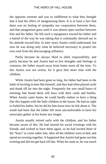the opposite extreme and was so indifferent to what they thought that it had the effect of antagonizing them. It is at least a fact that there was no feeling of sympathy nor cooperation between them, and that antagonism grew until it was almost open warfare between him and his father. He felt such a repugnance toward his father and a hatred of the way he was taking that it continually showed out in his attitude toward him. In later years Austin could understand, but now he was doing only what he believed necessary to protect his own soul from the discouraging influence.

Partly because he always liked to shirk responsibility, and partly because he and Austin had so few thoughts and feelings in common, the father stayed away from home more all the time. To this Austin was not averse, for it gave him more time with the children.

While Austin had been gone so long, his father had been in the habit of inviting in men like himself, and they had often played cards and drank till far into the night. Frequently the wee small hours of morning had found them still busy with their cards and bottles. When Austin came home, he could hardly endure to have a thing like this happen with the little children in the house. He had no right to forbid his father, but he did let him know how he felt about it. The result had been that the father felt most uncomfortable to have his associates gather at his home any longer.

Austin usually retired early with the children, and his father became aware of this. He had missed his social evenings with his friends, and wished to have them again, so he had invited three of the "boys" to come rather late, after all the children were in bed, and spend an evening together. It happened that Austin had gone out that evening and did not get back till late. When he came in, he was much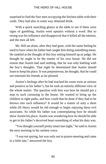surprised to find the four men occupying the kitchen-table with their cards. They had also in some way obtained drink.

With a quick searching glance at the table to see if there were signs of gambling, Austin went upstairs without a word. But so strong was his influence and disapproval that it killed all the interest, and the men all left.

Mr. Hill sat alone, after they had gone, with the same feeling he used to have when his father had caught him doing something mean. He rankled at the thought of this boy setting himself up as judge. He thought he ought to be the master of his own house. He did not reason that Austin had said nothing, that he was only battling with the boy's thoughts. That night he determined that Austin should learn to keep his place. It was preposterous, he thought, that he could not entertain his friends as he pleased.

Austin's feelings after he had reached his room were as serious and positive as his father's, but he took an entirely different view of the whole matter. The question with him was how he should put a stop to such carousing in the house. He wanted to bring up the children in right paths, and how could that be done if they had to be thrown into such influence? It would be a matter of only a short while till Harry would be old enough to begin enjoying these evil associates. So while his father was contemplating how he should show Austin his place, Austin was wondering how he should be able to get to his father's deceived heart something of what his duty was.

"You thought yourself pretty smart last night," he said to Austin the next morning in his surliest voice.

"I was not spying, but was only out to prayer-meeting and came in a little late," answered the boy.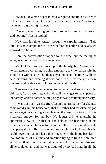"Looks like a man ought to have a right to entertain his friends in his own house without being ordered about by a boy," continued the man in a growling manner.

"Nobody was ordering you about, so far as I know. I am sure I said nothing," Austin replied.

Now was his time, Austin thought, to explain himself. "I do think it is no example for you to set before the children to have such a crowd in," he said.

Here the conversation stopped for the time, but the feeling of antagonism only grew by the encounter.

Mr. Hill had promised to support the family; but Austin, when he had gotten everything to going smoothly, saw no reason why he should not work also, rather than stay at home all the time. With his help morning and evening it was not difficult for the girls, now fourteen and twelve years old, to do the work nicely.

This was a welcome decision to his father, and soon it was the old story, Austin working and giving all his wages to the support of the family, and his father helping only as was positively necessary.

It was not many weeks after Austin's return home (for changes came rapidly in this household) that the father had forsaken his job and was again wandering about, leaving the family on Austin. It was a serious outlook for the boy. No longer did he entertain the optimistic view of life that he had held in the beginning of his experiences. When he was fourteen, he felt as if he should be able to support the family like a man, now at sixteen he knew that he could never do that and keep them together in the home besides. It took too much of his time and ambition trying to train the children and direct their minds in the right channels. His father was drinking all he could obtain and that was liquor of a very bad kind. In all, the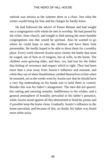outlook was serious as the summer drew to a close. Just what the winter would bring for him and his charges he hardly knew.

He had followed the advice of Pastor Bennet and had sought out a congregation with whom he met in worship. He had passed by the richer, finer church, and sought to find among the more humble congregations one that would be spiritual. Also he wanted to go where he could hope to take the children and have them look presentable. He hardly hoped to be able to dress them for a wealthy place. Every week showed Austin more clearly the battle that must be waged, not of fists or of tongues, but of wills, in the home. The children were growing older, and they, too, had lost for the father that feeling of reverence and respect which is right. They had been more than a year away from Austin's influence and restraint, and while they out of sheer thankfulness yielded themselves to him when he returned, yet as the weeks went by Austin saw that he should have a very big undertaking on his hands just to hold them in control. Besides this was his father's antagonism. The men did not quarrel, but cutting and sneering remarks, indifference to his wishes, and a general atmosphere of hostility prevailed in his father's presence, while Austin stood against all this determined to hold his points and if possible keep the home clean. Gradually Austin's influence in the home prevailed, and because of this, no doubt, his father was found more often away.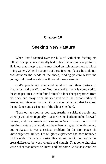# **Chapter 16**

# **Seeking New Pasture**

When David roamed over the hills of Bethlehem feeding his father's sheep, he occasionally had to lead them into new pastures. He knew that sheep to thrive must feed on rich grasses and drink of living waters. When he sought out these feeding-places, he took into consideration the needs of the sheep, finding pasture where the young could feed as safely as those who were stronger.

God's people are compared to sheep and their pastors to shepherds, and the Word of God preached to them is compared to the good pastures. Austin found himself a lone sheep separated from his flock and away from his shepherd with the responsibility of seeking out his own pasture. But you may be certain that he asked the guidance and assistance of the Chief Shepherd.

"Seek out as soon as you can, Austin, a spiritual people and worship with them regularly," Pastor Bennet had said in his farewell counsel, and these words kept ringing in Austin's ears. To a boy of less timid nature this would not have been so great an undertaking, but to Austin it was a serious problem. In the first place his knowledge was limited. His religious experience had been bounded by life under the care of Pastor Bennet, and he did not realize the great difference between church and church. That some churches were richer than others he knew, and that some Christians were less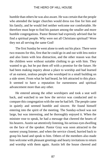humble than others he was also aware. He was certain that the people who attended the larger churches would dress too fine for him and his family, and he would feel neither welcome nor comfortable. He therefore must hope to find his pasture among the smaller and more humble congregations. Pastor Bennet had expressly advised that he find a spiritual people. Why were not all Christians spiritual? Were they not all serving the same God!

The first Sunday he went alone to seek out his place. There were two reasons for this, first that he could go in and out with less notice and also listen with less distraction, and the other reason was that the children were without suitable clothing to go with him. They wanted to go, but he put them off with a promise for the future. He had been making inquiry about a place to worship and had learned of an earnest, zealous people who worshiped in a small building on a side street. From what he had heard, he felt attracted to this place. It seemed to have a reputation for earnestness and spiritual advancement more than any other.

He entered among the other worshipers and took a seat well back, and watched to see how the service was conducted and to compare this congregation with the one he had left. The people came in quietly and seemed humble and sincere. He found himself entering into the spirit of the meeting. The Sunday-school was not large, but was interesting, and he thoroughly enjoyed it. When the minister rose to speak, he had a message that cheered the hearts of his hearers. Austin sat attentively listening, his serious eyes dwelling on the face of the speaker. Pastor Gray was soon attracted to the earnest young listener, and when the service closed, hurried back to grasp his hand and speak to him. Others of the members also made him welcome with pleasant greetings and hearty invitations to return and worship with them again. Austin left the house cheered and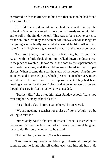comforted, with thankfulness in his heart that so soon he had found a feeding-place.

He told the children where he had been and that by the following Sunday he wanted to have them all ready to go with him and enroll in the Sunday-school. This was to be a new experience for the children, for they had been out of Sunday-school so long that the younger ones hardly knew what it would be like. All of them from Amy to Doyle were glad to make ready for the new experience.

The next Sunday morning was a busy one, but in due time Austin with his little flock about him walked down the dusty street to the place of worship. He was met at the door by the superintendent and made welcome, and the children were placed in their proper classes. When it came time for the study of the lesson, Austin took an active and interested part, which pleased his teacher very much and attracted the attention of the superintendent. They had been needing a teacher for the boys' class, and at once that worthy person thought she saw in Austin just what was needed.

"Brother Hill," she asked him after Sunday-school, "have you ever taught a Sunday-school class?"

"Yes, I had a class before I came here," he answered.

"We are needing a teacher for a class of boys. Would you be willing to take it?"

Immediately Austin thought of Pastor Bennet's instruction to his young converts, to take hold of any work that might be given them to do. Besides, he longed to be useful.

"I should be glad to do so," was his answer.

This class of boys was a real blessing to Austin all through the summer, and he found himself taking each one into his heart. He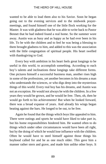wanted to be able to lead them also to his Savior. Soon he began going out to the evening services and to the midweek prayermeetings, and found himself one of the little flock working for the Master. It was with gladness that he was able to write back to Pastor Bennet that he had indeed found a real home. So the summer wore away. Austin was as busy and as happy as he had ever been in his life. To be with the children and to feel he was being a blessing to them brought gladness to him, and added to this was the association with the little congregation of spiritual people. His heart swelled with thanksgiving to God.

Every boy with ambition in his heart feels great longings to be useful in this world, to accomplish something. According to each boy's talents and inclinations these longings take different forms. One pictures himself a successful business man, another rises high in some of the professions, yet another becomes in his dreams a man who understands the sciences, or who digs deep into the mysterious things of this world. Every real boy has his dreams, and Austin was not an exception. He would not always be with the children. In a few years they would be grown, and he would be free. Then, oh, then he would go forth to his achievements! But when he looked forward, there was a broad expanse of years. And already his wings began beating against the bars. He longed to be out, to be free.

Again he found that the things which boys like appealed to him. There were outings and sports he would have liked to take part in, but his home responsibilities hindered him. He wanted often to do things which under other circumstances would have been all right, but by the doing of which he would lose influence with the children. Often he would have to steel himself against those things his boyhood called for and be as one much older. This gave him a manner rather stern and grave, and made him unlike other boys. It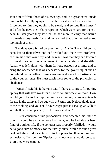shut him off from those of his own age, and to a great extent made him unable to fully sympathize with his sisters in their girlishness. It seemed to him they ought to be steady and serious like himself, and often he gave them sharp reproofs, which were hard for them to bear. In later years they saw that he had more to carry than nature had made a boy ready for; and he realized that often he had asked too much of them.

The days were full of perplexities for Austin. The children had been left to themselves and had worked out their own problems, each in his or her own way, and the result was that they had lowered in moral tone and were in many instances crafty and deceitful. Austin was left alone with them for long periods at a time, and to bring the obedience that was necessary for the governing of such a household he had often to use sternness and even to chastise some of the younger ones. He must teach them some of the principles of obedience.

"Austin," said his father one day, "I have a contract for putting up hay that will give work for all of us for six weeks or more. How would you like to load up the family and enough cooking-utensils for use in the camp and go out with us? Amy and Nell could do most of the cooking, and you could have wages just as I shall give Wilbur. We shall be in camp steady till the work is done."

Austin considered this proposition, and accepted his father's offer. It would be a change for all of them, and he had always been fond of outdoor life. If the contract was properly fulfilled, it would net a good sum of money for the family purse, which meant a great deal. All the children entered into the plans for their outing with enthusiasm. To live like Gipsies for a few weeks would be great sport they were certain.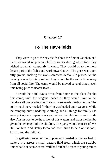# **Chapter 17**

# **To The Hay-Fields**

They were to go to the hay-fields about the first of October, and the work would keep them a full six weeks, during which time they wished to remain constantly in camp. They would go to the more distant part of the fields and work toward town. The grass was upon hilly ground, making the work somewhat tedious in places. As the country was only thinly settled, they would be the entire time away from all social life. The camp would be moved several times, each time being pitched nearer town.

It would be a full day's drive from home to the place for the first camp, with the wagons loaded as they would have to be, therefore all preparations for the start were made the day before. The bulky machinery needed for haying was loaded upon wagons, while the camping-outfit, bedding, clothing, and all things for family use were put upon a separate wagon, where the children were to ride also. Austin was to be the driver of this wagon, and from the first be given the oversight of the children. The party would consist of Mr. Hill, Wilbur, Ned Bailey (who had been hired to help on the job), Austin, and the children.

In gathering together the implements needed, someone had to make a trip across a small pasture-field from which the scrubby timber had not been cleared. Will had hitched a team of young mules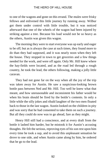to one of the wagons and gone on this errand. The mules were frisky fellows and enlivened this little journey by running away. Wilbur got them under control with little trouble, but it was noticed afterward that one of the wheels of the wagon had been injured by striking against a tree. Because his load would not be so heavy as the others, Austin was given this wagon.

The morning they were to start everyone was up early and eager to be off; but as is always the case at such times, they found more to do than they had supposed, and it was nearly noon when they left the house. They stopped in town to get groceries and a few things needed for the work, and were off again. Only Mr. Hill knew where the hay-fields were located, and as the road led through a rough country, he took the lead, the others following, making a jolly little caravan.

They had not gone far on the way when all the joy of the trip was taken away for Austin. He saw a suspicious-looking brown bottle pass between Ned and Mr. Hill. Too well he knew what that meant, and how unreasonable and inconsistent his father would be when his brain should be fired by the bottle's contents. In only a little while the silly jokes and ribald laughter of the two men floated back to those in the last wagon. Austin looked on the children in pity and was sorry that he had consented to take them on such a journey. But all they could do now was to go ahead, fare as they might.

Henry Hill still had a conscience, and at every draft from the bottle it lashed him harder, but he mistook it for Austin's accusing thoughts. He felt the serious, reproving eyes of his son rest upon him every time he took a sup, and to avoid this unpleasant sensation he drove to one side, and when Austin came along by him, he ordered that he go to the lead.

92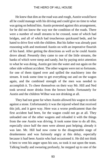He knew that dim as the road was and rough, Austin would have all he could manage with his driving and could give no time to what was going on behind him. Austin protested against this arrangement, for he did not know the way nor the condition of the roads. There were a number of small streams to be crossed, none of which had bridges, and all of which had treacherous quicksand beds, and he hated to drive first with the children. But his father was already past reasoning with and motioned Austin on with an imperative flourish of his hand. After getting the directions as well as he could Austin drove ahead. Presently they came to one of the little streams, the banks of which were steep and sandy, but by paying strict attention to what he was doing, Austin got into the water and out again on the other side without accident. The other wagons were not so fortunate, for one of them tipped over and spilled the machinery into the stream. It took some time to get everything out and on the wagon again, and the combined strength of the men was needed to accomplish it. To cheer themselves on their way Mr. Hill and Ned took several more drinks from the brown bottle. Fortunately for Austin and the children Wilbur was not drinking at all.

They had not gone far when Austin allowed his wagon to strike against a stone. Unfortunately it was the injured wheel that received this jolt, and it gave way. Here was a worse predicament than the first accident had been, for the wagon could not go at all. They unloaded one of the other wagons and reloaded it with the things from the one Austin was driving. It took some time to do all this, especially since half the men were almost past helping; already it was late. Mr. Hill had now come to the disagreeable stage of drunkenness and was furiously angry at this delay, especially because it had been Austin who had occasioned it. He did not think it best to vent his anger upon his son, so took it out upon the team. Talking loudly and swearing profusely, he stepped up to one of the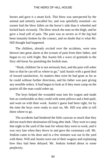horses and gave it a smart kick. This blow was unexpected by the animal and entirely uncalled for, and was spitefully resented—no sooner had the blow fallen on the horse's side than it wheeled and kicked back viciously. The blow struck the man on the thigh, and he gave a loud yell of pain. The pain was as severe as if the leg had been instantly broken by the contact, and no doubt that is what Mr. Hill thought had happened.

The children, already excited over the accidents, were now thrown into great alarm at the scream of pain from their father, and began to cry with fright. But Austin felt a wave of gratitude to the fiery old horse for punishing the foolish man.

"Hush, children! he is not seriously hurt, and the pain will sober him so that he can tell us where to go," said Austin with a good deal of inward satisfaction. As matters then were he had gone as far as he could without further directions, and his father was past giving any sensible orders. It had begun to look as if they must camp on the prairie till the man could sober up.

The boys helped the wounded man into his wagon and made him as comfortable as they could with some pillows and a bed-quilt, and went on with their work. Austin's guess had been right, for by the time the boys were ready to start on, Mr. Hill was able to tell them where to go.

The accidents had hindered the little caravan so much that they did not reach their destination till long after dark. They were to camp that night in the yard of the man for whom they were to work, and it was very late when they drove in and gave the customary call. Mr. Jenkins came to his door and in a few minutes was out in the yard with them. Will and Austin were out of their wagons and explaining how they had been delayed. Mr. Jenkins looked about in some perplexity.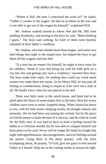"Where is Hill, the man I contracted the work to?" he asked. "Father is yonder in the wagon. He had an accident on the way and is not able to get out of the wagon by himself," explained Will.

Mr. Jenkins walked around to where Ned and Mr. Hill were nodding drunkenly, and turning to the boys he said, "Been drinking I guess." The boys said nothing, for both of them were heartily ashamed of their father's condition.

Mr. Jenkins, who had a kinder heart than tongue, said some very hard things that night to the stupid men, but helped the boys to get them off the wagons and into bed.

"If a man has no respect for himself, he ought to have some for his children. Think of your dad being out with his little girls on a trip like this and getting into such a condition," stormed their host. The boys made little reply, for nothing they could say could mend matters nor make them less mean. As for Henry Hill, he was past all feeling or consideration, being as stupid as if he were not a man at all. He hardly knew when he was placed in his bed.

There was little room in the ranch-house, and beds had to be piled upon the floors of some empty bins in the barn. Here the weary children were soon in sweet, forgetful sleep. When Austin lay down to rest, with his little sisters sleeping nearby, he thought soberly and earnestly. His lot had been cast among the wicked, but by the grace of God he meant to make the best of it anyway, and do what he could for the little ones. It was hard to have as kind a feeling toward his father as a Christian should, but he was able to conquer himself and keep peace in his soul. Never will he forget the battle he fought that night with apprehensions, discouragements, and evil feelings toward his parent. Lying there in the dusty granary with the mice scampering about, he prayed, "O God, give me grace to feel toward Father as I should. Help me in the coming weeks to always do right.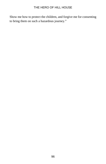Show me how to protect the children, and forgive me for consenting to bring them on such a hazardous journey."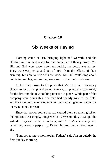# **Chapter 18**

# **Six Weeks of Haying**

Morning came at last, bringing light and warmth, and the children were up and ready for the remainder of their journey. Mr. Hill and Ned were sober now, and luckily the bottle was empty. They were very cross and out of sorts from the effects of their drinking, but able to help with the work. Mr. Hill could limp about on his injured leg, and so they were soon off to their first camp.

At last they drove to the place that Mr. Hill had previously chosen to set up camp, and soon the tent was up and the stove ready for the fire, and the few cooking-utensils in place. While part of the company were doing this, one man had already gone to the field, and the sound of the mower, as it cut the fragrant grasses, came in a merry tune to their ears.

Since the brown bottle that had caused them so much grief on their journey was empty, things went on very smoothly in camp. The girls did very well with the cooking, with Austin's ever-ready help when they were in perplexity. Everything took on a more hopeful air.

"I am not going to work today, Father," said Austin quietly the first Sunday morning.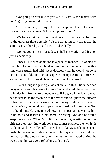"Not going to work! Are you sick? What is the matter with you?" gruffly answered his father.

"This is Sunday, the day set for worship, and I wish to have it for study and prayer even if I cannot go to church."

"We have no time for sentiment here. This work must be done in the quickest time possible. We are all going to work today the same as any other day," said Mr. Hill decidedly.

"Do not count me in for today. I shall not work," said his son just as decidedly.

Henry Hill looked at his son in a puzzled manner. He wanted to force him to do as he had bidden him, but he remembered another time when Austin had said just as decidedly that he would not do as he had been told, and the consequence of trying to use force. So without a word he turned about and went on to his work.

Austin thought a principle was at stake in this. His father had no sympathy with his desire to serve God and would have been glad to hinder him from careful obedience. If he gave in to ignore what he thought to be the teaching of the Word and to ignore the dictates of his own conscience in working on Sunday while he was here in the hay-field, he could not hope to have freedom in service to God in other things. He remembered how his first pastor had warned him to be bold and fearless in his home in serving God and he would keep the victory. When Mr. Hill had gone out, Austin helped the girls get their morning work done and dinner planned, then with his Bible in hand he strolled off to the shade of a hay-stack and spent a profitable season in study and prayer. The days had been so full that he had had little opportunity for communion with God during the week, and this was very refreshing to his soul.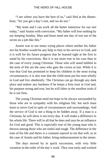"I see where you have the best of us," said Ned at the dinnerhour, "for you get a day's rest, and we do not."

"My team and I can work all the better tomorrow for our rest today," said Austin with conviction. "My father will lose nothing by my keeping Sunday. Man and beast need one day of rest out of the seven on a job like this."

Austin was to see many trying places where neither his father nor his brother would be any help to him in his service to God, and it is well for his future progress that he learned right at the first to stand by his convictions. But it is not more true in his case than in the case of every young Christian. Those who will stand faithful in the tests of life are the ones who gain the crown at last. While it is true that God has promised to keep his children in the most trying circumstances, it is also true that the child must put his trust wholly in God and live obediently. The Christian can go through any dark place and endure any hardness if he keeps a firm trust in God and, his purpose strong and true, but he will falter in the smallest trials if he is not firm.

The young Christian need not hope to be always surrounded by those who are in sympathy with his religious life, but each must learn to serve God in spite of circumstances and surroundings. And the service of God is not a thing to be hidden away. If a man is a Christian, he will show it out every day. It will make a difference in his whole life. There will in all that he does and says be an influence for God and good. This is especially true of the young man who is thrown among those who are sinful and rough. The difference in the tone of his life and theirs is a constant reproof to sin that will, as in the case of Austin and his father, bring embarrassment to the sinner.

The days moved by in quick succession, with very little variation in the order of the day's work. They rose early and worked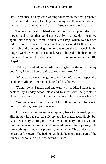late. Three meals a day were waiting for them in the tent, prepared by the faithful little cooks. Only on Sunday was there a variation in the routine, and on that day Austin refused to go to the field at all.

The hay had been finished around the first camp and they had moved back to another good center, only in a few days to move again. Now they had come to their last camp, which was but ten miles from town. Another week or ten days would let them out of their job and they could go home, but often the last week is the longest week when one is isolated. Austin longed to be back to his Sunday-school and to meet again with the congregation at the little chapel.

"Father," he asked on Saturday evening before the sixth Sunday out, "may I have a horse to ride to town tomorrow?"

"What do you want to go to town for? We are not especially needing anything," ungraciously replied his father.

"Tomorrow is Sunday and one team will be idle. I want to get back to my Sunday-school class and to meet with the people in church once more. I will not ride fast if you will let me have a horse."

"No, you cannot have a horse. I have them out here for work, not to run about," snapped the man.

Austin said no more and went quietly back to his reading. Mr. Hill thought he had scored a victory and felt elated accordingly, but Austin was only waiting to consider what his duty might be. In the morning he rose before day and prepared himself for a journey. He took nothing to hinder his progress, but with his Bible under his arm he set out for town. If he had no bad luck, he could get a part of the Sunday-school and all the preaching service.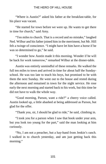"Where is Austin?" asked his father at the breakfast-table, for his place was vacant.

"He started for town before we were up. He wants to get there in time for church," said Amy.

"Ten miles to church. That is a record and no mistake," laughed Ned. Wilbur and his father joined him in the merriment, but Mr. Hill felt a twinge of conscience. "I might have let him have a horse if he was so determined to go," he said.

"I wonder how Austin made it this morning. Wonder if he will be back for work tomorrow," remarked Wilbur at the dinner-table.

Austin was entirely unmindful of these remarks. He walked the full ten miles to town and arrived in time for about half the Sundayschool. He was too late to teach his boys, but promised to be with them the next Sunday. He went out to the house and rested during the afternoon and remained in town for the night service. He rose early the next morning and started back to his work, but this time he did not have to walk the whole way.

"Good morning, Parson, want a ride?" a cheery voice called. Austin looked up, a little abashed at being addressed as Parson, but glad for the offer.

"Thank you, sir, I should be glad to ride," he said, climbing in.

"I took you for a parson when I saw that book under your arm, but you look too young for the part," said the man looking at him curiously.

"No, I am not a preacher, but a hay-hand from Jenkin's ranch. I walked in to church yesterday, and am just getting back this morning."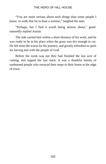"You are more serious about such things than some people I know, to walk that far to hear a sermon," laughed the man.

"Perhaps, but I find it worth being serious about," goodnaturedly replied Austin.

The ride carried him within a short distance of his work, and he was ready to be in his place when the grass was dry enough to cut. He felt none the worse for his journey, and greatly refreshed in spirit for having met with the people of God.

Before the week was out they had finished the last acre of cutting, and topped the last stack. It was a thankful family of sunburned people who retraced their steps to their home at the edge of town.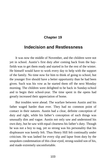# **Chapter 19**

# **Indecision and Restlessness**

It was now the middle of November, and the children were not yet in school. Austin's first duty after coming back from the hayfields was to get them ready and started in for the rest of the winter. He himself would have to work every day to help with the support of the family. No time now for him to think of going to school, but the younger five should have a better opportunity than he had been given. Such was his vow as he started them off the next Monday morning. The children were delighted to be back in Sunday-school and to begin their school-year. The time spent in the opens had greatly increased their appreciation of home.

But troubles were ahead. The warfare between Austin and his father waged harder than ever. They had no common point of contact in their natures. Austin had a clear, definite conception of duty and right, while his father's conception of such things was unusually dim and vague. Austin not only saw and understood his own duty, but he saw with equal clearness his father's duty. Though he was not a boy to nag, yet so strong was his personality that his displeasure was keenly felt. Thus Henry Hill felt continually under criticism. He was lashed for every slip and lapse from duty by the unspoken condemnation of this clear-eyed, strong-souled son of his, and made extremely uncomfortable.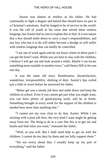Austin was almost as restless as his father. He had continually to fight a disgust and hatred that should have no part in a Christian's emotions. And he longed to be of service in the world. It was the call of youth in his veins that stirred these restless longings, but Austin had no one to explain this to him. It is not nature that a boy should settle down to carry a man's responsibilities, and any boy who has it to do will either become a drudge or will suffer with restless longings that can hardly be controlled.

"I am out of work again and do not know where in these parts I can get the kind I want. While you are here to stay with the children, I believe I will get out and look around a while. Maybe I can locate something more suitable in another town," said Henry Hill to his son one day.

It was the same old story. Restlessness, dissatisfaction, wanderlust, irresponsibility, shirking of duty. Austin's lips curled just a little in scorn before he answered his father.

"Better get you a steady job here and settle down and keep the children in school. Even if you cannot get just what you might want, you can have plenty of good-paying work, and be at home. Something brought in every week for the support of the children is needed here more than anything else."

"I cannot see my way clear to do that, Austin. While I am sticking with a poor job here, the very kind I want might be getting away from me. The thing to do in a case like this is to get out and hustle and find what you want," reasoned the father.

"Well, as you will. But I shall need help to get on with the children. I cannot do my duty by them and yet fully support them."

"Do not worry about that. I usually keep up my part of everything," said the father.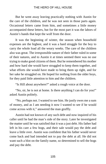But he went away leaving practically nothing with Austin for the care of the children, and he was not seen in those parts again. Occasional letters came from him, and sometimes a little money accompanied these letters, but for the most part it was the labors of Austin's hands that kept the wolf from the door.

It was the beginning of winter, the season when household expenses are the highest, and it was a hard struggle for the boy to carry the whole load all the weary weeks. The care of the children also was great. The irresponsible nature of their father ruled in some of their natures, and to Austin it at times seemed there was no use trying to make good citizens of them. But he remembered his mother and how hard she would have struggled to keep them together, and what efforts she would have made to bring them up right, and for her sake he struggled on. He hoped for nothing from the older boys, for they paid little attention to him and the children.

"Is Hill about anywhere?" asked a rough voice at the door.

"No, sir, he is not at home. Is there anything I can do for you!" asked Austin politely.

"No, perhaps not. I wanted to see him. He justly owes me a sum of money, and as I am needing it now I wanted to see if he would come across with it," answered the man gruffly.

Austin had not known of any such debt and now inquired of his caller until he had the man's side of the story. Later he investigated the matter until he was satisfied that it was a just debt. His father had left in his care a few hogs, and their sale would pay the debt and leave a little over. Austin was confident that his father would never come back and had intended not to pay the debt at all. He did not want such a blot on the family name, so determined to sell the hogs and pay the debt.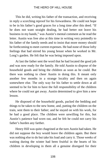This he did, writing his father of the transaction, and receiving in reply a scorching reproof for his forwardness. He could not hope to be in his father's good graces for a long time after this deed. "If he does not want straight dealing, he had better not leave his business in my hands," was Austin's mental comment as he read the letter. Austin was free also at this time in writing very pointedly to his father of the family needs and to insist that more money should be forthcoming to meet current expenses. He had none of those lofty feelings that had stirred his young breast when he worked in Mr. Long's garden. He felt that he was being imposed upon.

At last the father sent the word that he had located the good job and was now ready for the family. He told Austin to dispose of the household goods and bring the children as soon as he could. But there was nothing to cheer Austin in doing this. It meant only another few months in a strange locality and then on again somewhere else. The only way for his father to settle down at all seemed to be for him to have the full responsibility of the children where he could not get away. Austin determined to give him a new lesson.

He disposed of the household goods, packed the bedding and things to be taken to the new home, and, putting the children on the train, sent them to their father; and he stayed on with his work, for he had a good place. The children were unwilling for this, but Austin's patience had worn out, and he felt he could not carry his father's burden any farther.

Henry Hill was quite chagrined at the turn Austin had taken. He did not suppose the boy would leave the children again. But there was nothing else to do but take his load and carry it. Those weeks of waiting during the winter had been fruitful in the hearts of his children in developing in them all a genuine disregard for their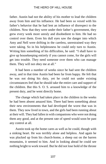father. Austin had not the ability of his mother to lead the children away from him and his influence. He had been so vexed with his father's behavior that he had lent an influence of disrespect to the children. Now that they were under their father's government, they grew every week more unruly and disobedient to him. He had no control over them. Even his dull eyes saw the danger into which Amy and Nell were drifting in the careless, unrestrained way they were taking. So in his helplessness he could only turn to Austin. Writing him something of his difficulties, he said: "I shall have to give up housekeeping entirely if you cannot come, for the girls will get into trouble. They need someone over them who can manage them. They will not obey me at all."

It had been a number of weeks since he had sent the children away, and in that time Austin had been far from happy. He felt that he was not doing his duty, yet he could not under existing circumstances feel that he should take the entire care and support of the children. But this S. O. S. aroused him to a knowledge of the present duty, and he went directly home.

The change which had taken place in the children in the weeks he had been absent amazed him. There had been something about their new environments that had developed the worst that was in them. They now lived in town, and the girls had been running about at their will. They had fallen in with companions who were not doing them any good, and at the present rate of speed would soon be past any control at all.

Austin took up the home cares as well as he could, though with a sinking heart. He was terribly alone and helpless. And again he was plucked up from his church-home, a sheep out on the barren mountains, it seemed to him. And in looking ahead he could see nothing bright to work toward. But he did not lose hold of the throne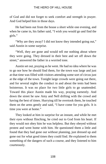of God and did not forget to seek comfort and strength in prayer. And God helped him in those days.

He had been out from the house a short while one evening, and when he came in, his father said, "I wish you would go and find the girls."

"Why are they away? I did not know they intended going out," said Austin in some surprise.

"Well, they are gone and would tell me nothing about where they were going. They dressed in their best and set off down the street," answered the father in a worried tone.

Austin set out, praying as he went. He had no idea where he was to go nor how he should find them, for the town was large and just at that time was filled with visitors attending some sort of circus just at the edge of the town. Tonight large crowds were going out there, and for several nights the conduct in and about the tents had been boisterous. It was no place for two little girls to go unattended. Toward this place Austin made his way, praying earnestly. And down the street he saw Amy and Nell drifting with the crowd and having the best of times. Hurrying till he overtook them, he touched them on the arms gently and said, "I have come for you girls. It is time you were at home."

They looked at him in surprise for an instant, and while he met their eyes without flinching, he cried out to God from his heart. If they would not obey him he was helpless. But they obeyed without protest and went home with him. He questioned them a little and found that they had gone out without planning, just dressed up and gone out for what good times they could find. He explained to them something of the dangers of such a course, and they listened to him courteously.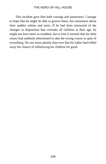This incident gave him both courage and uneasiness. Courage to hope that he might be able to govern them, but uneasiness about their sudden whims and turns. If he had been instructed of the changes in disposition that overtake all children at their age, he might not have been so troubled, but to him it seemed that his little sisters had suddenly determined to take the wrong course in spite of everything. He saw more plainly than ever that his father had trifled away his chance of influencing his children for good.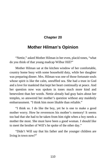# **Chapter 20**

# **Mother Hilman's Opinion**

"Nettie," asked Mother Hilman in her even, placid tones, "what do you think of that young madcap Wilbur Hill?"

Mother Hilman sat at the kitchen window of her comfortable, country home busy with some household duty, while her daughter was preparing dinner. Mrs. Hilman was one of those fortunate souls whose spirit is like the calm, unruffled sea. She had a trust in God and a love for mankind that kept her heart continually at peace. And her question now was spoken in tones much more kind and benevolent than her words. Nettie already had gray hairs about her temples, so answered her mother's question without any maidenly embarrassment. "I think him more likable than reliable."

"I think so. I do like the boy, yet he is one to make a good mother worry. How he reverences his mother's memory! It seems too bad that she had to be taken from him right when a boy needs a mother the most. She must have been a good woman. I should like to meet the brother of Will's he spoke of the other day."

"Didn't Will say that his father and the younger children are living in town now?"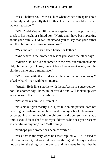"Yes, I believe so. Let us ask him when we see him again about his family, and especially that brother. I believe he would tell us all we wish to know."

"Will," said Mother Hilman when again she had opportunity to speak to her neighbor's hired boy, "Nettie and I have been speaking about your family. Did we understand you to say that your father and the children are living in town now?"

"Yes, ma'am. The girls keep house for Father."

"And where is the brother of whom you spoke the other day?"

"Austin? Oh, he did not come with the rest, but remained at his old job. Father, you know, has not been here a great while, and the children came only a month ago."

"Who was with the children while your father was away?" asked Mrs. Hilman with keen interest.

"Austin. He is like a mother with them. Austin is a queer fellow, not like another boy I know in the world," and Will looked up with an expression that invited confidence.

"What makes him so different?"

"It is his religion mostly. He is just like an old person, does not care to go anywhere but to church and Sunday-school. He seems to enjoy staying at home with the children, and does so months at a time. I should die if I had to tie myself down as he does, yet he seems as cheerful as anyone," said Will frankly.

"Perhaps your brother has been converted."

"Yes, that is the very word he uses," replied Will. "He tried to tell us all about it, but we could not see through it. He says he does not care for the things of the world, and he means by that that he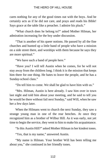cares nothing for any of the good times out with the boys. And he certainly acts as if he did not care, and prays and reads his Bible! Says grace at the table like a preacher. I admire his pluck."

"What church does he belong to?" asked Mother Hilman, her admiration increasing for the boy under discussion.

"That is another of his queer notions. He passed by all the fine churches and hunted up a little band of people who have a mission on a side street there, and worships with them because he says they are more spiritual."

"We have such a band of people here."

"Have you? I will tell Austin when he comes, for he will not stay away from the children long. I think it is the mission that keeps him there for one thing. He hates to leave the people, and he has a Sunday-school class."

"Do tell him to come. We shall be glad to have him with us."

"Mrs. Hilman, Austin is here already. I saw him over in town last night and told him about your meeting, and he said to tell you he would be there without fail next Sunday," said Will, when he saw her a few days later.

When the Hilmans went to church the next Sunday, they saw a strange young man in one of the rear benches. At once they recognized him as a brother of Wilbur Hill. As it was early, not yet time to begin the service, they went to him to make his acquaintance.

"Is this Austin Hill?" asked Mother Hilman in her kindest tones.

"Yes, that is my name," answered Austin.

"My name is Hilman. Your brother Will has been telling me about you," she continued in her friendly tones.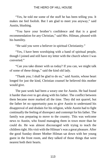"Yes, he told me some of the stuff he has been telling you. It makes me feel foolish. But I am glad to meet you anyway," said Austin, blushing.

"You have your brother's confidence and that is a good recommendation for any Christian," said Mrs. Hilman, pleased with his humility.

"He said you were a believer in spiritual Christianity."

"Yes, I have been worshiping with a band of spiritual people, though I joined and still have my letter with the church where I was converted."

"Can you take dinner with us today? If you can, we might talk of some of these things," said the kind old lady.

"Thank you; I shall be glad to do so," said Austin, whose heart longed for just the kind, Christian counsel he believed this mother would give.

The past week had been a weary one for Austin. He had found it harder than ever to get along with his father. The conflict between them became more marked all the time. They did not quarrel, but the father let no opportunity pass to give Austin to understand his disapproval of and disdain for his religion, while Austin had to fight continually the feeling of disrespect and contempt for his father. The family was preparing to move to the country. This was welcome news to Austin, who found managing them in town more than he could do. He was almost discouraged with trying to teach the children right. His visit with the Hilman's was a great pleasure. After the good Sunday dinner Mother Hilman sat down with her young guest in the front room, and they talked of those things that were nearest both their hearts.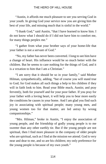"Austin, it affords me much pleasure to see you serving God in your youth. In giving God your service now you are giving him the best of your life, and missing much that is sinful in the world."

"I thank God," said Austin, "that I have learned to know him. I do not know what I should do if I did not have him to comfort me, for many things perplex me."

"I gather from what your brother says of your home-life that your father is not a servant of God."

"No, my father has never been converted. I long to see him have a change of heart. His influence would be so much better with the children. But he seems to care nothing for the things of God, and it is a vexation to him that I am a Christian."

"I am sorry that it should be so in your family," said Mother Hilman, sympathetically, adding, "but of course you will stand true to God; for God makes all such things a help to his children if they will in faith look to him. Read your Bible much, Austin; and pray fervently, both for yourself and for your poor father. If you pray for your father with a loving heart, it will help you to bear more easily the conditions he causes in your home. And I am glad you find such joy in associating with spiritual people; many young men, and young women too for that matter, are led astray by wrong companionships."

"Mrs. Hilman," broke in Austin, "I enjoy the association of young people, and the friendship of godly young people is to me sweeter than any other earthly tie. But if the young people are not spiritual, then I find more pleasure in the company of older people who are spiritual, such as I find at the mission we attend. God is very near and dear to me, and so are his children; my only preference for the young people is because of my own youth."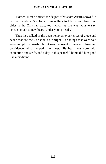Mother Hilman noticed the degree of wisdom Austin showed in his conversation. She found him willing to take advice from one older in the Christian way, too, which, as she was wont to say, "means much to new hearts under young heads."

Thus they talked of the deep personal experiences of grace and peace that are the Christian's birthright. The things that were said were an uplift to Austin; but it was the sweet influence of love and confidence which helped him most. His heart was sore with contention and strife, and a day in this peaceful home did him good like a medicine.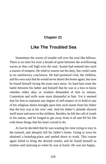# **Chapter 21**

# **Like The Troubled Sea**

Sometimes the waves of trouble roll over the soul like billows. There is no time for even a breath of quiet between the overflowing waves as they roll high over the soul. Austin had entered into such a season of tempest. He tried to reason out his duty, but could come to no satisfactory conclusion. He had promised God, the children, and his own soul that he would never desert the home again; but now he found himself facing the issue once more. So hard had come the battle between his father and himself that he was at a loss to know whether either duty or wisdom demanded of him to remain. Contention and strife were most distasteful to him. Yet it seemed that for him to maintain any degree of self-respect or to hold to any of his religious duties brought upon him such taunts from his father that the boy was at his wits' end. And his father's attitude showed itself more and more in the children. Besides, he felt the call of youth in his nature, and he longed to get away from it all and fill his life with those things that his heart craved to do.

At last he decided that he was wasting his time trying to stay in the turmoil, and abruptly left his father's home. Going to town he obtained a boarding-place and settled down to work. This course again failed to bring the desired results; and he found himself as restless and unstrung as when he was at home. He was not happy,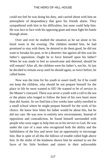could not feel he was doing his duty, and carried about with him an atmosphere of despondency that gave his friends alarm. They sympathized with him in his difficulties, but none could help him. He was face to face with his opposing giant and must fight his battle through alone.

Over and over he studied the situation as he sat alone in his hired room in the evening. The children needed him, he had promised to stay with them, he desired to do them good, he did not want to forsake his post, to be a deserter; but against all this was his father's opposition. Ought he to force himself upon his father? When he was made to feel so unwelcome and detested, should he still remain? After all, the children were his father's, not his. At last he decided to remain away until he should again, as twice before, be called home.

Now was the time for his youth to assert itself, for if he could not keep the children, why should he not prepare himself for the place in life he most wanted to fill? He wanted to be of service in the Master's vineyard. There was never a youth with a call to the sea or the plains who longed to follow the bent of his own heart more than did Austin. So we find him a few weeks later safely enrolled in a small school where he might prepare himself for the work of his choice. He knew how bitter his father would be about this, but he did not care. He was now in entirely new environments. Instead of opposition and contradiction, he found himself surrounded with people who were eager to help him on in his service to God. He was under the care of a man who recognized both the ability and the faithfulness of the boy and never lost an opportunity to encourage him. But in spite of all this the billows of trouble rolled high above him. In the midst of the kindness shown him he seemed to see the faces of his little brothers and sisters in their unfavorable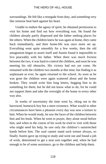surroundings. He felt like a renegade from duty, and something very like remorse beat hard against his heart.

Unable to endure the agony of spirit, he obtained permission to visit his home and find out how everything was. He found the children already partly dispersed and the father seeking places for the others. When the children knew he was again at home, they came back immediately, and their home-life was once more set up. Everything went quite smoothly for a few weeks, then the old antagonism began to assert itself and Austin found it impossible to live peaceably with his father. When there was much friction between the two, it was hard to control the children, and soon he was meeting his old obstacles. His victory had not yet come. He remained with the children two months at this time; but finding it as unpleasant as ever, he again returned to the school. As soon as he was gone the children were again scattered about and the home broken. They would write him long letters, begging him to do something for them; but he did not know what to do, for he could not support them and take the oversight of the home in every other way also.

In weeks of uncertainty the time went by, eking out to the harrowed, homesick boy but a mere existence. What would in other circumstances have been a pleasure every day was now a torture to him. When he would study, he saw the faces of the children between him and his book. When he went to prayer, they alone stood before him, and when in the course of his work he tried to visit with those who might need his help, he saw only the children's outstretched hands before him. The soul cannot stand such torture always, so finally Austin gave up trying to study and went out and found a job of work, determined to get a neat sum together and, when he had enough to be of some assistance, go to the children and help them.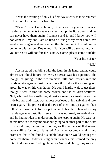It was the evening of only his first day's work that he returned to his room to find a letter from Nell.

"Dear Austin: Come home just as soon as you can. Papa is making arrangements to have strangers adopt the little ones, and we can never have them again. I cannot stand it, and I know you will not want it. Amy and I are so tired of living away from home. We want a home again and we want all the children in it. It would never be home without our Doyle and Lila. You will do something, will you not? You will not forsake us now? Come, please come quickly.

"Your little sister,

"Nell."

Austin stood trembling with the letter in his hand, and he could almost see blood before his eyes, so great was his agitation. The thought of giving up the two precious little ones forever into the hands of strangers almost made him wild. Before the morning sun arose, he was on his way home. He could hardly wait to get there, though it was to find the home broken and the children scattered. Nell, who had been suffering almost as keenly as Austin about the little brother and sister, was almost overjoyed at his arrival, and took heart again. The protest that the two of them put up against their father's arrangements forever put an end to his plans. In another day that danger was past. But Henry Hill was not ready to settle down, and he had no idea of undertaking housekeeping again. He was just at this time in a merry mood about going to another part of the State to work during the autumn months, as the farmers of that region were calling for help. He asked Austin to accompany him, and promised that if he found a suitable location he would again get a home for them. Under existing circumstances this seemed the only thing to do, so after finding places for Nell and Harry, they set out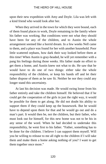upon their new expedition with Amy and Doyle. Lila was left with a kind friend who would look after her.

When they arrived in the town for which they were bound, each of them found places to work, Doyle remaining in the family where his father was working. But conditions were not what they should have been for any of the children, and to Austin the whole arrangement seemed like a horrid dream. In a few weeks Nell came to them, and a place was found for her with another household. Poor little scattered orphans, how dark their way looked before them at this time! When Austin is gray-headed, he will yet remember with a pang his feelings during those weeks. His father made no effort to get them a home, and Austin knew not what to do. He saw that he would have to do one of two things: either take the whole responsibility of the children, or keep his hands off and let their father dispose of them as he saw fit. Neither he nor they could any longer stand this uncertainty.

At last his decision was made. He would swing loose from his father entirely and take the children himself. He believed that if he could get the cooperation of the girls in just the right way, it would be possible for them to get along. He did not doubt his ability to support them if they could keep up the housework. But he would have to depend upon them for that and he would go out and do a man's part. It would then be, not the children, but their father, who must look out for himself, for this new home was not to be his in any sense of the word. When he had decided to undertake this responsibility, he went first to his father. "Father, something has to be done for the children. I believe I can support them myself. Will you be willing to release to me all right to the children if I will take them and make them a home asking nothing of you? I want to get them together once more."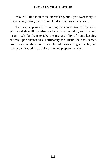"You will find it quite an undertaking, but if you want to try it, I have no objection, and will not hinder you," was the answer.

The next step would be getting the cooperation of the girls. Without their willing assistance he could do nothing, and it would mean much for them to take the responsibility of home-keeping entirely upon themselves. Fortunately for Austin, he had learned how to carry all these burdens to One who was stronger than he, and to rely on his God to go before him and prepare the way.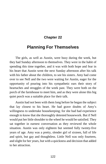# **Chapter 22**

# **Planning For Themselves**

The girls, as well as Austin, were busy during the week, but they had Sunday afternoon to themselves. They were in the habit of spending this time together, and it was with both hope and fear in his heart that Austin went the next Sunday afternoon after his talk with his father about the children, to see his sisters. Amy had come over to see Nell and the two were waiting for Austin, eager for the opportunity of pouring into his sympathetic ears their story of heartaches and struggles of the week past. They were both on the porch of the farmhouse to meet him, and as they were alone this big quiet porch was a suitable place for their talk.

Austin had not been with them long before he began the subject that lay closest to his heart. He had grave doubts of Amy's willingness to undertake housekeeping; for she had had experience enough to know that she thoroughly detested housework. But if Nell would put her little shoulder to the wheel he would be satisfied. They sat together in earnest conversation as they reviewed the whole situation. Austin was only eighteen but seemed fully twenty-five years of age. Amy was a pretty, slender girl of sixteen, full of life and spirit, but gay and thoughtless. Little Nell was only fourteen, and slight for her years, but with a quickness and decision that added to her attraction.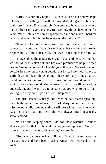"Girls, it is our only hope," Austin said. "I do not believe Papa intends to do one thing. He will let things drift along and in time we shall lose Lila and Doyle entirely. We ought to have a home where the children can have a chance. But see how things have gone for years. When I stayed at home Papa opposed me and made it hard for us all, and when I left home he scattered the children."

"If we are to have a home we must stay by it all the time. I cannot do it alone, but if you girls will stand back of me and take the responsibility of the housework, I believe I can support the family."

"I have talked the matter over with Papa, and he is willing that we should try this plan out, and has even promised to help us when he can. We might as well look at things as they are. None of us could be care-free like other young people, but instead we should have to settle down and keep things going. There are many things that we could not do, lest our good be evil spoken of. We would not dare to act in any way that would bring reproach upon us. It will be a serious undertaking, and I want you to be sure that you wish to do it. I am willing to do my part if you girls will help me."

The girls listened soberly, and when he had ceased speaking, they both waited in silence. At last Amy looked up with a mischievous smile, seeking to throw off the serious mood into which Austin's speech had put them. She was always afraid of a really serious mood.

"It is no fun keeping house. I do not know whether I want to attack a job like that till the children are grown up or not. You will have to give me time to study about it," she replied.

"How can we bear to have Lila and Doyle knocked about as they are now and have been?" asked Austin with reproach in his voice.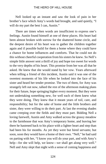Nell looked up an instant and saw the look of pain in her brother's face which Amy's words had brought, and said quietly, "I will do my part the best I can, Austin."

There are times when words are insufficient to express one's feelings. Austin found himself at one of these places. His heart had been almost broken with sorrow for the shattered home circle, and the deepest desire of his heart was to gather the children together again and if possible build for them a home where they could have a chance for home influences and comforts. That he could not do this without cheerful cooperation from his sisters he knew. So Nell's simple little answer sent a thrill of joy and hope too sweet for words to the very depths of his heart. This promise from her was all that he asked. He knew that she would stand by her vow. Years afterward when telling a friend of this incident, Austin said it was one of the sweetest moments of his life when he looked into the face of his sister and heard her tender promise. The two of them, for Amy was strangely left out now, talked the rest of the afternoon making plans for their future, hope springing higher every moment. But they were not undertaking something new, for well each of them knew what they were doing. They knew that it meant years of toil, care, and responsibility; but for the sake of home and the little brothers and sister, they were willing to do their part. At last the evening shades came creeping over the fields and they must part. Bidding Nell a loving farewell, Austin and Amy walked across the grassy meadow to the farmhouse that was Amy's temporary home, and leaving her there he hastened back to his place with a lighter heart and step than had been his for months. As yet they were but hired servants; but soon, soon they would have a home of their own. "Nell," he had said on parting with her, "I know you will do your part, and with Amy's help—for she will help, we know—we shall get along very well." Nell and Amy slept that night with a sense of coming happiness and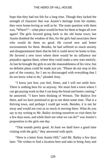hope that they had not felt for a long time. Though they lacked the strength of character that was Austin's heritage from his mother, they were home-loving as well as he. The main question with them was, "Where?"—what place would be best for them to begin all over again? The girls favored going back to the old home town; but Austin doubted the wisdom of this, for the girls had associates there who would do them no good. He craved new and better environments for them. Besides, he had suffered so much anxiety and disappointment there that he felt it could never be home to him. He favored a new town where there would be no influence nor prejudice against them, where they could make a new start entirely. At last he brought the girls to see the reasonableness of his view; but no definite plans could be made just yet. "Please do not stop in this part of the country, for I am so discouraged with everything that I do not know what to do," pleaded Amy.

"I know just how you feel, Sister, and I will not settle here. There is nothing here for us anyway. We must find a town where I can get paying work so that I can keep the bread and butter coming," he answered. "I have been thinking of Weston. The Baileys live there, and we have promised to go to see them some time. That is a thriving town, and perhaps I could get work. Besides, it is not far away and would not cost us so much in moving there. What do you say to my writing to Mr. Bailey inviting ourselves to visit them for a few days soon, and while there see what we can do?" was Austin's proposition to the girls one day.

"That sounds pretty good. At least we shall have a good time visiting with the girls," they answered with spirit.

"Here is a letter from Austin Hill," said Mr. Bailey a few days later. "He wishes to find a location here and asks to bring Amy and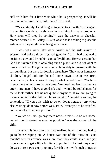Nell with him for a little visit while he is prospecting. It will be convenient to have them, will it not?" he asked.

"Yes, certainly. I shall be glad to get in touch with Austin again. I have often wondered lately how he is solving his many problems. How soon will they be coming?" was the answer of cheerful, mother-hearted Mrs. Bailey. Austin was wise in seeking to place the girls where they might have her good counsel.

It was not a week later when Austin and the girls arrived in Weston, and before three days had gone by Austin had obtained a position that would bring him a good livelihood. He was certain that God had favored him in obtaining such a place, and did not want to look any farther. The girls were not so favorably impressed with the surroundings, but were for looking elsewhere. They, poor homesick children, longed still for the old home town. Austin was firm, nevertheless, in his decision to stay by what he had found. "We have friends here who make us welcome. We need not feel that we are utterly strangers. I have a good job and it would be foolishness for me to look farther. Let us not quibble anymore. If we are going to make a home for the children, let us get at it," he said in ending the contention. "If you girls wish to go on down home, or anywhere else, visiting, do it now before we start in. I want you to be satisfied, but I cannot give up my position."

"No, we will not go anywhere now. If this is to be our home, we will get it started as soon as possible," was the answer of the girls.

It was at this juncture that they realized how little they had to go to housekeeping on. A house was out of the question. One month's rent in advance was more than they could spare and yet have enough to get a little furniture to put in it. The best they could do was to rent two empty rooms, furnish them with such things as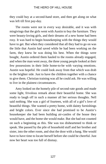they could buy at a second-hand store, and then get along on what was left till first pay-day.

The rooms were not in every way desirable, and it was with misgivings that the girls went with Austin to buy the furniture. They were beauty-loving girls, and their dreams of a new home had been rosy. It was hard to begin housekeeping with the things they would have to get. But when they considered that all they had to go on was the little that Austin had saved while he had been working on the farm, they knew he was doing his best. When the things were bought, Austin ordered them hauled to the rooms already engaged, and when the man went away, the three young people looked at their few possessions in their little home-to-be with varying emotions. Austin was hopeful. He could look away from that which was drab to the brighter side. Just to have the children together with a chance to give them. Christian training was all he could ask. He was willing to live in the plainest circumstances.

Amy looked on the homely pile of second-rate goods and made some light, frivolous remark about their beautiful home. She was ready to laugh off in such a manner all her serious thoughts. Nell said nothing. She was a girl of fourteen, with all of a girl's love of beautiful things. She wanted a pretty home, with dainty furnishings and bright colors. Ever since she had promised to be Austin's housekeeper she had been building air-castles of the house they would have, and the home she would make. But she had not counted on such a beginning as this. She was too disheartened to think or speak. She passed by the pile of household stuff and her brother and sister, into the other room, and shut the door with a bang. She would have to have time to locate herself before she could be cheerful. Just now her heart was too full of dismay.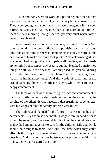Austin and Amy went to work and put things in order so that they could cook supper and all lay their weary bodies down to rest. They were young, and soon their trials were forgotten in a sweet, refreshing sleep. Nell had regained her composure enough to help them the next morning, though she was yet very quiet when Austin went off to his work.

When Austin came home that evening, he found his sunny Nell of old at work in the rooms. She was improvising a curtain of some kind, and as he came in she was standing off to study the effect. She had managed to make the room look pretty. Amy acknowledged that she herself had thought the case hopeless all the time, and had made up her mind not to expect any beauty, but that Nell had transformed things. "Nell, you are a treasure. I am surprised that you could bring such order and beauty out of the chaos I left this morning," said Austin in his heartiest tones. And the words of cheer and praise brought a happy shine to the little girl's eyes, while her heart beat in happy contentment.

The three of them were soon living in peace and contentment in their own little home, making ready as fast as they could for the coming of the others. It was necessary that Austin get a better start with his wages before the family increase very much.

They talked and planned for the future. This was not to be at all permanent; just as soon as one month's wages were in hand a house should be rented, and they would furnish it as they could. As soon as they had enough together to care for the children, Lila and Doyle should be brought to them. And until the time when they could afford better, they all covenanted together to live as economically as possible. And as soon as the house was in proper condition for living, the two girls started to school.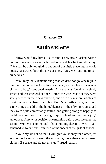# **Chapter 23**

# **Austin and Amy**

"How would my birds like to find a new nest?" asked Austin one morning not long after he had received his first month's pay. "We shall be only too glad to get out of this little place into a whole house," answered both the girls at once. "May we hunt one to suit ourselves?"

"You may, only remembering that we dare not go very high in rent, for the house has to be furnished also, and we have our winter clothes to buy," cautioned Austin. A house was found on a shady street, and was engaged at once. Before the week was out they were safely settled in their new quarters, and with a few more articles of furniture than had been possible at first. Mrs. Bailey had given them a few things to add to the homelikeness of their living-rooms, and they were quite comfortably settled, and getting along as happily as could be asked for. "I am going to quit school and get me a job," announced Amy with decision one morning before cold weather had set in. "Winter is coming and I have nothing decent to wear. I am ashamed to go out, and I am tired of the sneers of the girls at school."

"No, Amy, do not do that. I will give you money for clothes just as soon as I can. You need the schooling more than you can need clothes. Be brave and do not give up," urged Austin.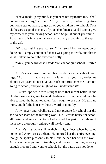"I have made up my mind, so you need not try to turn me. I shall not go another day," she said. "Amy, it was my motive in getting our home started again, to get all of you children into school. Your clothes are as good as many of your schoolmates', and I cannot give my consent to your leaving school now. So put it out of your mind." Austin said this in a paternal way particularly provoking to the spirit of the girl.

"Who was asking your consent? I am sure I had no intention of doing so. I simply announced that I was going to work, and that is what I intend to do," she answered hotly.

"Amy, you heard what I said! You cannot quit school. I forbid it."

Amy's eyes blazed fire, and her slender shoulders shook with rage. "Austin Hill, you are not my father that you may order me about! Two years do not give you such authority over me. I am not going to school, and you might as well understand it!"

Austin's lips set in two straight lines that meant battle. If the children were not going to yield obedience to him, he would not be able to keep the home together. Amy ought to see this. He said no more, and left the house without a word of good-by.

Amy, angry and rebellious, did not prepare for school nor did she do her share of the morning work. Nell left the house for school all fretted and angry that Amy had shirked her part. So all three of them were thoroughly unhappy all the day long.

Austin's lips were still in their straight lines when he came home, and Amy just as defiant. He ignored her the entire evening, though he spoke pleasantly to Nell, and helped her with the work. Amy was unhappy and miserable, and the next day ungraciously enough prepared and went to school. But the battle was not done.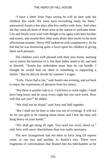"I have a letter from Papa saying he will be here with the children this week. We must have everything ready for them," announced Austin a few days after his conflict with Amy. And when the day came all three of them were at the station to welcome them. Lila and Doyle were wild with delight to be again with their brother and sisters, and wound their little arms about their necks in the most affectionate manner. Henry Hill looked on with complacency, for he felt that he was bestowing quite a favor upon his children in giving them such pleasure.

The children were well pleased with their new home, seeming not to notice the bareness of it; but their father noted it all, and said to himself, "Austin has undertaken more than he can handle. I thought he would find out there is something to supporting a family." But he did not divide his summer's wages.

"Girls, I have had a rise," said Austin one evening, and sat back to enjoy the expressions of pleasure from his sisters.

"But there is another side to it. I will have to work nights. I shall have long hours and be away every night but one each week. How will that suit you?" he added.

"We shall not be afraid," said Amy and Nell together.

"But I shall not be here to take you out of evenings. It will not do for you girls to be running about alone, and I fear the time will hang heavy on your hands."

"We shall get along all right. You need not worry about us," said Amy with more cheerfulness than was really necessary.

The new arrangement had not been in force long till reports came, in one way and another, to Austin's ears. There were fragments of conversations that floated into his bedchamber as he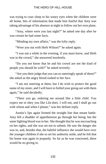was trying to coax sleep to his weary eyes when the children were all home, bits of information that made him fearful that Amy was taking advantage of his absence at night to follow out her own plans.

"Amy, where were you last night?" he asked one day after he was certain he had some facts.

"Minding my own affairs," was the lofty reply.

"Were you out with Herb Wilson?" he asked again.

"I was out a while in the evening, if you must know, and Herb was in the crowd," she answered insolently.

"Do you not know that he and his crowd are not the kind of people you should be with?" he asked severely.

"Are you their judge that you can so sneeringly speak of them?" she asked as the angry blood rushed to her face.

"I am not sneering at them, but I do wish to protect the good name of my sister, and I will have to forbid your going out with them again," he said decidedly.

"There you go, ordering me around like a little child. You expect me to obey you like Lila does. I will not, and I shall go out with whom and when I please," was her defiant reply.

Austin's lips again formed the straight line that meant battle. Amy felt a shudder of apprehension go through her being; but the same fighting blood was in her. She thought that he was encroaching on her rights, and she was set not to submit. He saw the danger she was in, and, besides that, the baleful influence she would have over the younger children if she so set his authority aside, and he felt that his home was again in jeopardy. So far as he was concerned, there would be no giving in.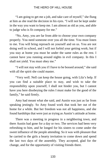"I am going to get me a job, and take care of myself," she flung at him as she read the decision in his eyes. "I will not be kept under in the way you want to keep me. I am almost as old as you, and able to judge who is fit company for me."

"No, Amy, you are far from able to choose your own company properly. You need someone over you all the time. You must listen to me. You will bring reproach on yourself and on us. You are not doing well in school, and I will not forbid your getting work; but if you stay at home you must be under the same rules as the rest. I cannot have you running around nights in evil company. In this I shall not yield. You must obey me."

"I will not stay with you if I have to be bossed around," she said with all the spirit she could master.

"Very well. Nell can keep the house going, with Lila's help. If you can find a suitable place to stay, and wish to take the responsibility upon yourself, I shall not hinder you, but I cannot have you here disobeying the rules I must make for the good of the family," he said firmly.

Amy had meant what she said, and Austin was just as far from speaking jestingly. So Amy found work that took her out of the home for a while. But her freedom was not all happiness, and she found hardships that were just as trying as Austin's attitude at home.

There was a meeting in progress in a neighboring town, and there Austin had gone for a day or two. The services had been very refreshing to him, and he longed for his sisters to come under the sweet influence of the people attending. So it was with pleasure that he carried to the girls a hearty invitation to come down and spend the last two days of the assembly. They accepted, glad for the change, and for the opportunity of visiting friends there.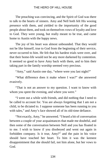The preaching was convincing, and the Spirit of God was there to talk to the hearts of sinners. Amy and Nell both felt His wooing presence with them, and yielded to the importunity of the good people about them, and took on themselves vows of loyalty and love to God. They were young, but really meant to be true, and came home to Austin with the happy news.

The joy of his heart was almost unbounded. That they would not be like himself, true to God from the beginning of their service, never occurred to him. He felt that his hardest trials were over, and that their home-life would not be any more darkened by contention. It seemed so good to have Amy back with them, and to him their taking part in the family worship seemed very precious.

"Amy," said Austin one day, "where were you last night?"

"What difference does it make where I was?" she answered evasively.

"That is not an answer to my question. I want to know with whom you spent the evening, and where you were."

"I went out a while with friends, and did nothing that I need to be called to account for. You are always forgetting that I am not a child, to be dictated to. I suppose someone has been running to you with tales," and Amy's face showed all of its old-time defiance.

"Not exactly, Amy," he answered. "I heard a bit of conversation between a couple of your acquaintances that made me doubtful, and then some of the conversation between Nell and you has floated in to me. I wish to know if you disobeyed and went out again in forbidden company. Is it true, Amy?" and the pain in his voice should have touched her heart. To him it was the keenest disappointment that she should fail, not him alone, but her vows to God.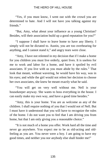"Yes, if you must know, I went out with the crowd you are determined to hate. And I will not have you talking against my friends."

"But, Amy, what about your influence as a young Christian? Besides, will their association build up a good reputation for you?"

"I suppose I shall have to leave home to have any liberty. I simply will not be dictated to. Austin, you are too overbearing for anything, and I cannot stand it," and angry tears were close.

"Amy, I have not relented in my decision that if I make a home for you children you must live orderly, quiet lives. It is useless for me to work and labor for a home, and have it spoiled by evil associates. If you live with us you must abide by the rules." That look that meant, without wavering, he would have his way, was in his eyes; and while the girl would not relent her decision to choose her own associates, she knew he meant exactly what he said.

"You will get on very well without me. Nell is your housekeeper anyway. She wants to boss everything in the house. I can easily make my own way, and have a good time besides."

"Amy, this is your home. You are as welcome as any of the children. I shall require nothing of you that I would not of Nell. But I must have it understood that you will have to recognize the rules of the home. I do not want you to feel that I am driving you from home, but that I am only giving you a reasonable choice."

"It is not much of a home you offer. Work hard all the time and never go anywhere. You expect me to be as old-acting and oldfeeling as you are. You never were a boy. I am going to have my good times, and neither you nor anybody else shall hinder me!"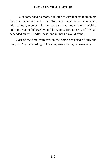Austin contended no more, but left her with that set look on his face that meant war to the end. Too many years he had contended with contrary elements in the home to now know how to yield a point to what he believed would be wrong. His integrity of life had depended on his steadfastness, and in that he would stand.

Most of the time from this on the home consisted of only the four; for Amy, according to her vow, was seeking her own way.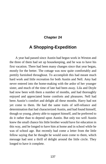# **Chapter 24**

# **A Shopping-Expedition**

A year had passed since Austin had begun work in Weston and the three of them had set up housekeeping, and he was to have his first vacation. There had been many changes since that year began, mostly for the better. The cottage was now quite comfortably and prettily furnished throughout. To accomplish this had meant much hard work and little recreation for both Austin and Nell. Amy had never entered into the home-making with the ardor of her younger sister, and much of the time of late had been away. Lila and Doyle had now been with them a number of months, and had thoroughly enjoyed and appreciated home comforts and pleasures. Nell had been Austin's comfort and delight all these months. Harry had not yet come to them. He had the same traits of self-reliance and determination that had characterized Austin, and had found himself, though so young, plenty able to support himself, and he preferred to do it rather than to depend upon Austin. But only too well Austin knew the small chance his little brother would have for education in this way, and he longed to have him at home and in school while he was of school age. But recently had come a letter from the little fellow saying that he thought he would soon come to them, which message had sent a thrill of delight around the little circle. They longed to have it complete.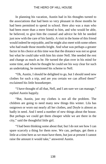In planning his vacation, Austin had in his thoughts turned to the associations that had been so very pleasant in those months he had been permitted to spend in school. Here also was a man who had been more than a mere friend to him, and who would be able, he believed, to give him the counsel and advice he felt he needed just now with the care of his family. A visit in the home of this friend would indeed be enjoyable, and he might also meet with some others who had made those months bright. And what was perhaps a greater factor in his choice at this time was that the distance was not so great but what he could take with him his sister Nell. She needed the rest and change as much as he. He turned the plan over in his mind for some time, and when he thought he could see his way clear for such an undertaking, he mentioned his scheme to Nell.

"Oh, Austin, I should be delighted to go, but I should need new clothes for such a trip, and are you certain we can afford them!" exclaimed his little housekeeper.

"I have thought of all that, Nell, and I am sure we can manage," replied Austin happily.

"But, Austin, just my clothes is not all the problem. The children are going to need many new things this winter. Lila has outgrown or worn out nearly all her clothes, and Doyle is almost as badly in need. And I need a number of new things about the house. But perhaps we could get them cheaper while we are there in the city," said the thoughtful little girl.

"I had been thinking some about that; but I do not see how I can spare scarcely a thing for them now. We can, perhaps, get them a little at a time here as we must have them, but just at present I cannot raise the amount it would take," answered Austin.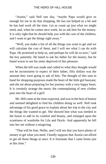"Austin," said Nell one day, "maybe Papa would give us enough for me to do that shopping. He has not helped us a bit and he has had work all the time. Let us count up just what we might need, and, when he comes next week, let us ask him for the money. It is only right that he should help you with the care of the children, and I want to get the things right away."

"Well, you make a list of all the things you want to get and we will calculate the cost of them, and I will see what I can do with Papa. He promised to help us, and perhaps he will do so now," said the boy patiently. He hated to ask his father for the money, but he hated worse to see his sister deprived of this pleasure.

When the bill was made and culled to what they thought would not be inconsistent to expect of their father, fifty dollars was the amount they were going to ask of him. The thought of this sum in hand for shopping-purposes made the heart of the little girl buoyant, and she set about preparing for her journey with a very happy heart. It is certainly strange the music the contemplating of new clothes puts into the heart of a girl!

Mr. Hill came at the time expected, and was in the best of humor and seemed delighted to find his children doing so well. Nell took advantage of his good grace to explain about her trip to the city and the things she wanted to get. She showed him what was needed in the house to add to its comfort and beauty, and enlarged upon the scantiness of wardrobe for Lila and Doyle. And apparently he fell into her net without a misgiving.

"That will be fine, Nellie, and I will see that you have plenty of money to get what you need. I hardly suppose that Austin can afford to get all those things at once. It is fortunate that I came home just at this time."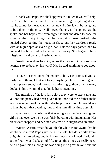"Thank you, Papa. We shall appreciate it much if you will help, for Austin has had so much expense in getting everything started that he cannot let me have much just now. I think it will be just grand to buy them in the city." Nell's eyes shone with happiness as she spoke, and her hopes rose even higher so that she dared to hope for some of the pretty things her beauty-loving heart desired. She hurried about getting the house in shape and her wardrobe ready with as high hopes as ever a girl had. But the days passed one by one and her father did not give her the money. She began to have misgivings, and went to Austin about it.

"Austin, why does he not give me the money! Do you suppose he means to go back on his word? Has he said anything to you about it?"

"I have not mentioned the matter to him. He promised you so fairly that I thought best not to say anything. He will surely give it to you pretty soon," said Austin comfortingly, though with many doubts in his own mind as to his father's intentions.

The morning of the last day before they were to start came and yet not one penny had been given them, nor did their father make any more mention of the matter. Austin promised Nell he would talk to him about it that evening, thus giving him all the time possible.

When Austin came home that evening it was to face the angriest girl he had ever seen. She was fairly bursting with indignation. Her black eyes snapped and her face was red with suppressed emotion.

"Austin, Austin, what do you think! Oh, it is too awful that he would be so mean! Papa gave me a little, old, ten-dollar bill! Think of it, after all my plans, and he knows how much I need. I told him at the first it would take all of fifty to get the things we really need. And he gave this as though he was doing me a great favor," and the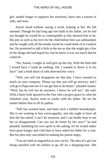girl, unable longer to suppress her emotions, burst into a torrent of sobs, and tears.

Austin stood without saying a word, looking at her. He felt stunned. Though he had long ago lost faith in his father, yet he had not thought he would be so contemptible as this showed him to be. His pity as well as his love for the child before him was unbounded, and he sought with all the tender words he could think of to comfort her. He promised to add a little to the ten so that she might get a few of the things she had hoped for, but he knew it was not much that he could do.

"No, Austin, I might as well give up the trip. With the little dab I would have I could do nothing. Oh, I wanted to throw it in his face!" and a fresh burst of sobs drowned her voice.

"Nell, you will not disappoint me like that. I have counted so much on your company. Please say that you will go anyway, and I will go to Papa and see if I can get him to do better," pleaded Austin. "Well, but he will not do anymore. I know he will not," she said. With a hasty look upward to the One who can give grace to calm the turbulent soul, Austin went to confer with his father. He set the matter before him in all its pathos.

"Nell has worked hard, and been such a faithful housekeeper. She is not wanting to buy extravagantly, and she ought to have all that she has asked. I can't do anymore, and I can hardly bear to see her so disappointed. Can you not do better by her now?" he had pleaded, humbling his own spirit in the asking, for he would rather have gone hungry and cold than to have asked his father for a cent. But his plea only succeeded in making his parent angry.

"You are both as ungrateful as you can be. The idea of a girl not being satisfied with ten dollars to go off on a shopping-tour. She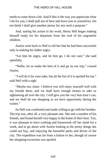needs to come down a bit. And if this is the way you appreciate what I do for you, I shall pull out of here and leave you to yourselves. Do not think I shall give another penny for any such a purpose."

And, suiting his action to his word, Henry Hill began making himself ready for his departure from the roof of his ungrateful children.

Austin went back to Nell to tell her that he had been successful only in making his father angry.

"Let him be angry, and let him go. I do not care," she said spitefully.

"Nellie, let us make the best of it and go on our trip," coaxed Austin.

"I will do it for your sake, but all the fun of it is spoiled for me," said Nell with a sigh.

"Maybe not, sister. I believe you will enjoy yourself well with my friends there, and we shall have enough money to take us sightseeing all over the city. I will give you the very best time I can, and we shall do our shopping as we have opportunity during the winter."

So Nell was comforted and made willing to go with her brother. The trip was, after all, a very pleasant one. She met a number of his friends, and found herself very happy in the home of their host. Too, it was pleasant to have cooking and housework off her mind for a week, and to go about with Austin looking at the pretty things she could not buy, and enjoying the beautiful parks and drives of the city. The expedition was far from a failure to her, though of course her shopping-excursion was spoiled.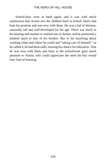School-days were at hand again, and it was with much satisfaction that Austin saw the children back in school. Harry had kept his promise and was now with them. He was a lad of thirteen, unusually tall and well-developed for his age. There was much in his bearing and manner to remind one of Austin, and he possessed a kindred spirit to that of his brother. But in his knocking about working when and where he could and "taking care of himself," as he called it, he had been sadly missing his chance for education. That he was now with them and busy in the schoolroom gave much pleasure to Austin, who could appreciate the need the boy would later find of learning.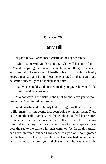## **Chapter 25**

# **Harry Hill**

"I got it today," announced Austin at the supper-table.

"Oh, Austin! Will you have to go? What will become of all of us?" and the young faces about the table looked the grave concern each one felt. "I cannot tell. I hardly think so. If having a family keeps a man at home I think I can be exempted on that score," and he smiled cheerfully as he looked about him.

"But what should we do if they made you go? Who would take care of us?" said Lila anxiously.

"Do not worry little sister. I shall not go and leave you without protection," comforted her brother.

While Austin and his family had been fighting their own battles in life, many stirring events had been going on about them. There had come the call to arms when the whole nation had been stirred from center to circumference, and after that the sad, heart-rending times when the boys had been called away to the camps and later over the sea to the battle with their common foe. In all this Austin had been interested, but had hardly seemed a part of it, so engrossed had he been with his own perplexities. But now had come the call which included the boys yet in their teens, and he was now in the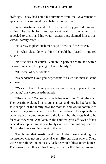draft age. Today had come his summons from the Government to appear and be examined for enlistment in the service.

When Austin appeared before the board they greeted him with smiles. The manly form and apparent health of the young man appealed to them, and his youth naturally proclaimed him a man without family cares.

"It is easy to place such men as you are," said the officer.

"In what class do you think I should be placed?" inquired Austin.

"In first class, of course. You are in perfect health, and within the age limits, and too young to have a family."

"But what of dependents?"

"Dependents! Have you dependents?" asked the man in some surprise.

"Yes sir. I have a family of four or five entirely dependent upon my labor," answered Austin quietly.

"How is that? You stated your father was living," said the man. Then Austin explained his circumstances, and how he had been the sole support of the family now for months, and would continue to be so till they were able to care for themselves. The explanations were not at all complimentary to the father, but the facts had to be faced as they were. And later, as the children gave affidavit of their dependence upon him, he was freely excused from military service. Not all the brave soldiers went to the war.

The home that Austin and the children were making for themselves was not in a general way different from others. There were some things of necessity lacking which bless other homes. There was no mother in this home, no one for the children to go to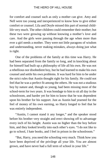for comfort and counsel such as only a mother can give. Amy and Nell were too young and inexperienced to know how to give either comfort or counsel. Lila and Doyle missed this part of normal childlife very much. The other children could remember their mother; but these two were growing up without knowing a mother's love and care. And the girls were passing through the age when more than ever a girl needs a mother. They were not little paragons of wisdom and understanding, never making mistakes, always doing just what is right.

One of the problems of the family at this time was Harry. He had been separated from the family so long, and in knocking about for himself had built up a philosophy of life all his own. He was not a rebellious nor disobedient boy, but he had learned to make his own counsel and settle his own problems. It was hard for him to be under the strict rules that Austin thought right for his family. He could not feel that he was a perfect fit among the others. He was not a studious boy by nature and, though so young, had been missing most of the school-term for two years. It was bondage to him to sit all day in the schoolroom, and harder yet for him to know that he was dependent upon his brother for his support. Just as Austin had yearned for the feel of money of his own earning, so Harry longed to feel that he was entirely independent.

"Austin, I cannot stand it any longer," and the speaker stood before his brother very straight and erect showing off to advantage every inch of his height. Austin was no higher than the boy before him, and they looked levelly into each other's eyes. "I do not like to go to school, I hate books, and I feel in prison in the schoolroom."

"But, Harry, you need the schooling very much. Think how you have been deprived of the privilege all your life. You are almost grown, and have never had a full term of school in your life."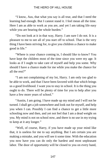"I know, Aus, that what you say is all true, and that I need the learning bad enough. But I cannot stand it. I feel mean all the time. Here I am as able to work as you are, and yet I am taking life easy while you are bearing the whole burden."

"Do not look at it in that way, Harry. I am sure I do not. It is a pleasure to me to see all of you start off to school. That is the very thing I have been striving for, to give you children a chance to make good in life."

"Where is your chance coming in, I should like to know? You have kept the children most of the time since you were my age. It looks as if I ought to take care of myself and help you some. Why should I have a chance made for me while you make the chance for all the rest?"

"I am not complaining of my lot, Harry. I am only too glad to be able to work, and that I have been favored with that which brings us a good livelihood. I want you to stay in school. It is the thing you ought to do. There will be plenty of time for you to help after you have a few more years of school."

"Austin, I am going. I have made up my mind and I will not be turned. I shall get a job somewhere and look out for myself, and help you when I can. Possibly I can find a chance to get a little more schooling now and then, and yet not feel that I am a dead weight on you. My mind is not on school now, and there is no use in my trying to keep at it any longer."

"Well, of course, Harry, if you have made up your mind like that, it is useless for me to say anything. But I am certain you are making a mistake, and you will see it some time. With the education you now have you can do only the hardest and most unpleasant labor. The door of opportunity will be closed to you on every hand,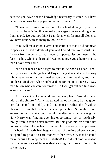because you have not the knowledge necessary to enter in. I have been endeavoring to help you to prepare yourself."

"I have had as much opportunity for school already as you ever had. I shall be satisfied if I can make the wages you are making when I am as old. Do you not think I can do as well for myself alone, as you have done with so many to look after?"

"You will make good, Harry, I am certain of that. I did not mean to speak as if I had a doubt of you, and I do admire your spirit. But I know from experience that doors of opportunity do close in the face of a boy who is unlearned. I wanted to give you a better chance than I have ever had."

"I do not feel I have a right to take it. As soon as I can I shall help you care for the girls and Doyle. I say it is a shame the way things have gone. I am not mad at you that I am leaving, and I am not dissatisfied with what you have done for me. It is too easy a way for a fellow who can care for himself. So I will get out and find work as soon as I can."

Austin went on to his work with a heavy heart. Would it be so with all the children? Amy had treated the opportunity he had given her for school so lightly, and had chosen rather the frivolous pleasures of youth to a few years of application. Soon she would awaken to her mistake, but it would be after her chance was gone. Now Harry was flinging over his opportunity just as recklessly, though from a much better motive. But his good motive would not put knowledge into his head. That would come only by application to his books. Already Nell began to speak of the time when she could be spared to go out to earn money of her own. Oh, that he could make enough to keep them all satisfied! He did not stop to reason that the same love of independent earning had moved him in his earlier teens.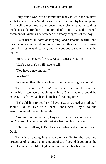Harry found work with a farmer not many miles in the country, so that many of their Sundays were made pleasant by his company. And Nell rejoiced more than once in new clothes that his savings made possible for her. "I am proud of Harry," was the mental comment of Austin as he watched the steady progress of the boy.

Austin heard all sorts of laughing, and sarcastic, tearful, and mischievous remarks about something or other out in the livingroom. His rest was disturbed, and he went out to see what was the matter.

"Here is some news for you, Austin. Guess what it is."

"Can't guess. You will have to tell."

"You have a new mother."

"A what?"

"A new mother. Here is a letter from Papa telling us about it."

The expression on Austin's face would be hard to describe, while his sisters were laughing at him. But what else could he expect? His father had been homeless for a long time.

"I should like to see her. I have always wanted a mother. I should like to live with them," announced Doyle, to the astonishment of the whole family.

"Are you not happy here, Doyle? Is this not a good home for you?" asked Austin, who felt hurt at what the child had said.

"Oh, this is all right. But I want a father and a mother," said Doyle.

There is a longing in the heart of a child for the love and protection of parents that no amount of sacrifice and devotion on the part of another can fill. Doyle could not remember his mother, and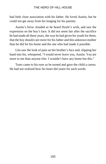had little close association with his father. He loved Austin, but he could not get away from his longing for his parents.

Austin's brow clouded as he heard Doyle's wish, and saw the expression on the boy's face. It did not seem fair after the sacrifice he had made all these years, the way he had given his youth for them, that the boy should care more for his father and this unknown mother than he did for his home and the one who had made it possible.

Lila saw the look of pain on her brother's face and, slipping her hand into his, whispered, "I would never leave you, Austin. You are more to me than anyone else. I wouldn't have any home but this."

Tears came to his eyes as he turned and gave the child a caress. He had not realized how his heart did yearn for such words.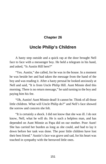## **Chapter 26**

# **Uncle Philip's Children**

A hasty step outside and a quick rap at the door brought Nell face to face with a messenger boy. He held a telegram in his hand, and asked, "Is Austin Hill here?"

"Yes. Austin," she called, for he was in the house. In a moment he was beside her and had taken the message from the hand of the boy and was reading it. After a hasty perusal he looked anxiously at Nell and said, "It is from Uncle Philip Hill. Aunt Minnie died this morning. There is no return message," he said turning to the boy and paying him his fee.

"Oh, Austin! Aunt Minnie dead! It cannot be. Think of all those little children. What will Uncle Philip do?" and Nell's face showed the sorrow and concern she felt.

"It is certainly a shock. I did not know that she was ill. I do not know, Nell, what he will do. He is such a helpless man, and has depended on Aunt Minnie as Papa did on our mother. Poor Aunt! She has carried her burden as long as she could, and had to lay it down before her task was done. The poor little children have lost their best friend." Austin's face was grave and sad, for his heart was touched in sympathy with the bereaved little ones.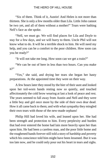"Six of them. Think of it, Austin! And Helen is not more than thirteen. She is only a few months older than Lila. Little John cannot be two yet, and all of them without a mother!" Tears were bathing Nell's face as she spoke.

"Nell, we must go. We will find places for Lila and Doyle to stay for a few days, and we will hurry to them. Uncle Phil will not know what to do. It will be a terrible shock to him. He will need my help, and you can be a comfort to the poor children. How soon can you be ready?"

"It will not take me long. How soon can we get a train?"

"We can be out of here in less than two hours. Can you make it?"

"Yes," she said, and drying her tears she began her hasty preparations. At the appointed time they were on their way.

A few hours later they stood by the bier of their aunt and looked upon her toil-worn hands resting now so quietly, and touched affectionately the cold brow wearing at last a look of peace and rest. The years seemed to fall away from Austin and Nell and they were a little boy and girl once more by the side of their own dear dead. How it all came back to them; and with what sympathy they mingled their own tears with those of the new-made orphans!

Philip Hill had loved his wife, and leaned upon her. She had been strength and protection to him. Every perplexity and burden that had ever entered the home had lain more heavily upon her than upon him. He had been a careless man, and the poor little home and the roughened hands forever still told a story of hardship and poverty which his conscience told him might have been lessened. But it was too late now, and he could only pour out his heart in tears and sighs.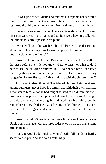He was glad to see Austin and felt that his capable hands would remove from him present responsibilities till the dead was laid to rest. And the children clung to both Nell and Austin as their hope.

It was soon over and the neighbors and friends gone. Austin and his sister were yet in the home, and tonight were having a talk with their uncle to learn if possible his plans.

"What will you do, Uncle? The children will need care and attention. Helen is too young to take the place of housekeeper. Have you any plans for the future?"

"Austin, I do not know. Everything is a blank, a wall of darkness before me. I do not know where to turn, nor what to do. I hate to see the children scattered, but I do not see how I can keep them together as your father did you children. Can you give me any suggestion for my first turn? What shall I do with the children now?"

Austin sat in deep thought. The idea of children being scattered among strangers, never knowing family ties with their own, was like a monster to him. What he had fought so hard to hold from his own, now was being poured out upon his helpless little cousins. A thought of help and succor came again and again to his mind, but he remembered how frail Nell was for any added burden. Her sharp eyes saw the struggle and doubt in his mind, and she knew his thoughts.

"Austin, couldn't we take the three little ones home with us? Uncle could manage with the three older ones till he can make some arrangements."

"Nell, it would add much to your already full hands. It hardly seems fair to you," Austin said hesitatingly.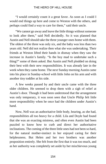"I would certainly count it a great favor. As soon as I could I would end things up here and come to Weston with the others, and perhaps could find a way to care for them," said their uncle.

"We cannot go away and leave the little things without someone to look after them," said Nell decidedly. So it was planned that Austin and Nell should take the three younger ones home with them. The oldest of the three was only six, and the baby was less than two years old. Nell did not realize then what she was undertaking. Their friends at Weston lifted their hands in dismay when they saw the increase in Austin's family. "Is the boy mad to undertake such a thing?" some of them asked. But Austin and Nell plodded on doing their best with their new responsibilities. It was already late in the week when they came home. The next Sunday morning Austin came into his place in Sunday-school with little John on his arm and with another tiny toddler at his side.

A few weeks passed by and their uncle came with the three older children. He seemed to drop them with a sigh of relief at Austin's door. Though it had been understood that the arrangement was only temporary, it was soon seen that Uncle Philip felt little more responsibility when he once had the children under Austin's hand.

Now, Nell was an authoritative little body, bearing, as she had, responsibilities all too heavy for a child. Lila and Doyle had found that she was an exacting mistress, and often even Austin had been puzzled to know how to curb and direct her authoritative inclinations. The coming of the three little ones had not been so hard, for the natural mother-instinct in her enjoyed caring for their helplessness. But Helen and her two brothers was another proposition entirely. She felt from the first that it was too much, and as her authority was completely set aside by her mischievous young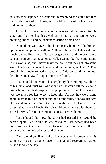cousins, they kept her in a continual ferment. Austin could not turn the children out of the house, nor could he prevail on his uncle to find homes for them.

At last Austin saw that the burden was entirely too much for his sister and that her health as well as her nerves and temper were breaking under it, and he demanded action of his uncle.

"Something will have to be done, or my home will be broken up. I cannot keep house without Nell, and she will not stay with me much longer. Helen and Lila cannot get along, and the boys are a constant source of annoyance to Nell. I cannot be there and attend to my work also, and I never leave the house but they get into some kind of a brawl. You will have to do something, or I will." This brought his uncle to action; but a half dozen children are not distributed in a day, if proper homes are found.

Austin could not even in his perplexity demand impossibilities of his uncle, and must wait as patiently as he could till the six were properly located. Nell wept at giving up the baby; but Austin saw it was too much for her to try to keep him. At last they were alone again, just the four of them about their home table. Sundays brought Harry and sometimes Amy to dinner with them. Not many weeks passed that some of Uncle Philip's children were not with them for a meal or two, for to them Austin's house seemed home.

Austin hoped that now the storm had passed Nell would be herself again. But in this he was mistaken. Her nerves had been under too great a strain for her to regain her composure. It was evident that she needed a rest and change.

"Nell, would you like to take a few weeks' visit somewhere this summer, or a trip to some place of change and recreation?" asked Austin kindly one day.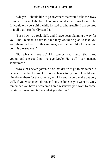"Oh, yes! I should like to go anywhere that would take me away from here. I want to be free of cooking and dish-washing for a while. If I could only be a girl a while instead of a housewife! I am so tired of it all that I can hardly stand it."

"I see how you feel, Nell, and I have been planning a way for you. The Freeman's have told me they would be glad to take you with them on their trip this summer, and I should like to have you go, if it pleases you."

"But what will you do? Lila cannot keep house. She is too young, and she could not manage Doyle. He is all I can manage sometimes."

"Doyle has never gotten rid of that desire to go to his father. It occurs to me that he ought to have a chance to try it out. I could send him down there for the summer, and Lila and I could make out very well. If you wish to go, do so, and stay as long as you want to. Only remember you have a welcome home whenever you want to come. So study it over and tell me what you decide."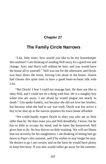## **Chapter 27**

# **The Family Circle Narrows**

"Lila, little sister, how would you like to be my housekeeper this summer? I am thinking of sending Nell away for a good rest and change. Amy and Harry will seldom be here, and you would have the house all to yourself." Nell was out for the afternoon, and Doyle was busy down the street, leaving Lila alone in the house. Austin had chosen this quiet time to have a good heart-to-heart talk with Lila.

"But Doyle! I fear I could not manage him. He does not like to obey Nell, and I could not do a thing with him. He is a naughty boy when you are away. I am afraid he would plague me nearly to death." Lila spoke frankly, not because she did not love her brother, but because what she had to say was truth. Doyle was too active a boy to be shut up in the narrow quarters his town home afforded.

"We could hardly expect Doyle to obey you who are so little older than he. He does tease you and Nell dreadfully, I know; but he has so little to occupy his mind, and he hates the housework Nell gives him to do. No boy thrives on dish-washing. We will not blame him too severely for his naughtiness. I am thinking of letting him go down to Papa's this summer, and if he wishes to stay longer he may. He desires to go I am certain, and on the farm he would have plenty to keep him busy. If you also would rather go away for the summer,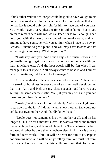I think either Wilbur or George would be glad to have you go to his home for a good visit. In fact, ever since George made us that visit he has felt it would only be right for him to have one of you girls. You would have a very pleasant time in either home. But if you prefer to remain here with me, we can keep house well enough. I can help you with the heavy work out of my work-hours, and will arrange to have someone with you at night when I have to be away. Besides, I intend to get a piano, and you may have lessons on that while the girls are away. What do you say?"

"I will stay with you. And I shall enjoy the music-lessons. Are you really going to get us a piano? I would rather be here with you than anywhere else. And the housework will be fun when I can manage it to suit myself. Nell always wants to boss it, and I almost hate it sometimes; but I shall like to manage."

Austin laughed at Lila's earnestness before he said, "I fear there is a streak of bossiness in every one of us. I am well developed on that line, Amy and Nell are my close seconds, and here you are getting the same characteristic. Well, if you stay with me you can 'boss' to your heart's content."

"Austin," and Lila spoke confidentially, "why does Doyle want to go down to the farm? I do not want a new mother. She could not be like our own mother. And I hardly know Papa."

"Doyle does not remember his own mother at all, and he has longed all his life for a mother's love. He wants a father and mother like other boys have, and I cannot blame him. Then he loves the farm and would rather be there than anywhere else. All his talk is about a farm and farm-work. I think it will be better for him to go. Papa is not drinking now, and will do very well by him. We must not think that Papa has no love for his children, nor that he would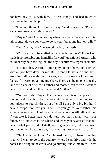not have any of us with him. He was lonely, and had much to discourage him in the past."

"I had not thought of it in that way," said Lila softly. "Perhaps Papa does love us a little after all."

"Doyle," said Austin one day when they had a chance for a quiet talk alone, "do you yet wish to go to your father and his new wife?"

"Yes, Austin, I do," answered the boy earnestly.

"Why are you dissatisfied with your home here? Have I not made it comfortable and homelike for you?" questioned Austin, who could hardly help feeling that the boy's sentiments reproached him.

"It is not that, Austin. I am happy enough here, and satisfied with all you have done for me. But I want a father and a mother. I see other fellows with their parents, and it makes me lonesome. I feel as if I were not getting my share. There can be no one to really take the place of a fellow's father and mother, can there? I want to be with them and call them Father and Mother."

"You are right, Doyle. There can no one take the place of a mother, and it ought to be that way with a father. I have tried to fill both places to you children, but after all I am only a big brother. I have a proposition for you. I will let you go to your father this summer as soon as school is out, and you may stay till fall, and then if you like it better than you do here you may remain with your father. You know what life is here, and when you have tried that out, decide what you will do. I shall hate to give you up, but if you want your father and he wants you, I have no right to keep you apart."

"Oh, Austin, thank you!" exclaimed the boy. "There is nothing in town. I want to go to the country, where I can drive and ride the horses and bring in the cows, and go hunting, and climb trees. There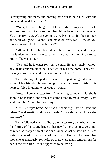is everything out there, and nothing here but to help Nell with the housework, and I hate that."

"You get tree-climbing here, if I may judge from your torn coats and trousers; but of course the other things belong to the country. You may try it out. We are going to give Nell a rest for the summer, and with you gone Lila and I can make out very well. How do you think you will like the new Mother?"

"All right. Harry has been down there, you know, and he says she is nice, and wants me to come. Have you written Papa yet to know if he wants me?"

"Yes, and he is eager for you to come. He gets lonely without any of us children since he is settled in his new home. They will make you welcome, and I believe you will like it."

The little boy skipped off, eager to impart his good news to some of his friends. He was going to have the dearest wish of his heart fulfilled in going to his country home.

"Austin, here is a letter from Amy with great news in it. She is soon to be married, and wants to come home to make ready. What shall I tell her?" said Nell one day.

"This is Amy's home. She has the same right here as have the others," said Austin, adding anxiously, "I wonder what choice she has made."

There followed a whirl of busy days after Amy came home, then the flitting of the young bride to her new home. Austin gave a sigh of relief, as many a parent has done, when at last he saw his restless sister anchored in a home of her own. He had followed her movements anxiously, for he knew there were many temptations for her in the care-free life she appeared to be living.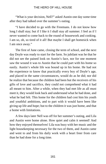"What is your decision, Nell?" asked Austin one day some time after they had talked over the summer's outing.

"I have decided to go with the Freemans. I do not know how long I shall stay; but if I like it I shall stay all summer. I feel as if I never wanted to come back to the round of housework and cooking. I am so, oh, so tired of it all! But maybe I shall get homesick when I am once away."

The first of June came, closing the term of school, and the next day Doyle was ready to start for the farm. So jubilant was he that he did not see the pained look on Austin's face, nor for one moment saw the wound it was to Austin that he could part with his home so easily. Austin's whole life was bound up in his home. He had not the experience to know that practically every boy of Doyle's age, and placed in the same circumstances, would do as he did; nor did he realize that because the children had been but the receivers of his gifts of love and sacrifice, they could not comprehend what it had all meant to him. After a while, when they had met life as all must meet it, they would look back and understand what he had done, and what he had felt. This home for the children had cost him his youth and youthful ambitions, and to part with it would have been like giving up life and hope; but to the children it was just home, and that a home with limitations.

A few days later Nell was off for her summer's outing, and Lila and Austin were home alone. How quiet and calm it seemed! And how they enjoyed themselves! Lila was busy with her music and the light housekeeping necessary for the two of them, and Austin came and went to and from his daily work with a heart freer from care than he had done for a long time.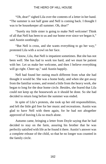"Oh, dear!" sighed Lila over the contents of a letter in her hand. "The summer is not half gone and Nell is coming back. I thought I was to be housekeeper all summer. Oh, dear!"

"Surely my little sister is going to make Nell welcome! Think of all that Nell has been to us and our home ever since we began it," said Austin soothingly.

"But Nell is cross, and she wants everything to go her way," protested Lila with a scowl on her face.

"I know, Lila, that Nell is impatient sometimes. But she has not been well. She has had to work too hard, and we must be patient with her. Let us make her welcome, and then I believe everything will go right. Cheer up," said Austin happily.

Nell had found her outing much different from what she had thought it would be. She was a home body, and when she got away from the familiar scenes, and rested a little from the heavy work, she began to long for the dear home circle. Besides, she feared that Lila could not keep up the housework as it should be done. So she had decided to return long before the summer was ended.

In spite of Lila's protests, she took up her old responsibilities, and left the little girl free for her music and recreations. Austin was glad to have Nell with them again, for he had not altogether approved of leaving Lila so much alone.

Autumn came, bringing a letter from Doyle saying that he had decided to stay on the farm, assuring his brother that he was perfectly satisfied with life as he found it there. Austin's answer was a complete release of the child, so that he no longer was counted in the family circle.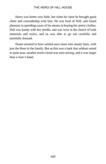Harry was home very little, but when he came he brought good cheer and comradeship with him. He was fond of Nell, and found pleasure in spending a part of his means in buying her pretty clothes. Nell was handy with her needle, and was wise in the choice of both materials and styles, and so was able to go out carefully and tastefully dressed.

Home seemed to have settled once more into steady lines, with just the three in the family. But as this was a bark that seldom rested in quiet seas, another storm-cloud was seen arising, and it was larger than a man's hand.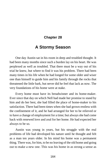## **Chapter 28**

# **A Stormy Season**

One day Austin sat in his room in deep and troubled thought. It had been many months since such a burden lay on his heart. He was perplexed as well as troubled. That there must be a way out of his trial he knew, but where to find it was his problem. There had been many times in his life when he had longed for some older and wiser one than himself to guide him and his family through the rocks that threatened the little bark, but never did he feel that lack as now. The very foundations of his home were at stake.

Every home must have its breadwinner and its home-maker. Ever since that day on which Nell had made her promise to stand by him and do her best, she had filled the place of home-maker to his satisfaction. There had been times when she had grown restless with the confinement of it, and he had arranged for her to be relieved or to have a change of employment for a time; but always she had come back with renewed love and zeal for her home. He had expected her always to be so.

Austin was young in years, but his struggle with the real problems of life had developed his nature until he thought and felt as a man ten years older. In his mind his home was a permanent thing. There was, for him, to be no leaving of the old home and going out to make a new one. This was his home in as strong a sense as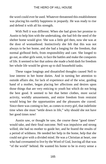the word could ever be used. Whatever threatened this establishment was placing his earthly happiness in jeopardy. He was ready to rise and defend it with all his strength.

With Nell it was different. When she had given her promise to Austin to help him with the undertaking, she had felt the need of the shelter home would give. She was a little girl then, now she was at the door of womanhood. Instinctively she felt that this was not always to be her home, and she had a longing for the freedom, that normal girlhood feels, from responsibility and care. She longed to go out, as other girls went, to face the battles and make the conquests of life. It seemed to her that unless she made a bold dash for freedom her whole life would be given up to dull household tasks.

These vague longings and dissatisfied thoughts caused Nell to lose interest in her home duties. And in turning her attention to outside affairs she, for lack of experience and of the wise, guiding hand of a mother, began placing her affections and desires upon those things that are very enticing to youth but which do not bring the best good. It seemed to her that better clothes, more social activity, worldly amusements, and entire freedom from restraint would bring her the opportunities and the pleasures she craved. Since there was coming to her, as comes to every girl, that indefinite time when she must "settle down in life," why should she not have her good times now!

Austin saw, or thought he saw, the course these "good times" would take, and their final outcome. Nell was impulsive and strong willed; she had no mother to guide her, and he feared the results of a period of wildness. He needed her help in the home, help that she could not give with a divided mind. He was a Christian at heart, one who had covenanted to live by the Word of God, leaving all that was "of the world" behind. He wanted his home to be in every sense a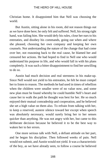Christian home. It disappointed him that Nell was choosing the world.

But Austin, sitting alone in his room, did not reason things out as we have done here; he only felt and suffered. Nell, his strong right hand, was failing him. She would defy his rules, close her ears to his entreaties, and disobey his commands, going out when and where she pleased, choosing her own company and keeping her own counsels. Not understanding the nature of the change that had come over her, not reasoning back to the real cause, he blamed her and censured her actions. He had hoped to find in Nell one who would understand his purpose in life, and who would fall in with his plans completely. It was such a bitter disappointment to find her unwilling to do so.

Austin had much decision and real sternness in his make-up. Since Nell would not yield to his entreaties, he felt he must compel her to listen to reason. The methods he had used in times of rebellion when the children were smaller were of no value now, and some new plan must be found whereby he could humble Nell's heart and cause her to walk the path he thought was best for her. He so much enjoyed their mutual comradeship and cooperation, and he believed she set a high value on them also. To refrain from talking with her, to keep a reserved, austere silence toward her except when speech was absolutely necessary, would surely bring her to her senses quicker than anything. He was not angry with her, but came to this deliberate decision because he believed it to be the best way to waken her to her errors.

One more serious talk with Nell, a defiant attitude on her part, and he began his discipline. Then followed weeks of pain. Nell would not submit, and Austin would not yield. It was a characteristic of the boy, as we have already seen, to follow a course he believed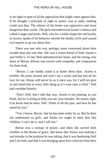to be right in spite of all the opposition that might come against him. If he thought a principle of right or justice was at stake, nothing could turn him. The silence of the home was oppressive and more dangerous than words. The girls misunderstood Austin's silence and called it anger and pouts. Nell, who for a while forgot her old loyalty to Austin, spoke of his behavior outside the family circle and caused evil reports to go out about him.

There was one who was, perhaps, more concerned about their trouble than any one else. She was a warm friend of both Austin's and Nellie's. To her Nell unburdened her heart, and the strong, true heart of Bessie Allison was stirred with sympathy and compassion for them both.

"Bessie, I can hardly stand it at home these days. Austin is terrible. He pouts around and won't say a word, and has lost all his love for me. Home will never be as it once was, for I will not give in and mind him in every little thing as if I were only a child," Nell had confided bitterly.

"Don't Nell, don't talk that way. Austin is not pouting, as you think, but he is trying to help you see your mistake. He means right. You know that he does, Nell. Think of all the past, and how he has stood by you."

"Yes, I know, Bessie, that he has done nobly by us. But he does not understand us girls, and thinks we ought to obey him like children. I can't do it, and I will not."

Bessie was a woman of prayer, and often she carried their troubles to the throne of grace. She knew that Austin was making a sad mistake in the position he was taking, that it was hardening Nell and Lila both, and that it was bringing upon him criticism from their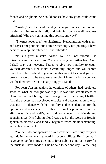friends and neighbors. She could not see how any good could come of it.

"Austin," she had said one day, "can you not see that you are making a mistake with Nell, and bringing on yourself needless criticism? Why are you taking this course, anyway?"

"She must obey me," he said firmly. "Nell taunts me with anger, and says I am pouting, but I am neither angry nor pouting. I have decided to keep this silence till she submits."

"It is a great mistake, Austin. Nell will not submit. She misunderstands your actions. You are driving her farther from God. I shall pray our heavenly Father to give you humility to count yourself defeated. Nell is not a child any longer, and you cannot force her to be obedient to you, not in this way at least, and you will prove my words to be true. An example of humility from you now will heal matters better than anything you can do."

For years Austin, against the opinions of others, had resolutely stood to what he thought was right. It was this steadfastness of character that had brought him through many hard-fought battles. And the process had developed tenacity and determination to what was out of balance with his humility and consideration for the opinions and consciences of others. From his point of view this affair was his and Nell's, and did not concern his friends and acquaintances. His fighting-blood was up. But the words of Bessie, spoken so sincerely and kindly, began to reach his understanding, and at last he unbent.

"Nellie, I do not approve of your conduct. I am sorry for your attitude in the home and toward its responsibilities. But I see that I have gone too far in my attempt to force submission. I am sorry for the mistake I have made." This he said to her one day. So the long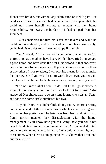silence was broken, but without any submission on Nell's part. Her heart was just as restless as it had been before. It was plain that she could not make herself willing to remain with her home responsibility. Someway the burden of it had slipped from her shoulders.

Austin considered the turn his sister had taken; and while he could not understand it, and in his heart censured her considerably, yet he had his old desire to make her happy if possible.

"Nell," he said, "I shall not hold you longer. I want you to feel as free to go as the others have been. While I have tried to give you a good home, and have done the best I understood in that endeavor, yet I would not force it upon you. If you wish to visit your brothers or any other of your relatives, I will provide means for you to make the journey. Or if you wish to go to work downtown, you may do that. Do not feel bound to the housework any longer, for my sake."

"I do not know what I want to do. But I shall go somewhere soon. Do not worry about me, for I can look out for myself," she answered. Her choice was to go on a long journey, to a distant State; and soon the home circle numbered but two.

Amy Hill Morton sat in her little dining-room, her arms resting on the table, and a letter before her over which she was poring with a frown on her pretty face. The letter was from Nell, and set forth in frank, girlish manner, her dissatisfaction with the homemanagement. "You know how you felt, Amy, how you could not bear to be dictated to, and you remember that Austin wanted to tell you where to go and who to be with. You could not stand it, and I can't either. When I leave I am going to let Aus know that I can look out for myself."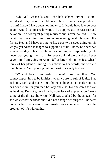"Oh, Nell! what ails you?" she half sobbed. "Poor Austin! I wonder if everyone of us children will be a separate disappointment to him! I know I have been nothing else. If I could have it to do over again I would let him see how much I do appreciate his sacrifice and devotion. I do not regret getting married; but I never realized till now what it has meant for him to settle down and give all his young life for us. Ned and I have a time to keep our two selves going on his wages, yet Austin managed to support all of us. I know he never had a care-free day in his life. He knows nothing but responsibility. He never was young. I am sorry for every unkind word and act I ever gave him. I am going to write Nell a letter telling her just what I think of her plans." Suiting her actions to her words, she wrote a long letter to Nell, pouring out her heart in sisterly fashion.

"What if Austin has made mistakes! Look over them. You cannot expect him to be faultless when we are so full of faults. Stay at home, Nell, and make him a home as long as he needs you. He has done more for you than has any one else. No one cares for you as he does. Do not grieve him by your lack of appreciation," were some of the things she wrote. Nell was touched by the appeal, for she was tender-hearted; but it did not change her purpose. She went on with her preparations, and Austin was compelled to face the problem of life without her.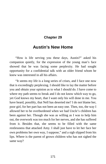## **Chapter 29**

# **Austin's New Home**

"How is life serving you these days, Austin?" asked his companion quietly, for the expression of the young man's face showed that he was facing some perplexity. He had sought opportunity for a confidential talk with an older friend whom he knew was interested in all his affairs.

"It seems my life is a long series of crises, and I face one now that is exceedingly perplexing. I should like to lay the matter before you and obtain your opinion as to what I should do. I have come to where my path seems to break and I do not know which way to go, yet God knows my heart, that I want only his will done in me. You have heard, possibly, that Nell has deserted me? I do not blame her, poor girl, for her part has not been an easy one. Then, too, the way I allowed her to be overburdened when we had Uncle's children has been against her. Though she was as willing as I was to help him out, the overwork was too much for her nerves, and she has suffered from it. Besides that, she seems to be filled with the same restlessness that attacked Amy. I shall just have to let her face her own problems her own way, I suppose," and a sigh slipped from his lips. Where is the parent of grown children who has not sighed the same way?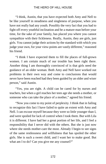"I think, Austin, that you have expected both Amy and Nell to be like yourself in steadiness and singleness of purpose, when you have not really had any youth. Possibly the very fact that you had to fight off every youthful inclination and be a mature man before your time, for the sake of your family, has placed you where you cannot sympathize with their fickleness. Really, Austin, they are girls, just girls. You cannot judge their actions by the standard with which you judge your own, for your view-points are vastly different," reasoned his friend.

"I think I have expected them to fill the places of full-grown women. I am certain much of our trouble has been right there. Another thing I am thoroughly convinced of is that girls need the guidance of an older woman. Both Amy and Nell have worked out problems in their own way and come to conclusions that would never have been reached had they been guided by an older and wiser person," said Austin.

"Yes, you are right. A child can be cared for by nurses and teachers, but when a girl reaches her teen age she needs a mother, or someone who can take the place of a mother," agreed his friend.

"Now you come to my point of perplexity. I think that in failing to recognize this fact I have failed to quite an extent with Amy and Nell. I can excuse myself because they were so little younger than I, and were spoiled for lack of control when I took them. But with Lila it is different. I have had her a great portion of her life, and I feel a responsibility that I never did with the others. But she is just now where she needs mother-care the most. Already I begin to see signs of the same restlessness and willfulness that has spoiled the other girls. She is such a sweet child, and I want her to make good. But what am I to do? Can you give me any counsel?"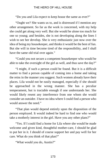"Do you and Lila expect to keep house the same as ever?"

"Ought we? She wants us to, and is distressed if I mention any other arrangement. So far as the work is concerned, with my help she could get along very well. But she would be alone too much for one so young; and besides, she is not developing along the lines I wish to see her develop. She is very enthusiastic just now over the idea of being my housekeeper, and thinks it would be the best of fun. But she will in time become tired of the responsibility, and I shall have the same old trial over again."

"Could you not secure a competent housekeeper who would be able to take the oversight of the girl as well, and thus save the day?"

"I might, if such a person could be found. But it is a difficult matter to find a person capable of coming into a home and taking the reins in the manner you suggest. Such women already have their places. Lila would not be easily managed, especially if she should be approached in the wrong manner. She has a peculiar temperament, but is tractable enough if one understands her. She would likely resent any interference from one whom she would consider an outsider. I have no idea where I could find a person who would answer the need."

"That plan would depend entirely upon the disposition of the person employed. It would indeed be hard to find one who would take a motherly interest in the girl. Have you any other plans?"

"Yes. If I could find a home for Lila where she would be made welcome and given kind, thoughtful mother-care, I should be glad to put her in it. I should of course support her and pay well for her care. What do you think of that plan?"

"What would you do, Austin?"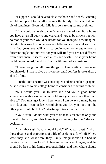"I suppose I should have to close the house and board. Batching would not appeal to me after having the family. I believe I should die of loneliness. Even with Lila it is very trying for me at times."

"That would be unfair to you. You are a home-lover. For a home you have given all your young years, and now to be thrown out with no roof of your own would be harder for you than you now imagine. Besides, breaking the home now would be such a financial sacrifice. In a few years you will wish to begin your home again from a different angle and motive; for you will find you are not different from other men. It seems such a loss and waste. I wish your home could be preserved," said his friend with marked earnestness.

"I have thought of all those things. So I am waiting to see what I ought to do. I hate to give up my home, and I confess it looks dreary ahead of me."

Here the conversation was interrupted and never taken up again. Austin returned to his cottage home to consider further his problem.

"Lila, would you like to have me find you a good home somewhere with a woman who could give you more care than I am able to? You must get lonely here, when I am away so many hours each day; and I cannot feel restful about you. Do you not think the other plan would be better?" Austin questioned of his sister.

"No, Austin, I do not want you to do that. You are the only one I want to be with, and this home is good enough for me," she said decidedly.

Again that sigh. What should he do? What was best? And all those dreams and aspirations of a life of usefulness for God! Where were they and what were they? Only imaginations? Or had he received a call from God? A few more years at longest, and he should be free of his family responsibilities, and then where should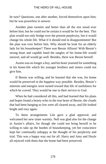he turn? Questions, one after another, forced themselves upon him; but he was powerless to answer.

Another plan sweeter and better than all the rest stood ever before him; but he could not be certain it would be for the best. This plan would not only bridge over the present perplexity, but it would change his whole life. What if it should end in disappointment! But the plan was ever before him. Why should he look for an elderly lady for his housekeeper? There was Bessie Allison! With Bessie's strong heart and capable hand the tangles of his home-life would unravel, and all would go well. Besides, there was Bessie herself.

Austin was no longer a boy, and his heart yearned for something in his home-life which his younger brothers and sisters could not give him.

If Bessie was willing, and he learned that she was, his home would be preserved in the happiest way possible. Besides, Bessie's interests and energies were turned toward that life of usefulness for which he craved. They would be one in their service to God.

When he had considered all this, and had learned that his plans and hopes found a hearty echo in the true heart of Bessie, the clouds that had been hanging so low were all cleared away, and life looked bright and rosy again.

To these arrangements Lila gave a glad approval, and welcomed her new sister warmly. Nell was glad also for the change in Austin's affairs, for though she could not bring herself to be willing to take up the burden of housekeeping, yet her conscience kept her continually unhappy at the thought of his perplexity and trial. This was a happy way out for all. Harry and Amy and Doyle all rejoiced with them that the home had been preserved.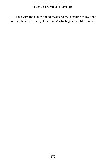Thus with the clouds rolled away and the sunshine of love and hope smiling upon them, Bessie and Austin began their life together.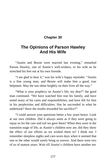## **Chapter 30**

# **The Opinions of Parson Hawley And His Wife**

"Austin and Bessie were married last evening," remarked Parson Hawley, one of Austin's well-wishers, to his wife as he stretched his feet out at his own fireside.

"I am glad to hear it," was his wife's happy rejoinder. "Austin is a fine young man, and Bessie will make him a good, true helpmeet. May the sun shine brightly on their lives all the way."

"What is your prophecy on Austin's life, my dear?" the good man continued. "We have watched him rear his family, and have noted many of his cares and responsibilities, and have felt for him in his perplexities and difficulties. Has he succeeded in what he undertook? Have the results rewarded his sacrifice?"

"I could answer your questions better a few years hence. Look at our own children. Did it always seem as if they were going to repay us for the care and toil we gave them? When they were in the transition stage of life, as Austin's children now are, did they show the effect of our efforts as we wished them to? I think not. I remember sleepless nights and care-worn days when it seemed that one or the other would surely bring us sorrow. And there were two of us of mature years. Wait till Austin's children have another ten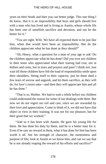years on their heads and then you can better judge. This one thing I do know, that it is an impossibility that boys and girls should live with a man who has lived and is living as Austin, whose whole life has been one of unselfish sacrifice and devotion, and not be the better for it."

"You are right, Wife. We have all expected them to be just like him, when that would have been an impossibility. But do the children appreciate what he has done as they should?"

"Ah, Henry, what a question for a man of your age to ask! Do the children appreciate what he has done! Did you ever see children in their teens who appreciated what their rearing had cost, not in dollars and cents, but in tears and prayers and pain? I think not. Just wait till those children have felt the load of responsibility settle upon their shoulders, fitting itself to their capacity; just let them shed a few tears of sorrow and anguish, and let them sacrifice, as they will do, for love's sweet sake—and then they will appreciate him and all he has done."

"That is so, Mother. We had to wait a while before our children could understand the reason for some of our dealings with them. But now we do not regret our toil and care, since we are rewarded by their love and appreciation. Come to think of it, we did not have that object in view in their training. It was not for our pleasure, but for their good that we worked."

"And so it has been with Austin. He gave his young life for them. He has done his duty by them, and he is a better man for it. Even if he saw no reward in them, what it has done for him has been worth it all. See his strength of character, the earnestness and purpose of life; look at Austin as we know him, and can we say that he is not already reaping the reward of his efforts and sacrifice?"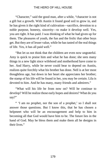"Character," said the good man, after a while, "character is not a gift but a growth. With Austin it found good soil to grow in, and he has given it the right kind of cultivation—sacrifice, devotion to a noble purpose, honesty, sincerity—to make it develop well. Yes, you are right. It has paid. I was thinking of what he had given up for them. The pleasures of youth, the fun and the frolic that other boys get. But they are of lesser value, while he has tasted of the real things of life. Yes, it has all paid well."

"But let us not think that the children are even now ungrateful. Amy is quick to praise him and what he has done; she sees many things in a new light since wifehood and motherhood have come to her. And Harry, while he never could bear to depend on Austin, realizes quite forcibly what his brother has done. Nell is at her most thoughtless age, but down in her heart she appreciates her brother; the stamp of his life will be found in her, you may be certain. Lila is devoted to him. And he has many, many friends and admirers."

"What will his life be from now on? Will he continue to develop? Will he realize those early hopes and desires? What do you say?"

" 'I am no prophet, nor the son of a prophet,' so I shall not answer those questions. But I know this, that he has chosen a helpmeet who will be an encouragement and help to him in becoming all that God would have him to be. The future lies in the hand of God. May he bless them and make them all he designs in their lives."